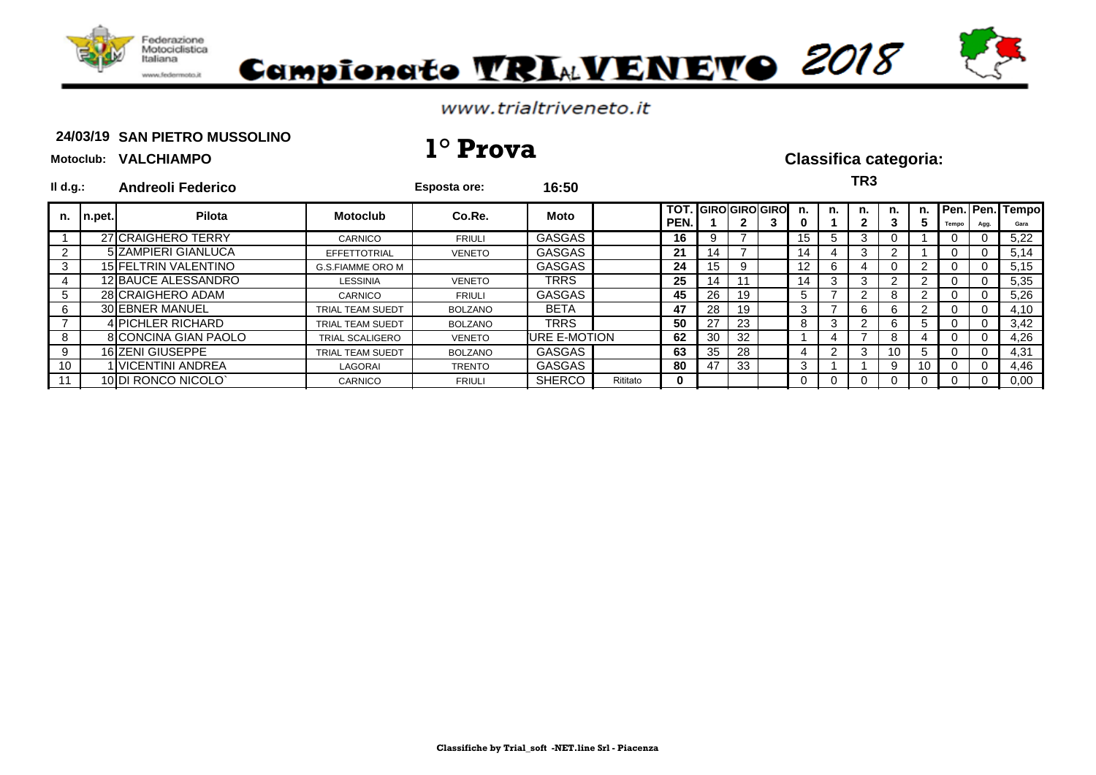

**Motoclub: VALCHIAMPO**



### www.trialtriveneto.it

### 24/03/19 SAN PIETRO MUSSOLINO **24/03/19 1° Prova Classifica categoria:**

| $II$ d.g.: |        | <b>Andreoli Federico</b>    |                         | <b>Esposta ore:</b> | 16:50         |          |                                  |    |     |                 |    | TR3 |     |         |       |          |                                |
|------------|--------|-----------------------------|-------------------------|---------------------|---------------|----------|----------------------------------|----|-----|-----------------|----|-----|-----|---------|-------|----------|--------------------------------|
| n.         | n.pet. | Pilota                      | Motoclub                | Co.Re.              | <b>Moto</b>   |          | <b>TOT. GIROGIROGIRO</b><br>PEN. |    |     | n.              | n. | n.  | n.  | n.<br>э | Tempo | Agg.     | <b>Pen. Pen. Tempo</b><br>Gara |
|            |        | 27 CRAIGHERO TERRY          | CARNICO                 | <b>FRIULI</b>       | <b>GASGAS</b> |          | 16                               | 9  |     | 15 <sup>1</sup> | G. | 3   |     |         |       |          | 5,22                           |
|            |        | 5 ZAMPIERI GIANLUCA         | <b>EFFETTOTRIAL</b>     | <b>VENETO</b>       | <b>GASGAS</b> |          | 21                               | 14 |     | 14              |    | 3   |     |         | U.    | U        | 5,14                           |
|            |        | 15 FELTRIN VALENTINO        | <b>G.S.FIAMME ORO M</b> |                     | GASGAS        |          | 24                               | 15 |     | 12 <sub>1</sub> | b  | 4   |     |         |       |          | 5,15                           |
| 4          |        | 12 BAUCE ALESSANDRO         | LESSINIA                | <b>VENETO</b>       | TRRS          |          | 25                               | 14 | 11  | 14              | 3  | 3   |     |         | U     | $\Omega$ | 5,35                           |
| 5          |        | 28 CRAIGHERO ADAM           | <b>CARNICO</b>          | <b>FRIULI</b>       | <b>GASGAS</b> |          | 45                               | 26 | 19  | G.              |    | 2   |     |         |       |          | 5,26                           |
| 6          |        | 30 EBNER MANUEL             | <b>TRIAL TEAM SUEDT</b> | <b>BOLZANO</b>      | <b>BETA</b>   |          | 47                               | 28 | 19  |                 |    | 6   |     |         |       |          | 4,10                           |
|            |        | 4 PICHLER RICHARD           | <b>TRIAL TEAM SUEDT</b> | <b>BOLZANO</b>      | TRRS          |          | 50                               | 27 | 23  | 8               | 3  | っ   | 6   | 5       |       |          | 3,42                           |
| 8          |        | <b>8 CONCINA GIAN PAOLO</b> | <b>TRIAL SCALIGERO</b>  | <b>VENETO</b>       | URE E-MOTION  |          | 62                               | 30 | -32 |                 |    |     | 8   |         | U.    | U        | 4,26                           |
| 9          |        | 16 ZENI GIUSEPPE            | <b>TRIAL TEAM SUEDT</b> | <b>BOLZANO</b>      | GASGAS        |          | 63                               | 35 | 28  | 4               |    | 3   | -10 | b.      |       | $\Omega$ | 4,31                           |
| 10         |        | I VICENTINI ANDREA          | LAGORAI                 | <b>TRENTO</b>       | GASGAS        |          | 80                               | 47 | 33  | 3               |    |     | 9   | 10      |       | 0        | 4,46                           |
|            |        | 10 DI RONCO NICOLO'         | <b>CARNICO</b>          | <b>FRIULI</b>       | <b>SHERCO</b> | Rititato | 0                                |    |     |                 |    |     |     |         |       |          | 0,00                           |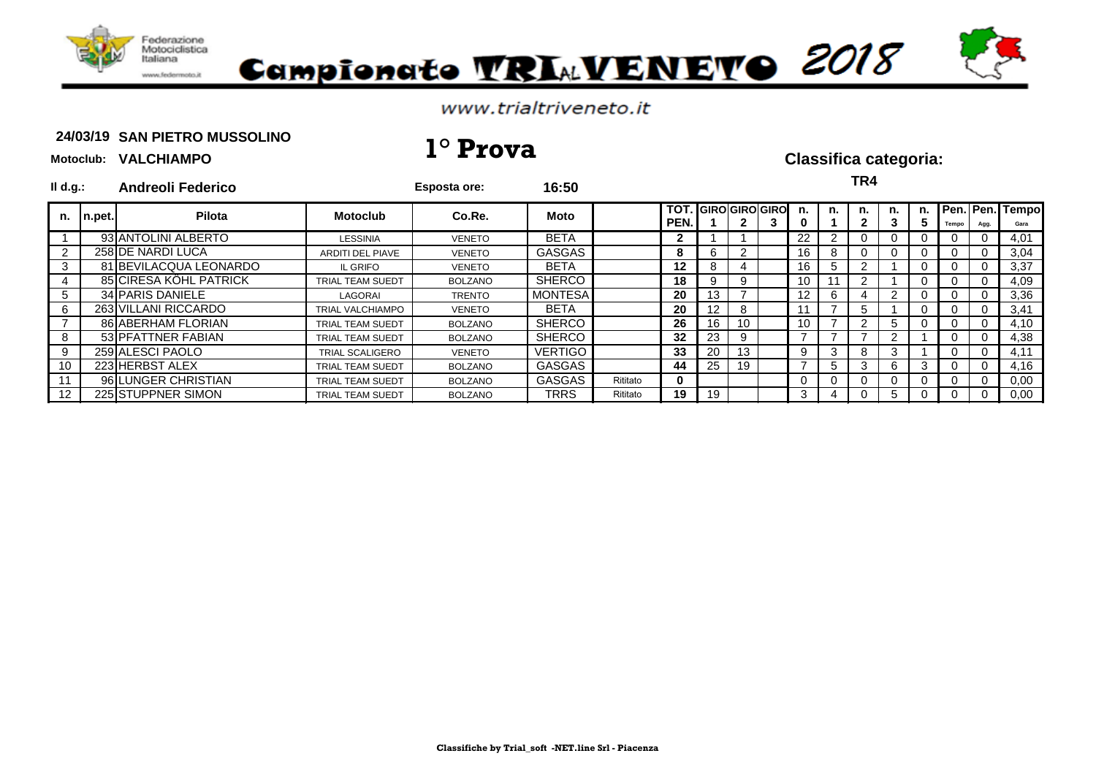

**Motoclub: VALCHIAMPO**

# Campionato VRIAVENEVO 2018

### www.trialtriveneto.it

### 24/03/19 SAN PIETRO MUSSOLINO **24/03/19 1° Prova Classifica categoria:**

| $I\mathsf{Id}.g$ : |                | <b>Andreoli Federico</b> |                         | <b>Esposta ore:</b> | 16:50          |          |      |                            |              |   |                 |    | TR4      |    |          |          |                |                                 |
|--------------------|----------------|--------------------------|-------------------------|---------------------|----------------|----------|------|----------------------------|--------------|---|-----------------|----|----------|----|----------|----------|----------------|---------------------------------|
| n.                 | $\vert$ n.pet. | Pilota                   | <b>Motoclub</b>         | Co.Re.              | Moto           |          | PEN. | <b>TOT. GIRO GIRO GIRO</b> | $\mathbf{2}$ | 3 | n.<br>0         | n. | n.<br>2  | n. | n.       | Tempo    | Agg.           | <b>TPen. Pen. Tempo</b><br>Gara |
|                    |                | 93 ANTOLINI ALBERTO      | <b>LESSINIA</b>         | VENETO              | <b>BETA</b>    |          |      |                            |              |   | 22              |    | 0        | 0  |          |          |                | 4,01                            |
|                    |                | 258 DE NARDI LUCA        | <b>ARDITI DEL PIAVE</b> | <b>VENETO</b>       | GASGAS         |          | 8    | 6                          |              |   | 16              | 8  | 0        | 0  |          |          | 0              | 3,04                            |
| 3                  |                | 81 BEVILACQUA LEONARDO   | IL GRIFO                | <b>VENETO</b>       | <b>BETA</b>    |          | 12   | 8.                         | 4            |   | 16              | :5 | っ        |    |          |          |                | 3,37                            |
| 4                  |                | 85 CIRESA KÖHL PATRICK   | TRIAL TEAM SUEDT        | <b>BOLZANO</b>      | <b>SHERCO</b>  |          | 18   | 9                          | 9            |   | 10              |    | 2        |    |          |          | $\Omega$       | 4,09                            |
| 5                  |                | 34 PARIS DANIELE         | LAGORAI                 | <b>TRENTO</b>       | <b>MONTESA</b> |          | 20   | 13                         |              |   | 12 <sub>1</sub> | 6  | 4        | 2  | $\Omega$ | $\Omega$ | $\overline{0}$ | 3,36                            |
| 6                  |                | 263 VILLANI RICCARDO     | <b>TRIAL VALCHIAMPO</b> | <b>VENETO</b>       | <b>BETA</b>    |          | 20   | 12                         | 8            |   |                 |    | 5        |    |          |          | $\Omega$       | 3,41                            |
|                    |                | 86 ABERHAM FLORIAN       | TRIAL TEAM SUEDT        | <b>BOLZANO</b>      | <b>SHERCO</b>  |          | 26   | 16                         | 10           |   | 10              |    | 2        | 5  |          |          | $\Omega$       | 4,10                            |
| 8                  |                | 53 PFATTNER FABIAN       | <b>TRIAL TEAM SUEDT</b> | BOLZANO             | <b>SHERCO</b>  |          | 32   | 23                         | 9            |   |                 |    |          | 2  |          | $\Omega$ | $\Omega$       | 4,38                            |
| 9                  |                | 259 ALESCI PAOLO         | <b>TRIAL SCALIGERO</b>  | VENETO              | <b>VERTIGO</b> |          | 33   | 20                         | 13           |   | 9               | 3  | 8        | 3  |          | 0        | $\Omega$       | 4,11                            |
| 10                 |                | 223 HERBST ALEX          | TRIAL TEAM SUEDT        | <b>BOLZANO</b>      | GASGAS         |          | 44   | 25                         | 19           |   |                 | G. | 3        | 6  | 3        |          | $\Omega$       | 4,16                            |
| 11                 |                | 96 LUNGER CHRISTIAN      | <b>TRIAL TEAM SUEDT</b> | <b>BOLZANO</b>      | <b>GASGAS</b>  | Rititato | 0    |                            |              |   |                 |    | $\Omega$ | 0  |          |          | $\overline{0}$ | 0,00                            |
| 12                 |                | 225 STUPPNER SIMON       | <b>TRIAL TEAM SUEDT</b> | <b>BOLZANO</b>      | TRRS           | Rititato | 19   | 19                         |              |   | 3               | 4  | 0        | 5  |          | 0        | $\Omega$       | 0,00                            |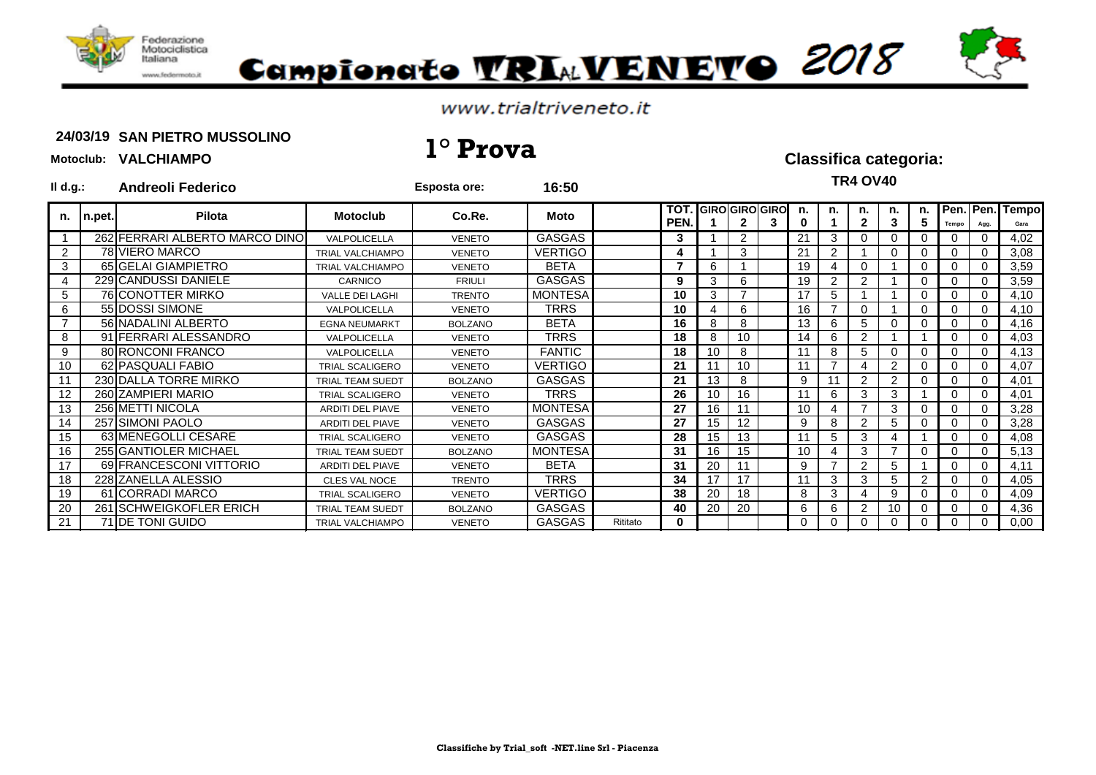

# Campionato VRIAVENEVO 2018

### www.trialtriveneto.it

### 24/03/19 SAN PIETRO MUSSOLINO **24/03/19 1° Prova Classifica categoria:**

| $II$ d.g.:     |        | <b>Andreoli Federico</b>       |                         | <b>Esposta ore:</b> | 16:50          |          |                          |    |                |                            |         |    | <b>TR4 OV40</b>    |                |                |          |      |                         |
|----------------|--------|--------------------------------|-------------------------|---------------------|----------------|----------|--------------------------|----|----------------|----------------------------|---------|----|--------------------|----------------|----------------|----------|------|-------------------------|
| n.             | n.pet. | <b>Pilota</b>                  | <b>Motoclub</b>         | Co.Re.              | <b>Moto</b>    |          | TOT.<br>PEN.             |    | $\mathbf{2}$   | <b>GIRO GIRO GIRO</b><br>3 | n.<br>0 | n. | n.<br>$\mathbf{2}$ | n.<br>3        | n.<br>5        | Tempo    | Agg. | Pen. Pen. Tempo<br>Gara |
|                |        | 262 FERRARI ALBERTO MARCO DINO | VALPOLICELLA            | <b>VENETO</b>       | <b>GASGAS</b>  |          | 3                        |    | $\overline{2}$ |                            | 21      | 3  |                    | 0              | 0              |          |      | 4,02                    |
| $\overline{2}$ |        | 78 VIERO MARCO                 | <b>TRIAL VALCHIAMPO</b> | <b>VENETO</b>       | <b>VERTIGO</b> |          | Δ                        |    | 3              |                            | 21      |    |                    | 0              | 0              |          |      | 3,08                    |
| 3              |        | 65 GELAI GIAMPIETRO            | <b>TRIAL VALCHIAMPO</b> | <b>VENETO</b>       | <b>BETA</b>    |          | $\overline{\phantom{a}}$ | 6  |                |                            | 19      |    |                    |                | 0              |          |      | 3,59                    |
| $\overline{4}$ |        | 229 CANDUSSI DANIELE           | CARNICO                 | <b>FRIULI</b>       | <b>GASGAS</b>  |          | 9                        | 3  | 6              |                            | 19      | 2  | 2                  |                | $\Omega$       |          |      | 3,59                    |
| $\sqrt{5}$     |        | 76 CONOTTER MIRKO              | VALLE DEI LAGHI         | <b>TRENTO</b>       | <b>MONTESA</b> |          | 10                       | 3  |                |                            | 17      | 5  |                    |                | 0              |          |      | 4,10                    |
| 6              |        | 55 DOSSI SIMONE                | <b>VALPOLICELLA</b>     | <b>VENETO</b>       | <b>TRRS</b>    |          | 10                       |    | 6              |                            | 16      |    |                    |                | 0              |          |      | 4,10                    |
| $\overline{7}$ |        | 56 NADALINI ALBERTO            | <b>EGNA NEUMARKT</b>    | <b>BOLZANO</b>      | <b>BETA</b>    |          | 16                       | 8  | 8              |                            | 13      | 6  | 5                  | 0              | 0              |          |      | 4,16                    |
| 8              |        | 91 FERRARI ALESSANDRO          | <b>VALPOLICELLA</b>     | <b>VENETO</b>       | <b>TRRS</b>    |          | 18                       | 8  | 10             |                            | 14      | 6  | $\overline{2}$     |                |                | 0        | ∩    | 4,03                    |
| 9              |        | 80 RONCONI FRANCO              | <b>VALPOLICELLA</b>     | <b>VENETO</b>       | <b>FANTIC</b>  |          | 18                       | 10 | 8              |                            | 11      | 8  | 5                  | 0              | 0              |          |      | 4,13                    |
| 10             |        | 62 PASQUALI FABIO              | <b>TRIAL SCALIGERO</b>  | <b>VENETO</b>       | <b>VERTIGO</b> |          | 21                       |    | 10             |                            | 11      |    |                    | 2              | 0              |          |      | 4,07                    |
| 11             |        | 230 DALLA TORRE MIRKO          | <b>TRIAL TEAM SUEDT</b> | <b>BOLZANO</b>      | <b>GASGAS</b>  |          | 21                       | 13 | 8              |                            | 9       |    | $\mathcal{P}$      | $\overline{2}$ | $\Omega$       |          |      | 4,01                    |
| 12             |        | 260 ZAMPIERI MARIO             | <b>TRIAL SCALIGERO</b>  | <b>VENETO</b>       | <b>TRRS</b>    |          | 26                       | 10 | 16             |                            | 11      | 6  | 3                  | 3              |                | $\Omega$ | ∩    | 4,01                    |
| 13             |        | 256 METTI NICOLA               | ARDITI DEL PIAVE        | <b>VENETO</b>       | <b>MONTESA</b> |          | 27                       | 16 | 11             |                            | 10      |    |                    | 3              | 0              |          |      | 3,28                    |
| 14             |        | 257 SIMONI PAOLO               | <b>ARDITI DEL PIAVE</b> | <b>VENETO</b>       | <b>GASGAS</b>  |          | 27                       | 15 | 12             |                            | 9       | 8  | $\mathcal{P}$      | 5              | 0              | 0        | ∩    | 3,28                    |
| 15             |        | 63 MENEGOLLI CESARE            | <b>TRIAL SCALIGERO</b>  | <b>VENETO</b>       | <b>GASGAS</b>  |          | 28                       | 15 | 13             |                            | 11      | 5  | 3                  |                |                |          |      | 4,08                    |
| 16             |        | 255 GANTIOLER MICHAEL          | TRIAL TEAM SUEDT        | <b>BOLZANO</b>      | <b>MONTESA</b> |          | 31                       | 16 | 15             |                            | 10      |    | 3                  |                | $\Omega$       |          |      | 5,13                    |
| 17             |        | 69 FRANCESCONI VITTORIO        | <b>ARDITI DEL PIAVE</b> | <b>VENETO</b>       | <b>BETA</b>    |          | 31                       | 20 | 11             |                            | 9       |    | 2                  | 5              |                |          |      | 4,11                    |
| 18             |        | 228 ZANELLA ALESSIO            | <b>CLES VAL NOCE</b>    | <b>TRENTO</b>       | <b>TRRS</b>    |          | 34                       | 17 | 17             |                            | 11      | 3  | 3                  | 5              | $\overline{2}$ |          |      | 4,05                    |
| 19             |        | 61 CORRADI MARCO               | <b>TRIAL SCALIGERO</b>  | <b>VENETO</b>       | <b>VERTIGO</b> |          | 38                       | 20 | 18             |                            | 8       | 3  |                    | 9              | 0              |          |      | 4,09                    |
| 20             |        | 261 SCHWEIGKOFLER ERICH        | <b>TRIAL TEAM SUEDT</b> | <b>BOLZANO</b>      | <b>GASGAS</b>  |          | 40                       | 20 | 20             |                            | 6       | 6  | 2                  | 10             | 0              |          |      | 4,36                    |
| 21             |        | 71 DE TONI GUIDO               | <b>TRIAL VALCHIAMPO</b> | <b>VENETO</b>       | <b>GASGAS</b>  | Rititato | $\mathbf{0}$             |    |                |                            | 0       |    |                    | 0              | 0              |          |      | 0,00                    |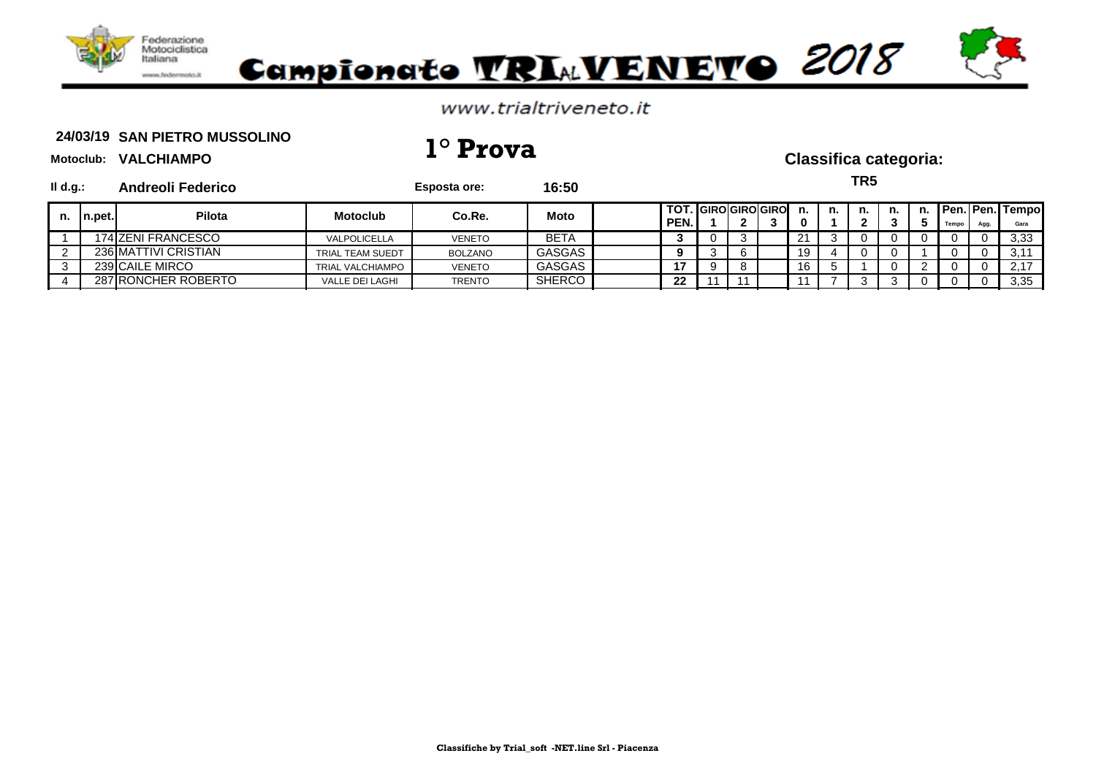

### www.trialtriveneto.it

### 24/03/19 SAN PIETRO MUSSOLINO **24/03/19 1° Prova Classifica categoria:**

**Motoclub: VALCHIAMPO**

**Il d.g.: Andreoli Federico Esposta ore: 16:50 TOT. GIRO GIRO GIRO n. n. n. n. n. Pen. Pen. Tempo PEN. 1 2 3 0 1 2 3 5 Tempo Agg. Gara** 1 174 ZENI FRANCESCO VALPOLICELLA VENETO BETA **3** 0 3 21 3 0 0 0 0 0 3,33 236 MATTIVI CRISTIAN **TRIAL TEAM SUEDT BOLZANO** GASGAS 19 3 6 19 4 0 0 1 1 0 0 3,11 3 239 CAILE MIRCO TRIAL VALCHIAMPO VENETO GASGAS **17** 9 8 16 5 1 0 2 0 0 2,17 4 287 RONCHER ROBERTO VALLE DEI LAGHI TRENTO SHERCO **22** 11 11 11 7 3 3 0 0 0 3,35 **TR5 n. n.pet. Pilota Motoclub Co.Re. Moto**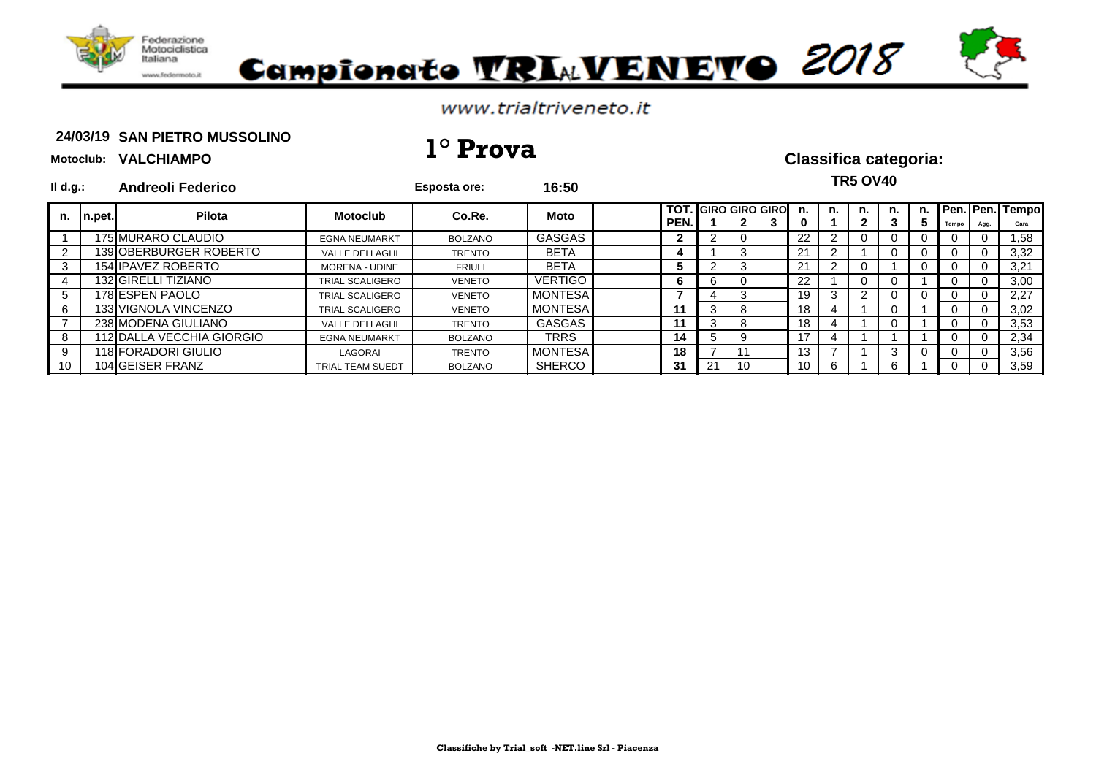

# Campionato VRIAVENEVO 2018

### www.trialtriveneto.it

### 24/03/19 SAN PIETRO MUSSOLINO **24/03/19 1° Prova Classifica categoria:**

**Motoclub: VALCHIAMPO**

| $II$ d.g.:     |        | <b>Andreoli Federico</b>  |                         | <b>Esposta ore:</b> | 16:50          |              |    |    |                           |    |    | <b>TR5 OV40</b> |    |                |      |                         |
|----------------|--------|---------------------------|-------------------------|---------------------|----------------|--------------|----|----|---------------------------|----|----|-----------------|----|----------------|------|-------------------------|
| n.             | n.pet. | Pilota                    | <b>Motoclub</b>         | Co.Re.              | Moto           | TOT.<br>PEN. |    |    | . <b>I</b> GIRO GIRO GIRO | n. | n. | n.              | n. | Tempo          | Agg. | Pen. Pen. Tempo<br>Gara |
|                |        | 175 MURARO CLAUDIO        | <b>EGNA NEUMARKT</b>    | <b>BOLZANO</b>      | GASGAS         |              |    | U  |                           | 22 |    |                 |    | $\Omega$       |      | ,58                     |
| $\overline{2}$ |        | 139 OBERBURGER ROBERTO    | <b>VALLE DEI LAGHI</b>  | <b>TRENTO</b>       | <b>BETA</b>    | 4            |    | 3  |                           | 21 | 2  |                 |    | 0              | 0    | 3,32                    |
| $\mathbf{3}$   |        | 154 IPAVEZ ROBERTO        | <b>MORENA - UDINE</b>   | <b>FRIULI</b>       | <b>BETA</b>    | 5.           |    | 3  |                           | 21 | 2  |                 |    | 0              | 0    | 3,21                    |
| $\overline{4}$ |        | 132 GIRELLI TIZIANO       | <b>TRIAL SCALIGERO</b>  | <b>VENETO</b>       | <b>VERTIGO</b> | 6            | 6  | 0  |                           | 22 |    | U               |    | 0              | -0   | 3,00                    |
| 5              |        | 178 ESPEN PAOLO           | <b>TRIAL SCALIGERO</b>  | <b>VENETO</b>       | <b>MONTESA</b> |              |    | 3  |                           | 19 | 3  |                 |    | 0              | -0   | 2,27                    |
| 6              |        | 133 VIGNOLA VINCENZO      | <b>TRIAL SCALIGERO</b>  | <b>VENETO</b>       | <b>MONTESA</b> | 11           | 3  | 8  |                           | 18 |    |                 |    | 0              |      | 3,02                    |
|                |        | 238 MODENA GIULIANO       | <b>VALLE DEI LAGHI</b>  | <b>TRENTO</b>       | GASGAS         | 11           | 3  | 8  |                           | 18 |    |                 |    | $\Omega$       | 0    | 3,53                    |
| 8              |        | 112 DALLA VECCHIA GIORGIO | <b>EGNA NEUMARKT</b>    | <b>BOLZANO</b>      | <b>TRRS</b>    | 14           | 5  | 9  |                           |    | 4  |                 |    | $\overline{0}$ | -0   | 2,34                    |
| - 9            |        | 118 FORADORI GIULIO       | LAGORAI                 | <b>TRENTO</b>       | <b>MONTESA</b> | 18           |    | 11 |                           | Ι3 |    |                 |    | 0              |      | 3,56                    |
| 10             |        | 104 GEISER FRANZ          | <b>TRIAL TEAM SUEDT</b> | <b>BOLZANO</b>      | <b>SHERCO</b>  | 31           | 21 | 10 |                           | 10 | 6  |                 |    | 0              |      | 3.59                    |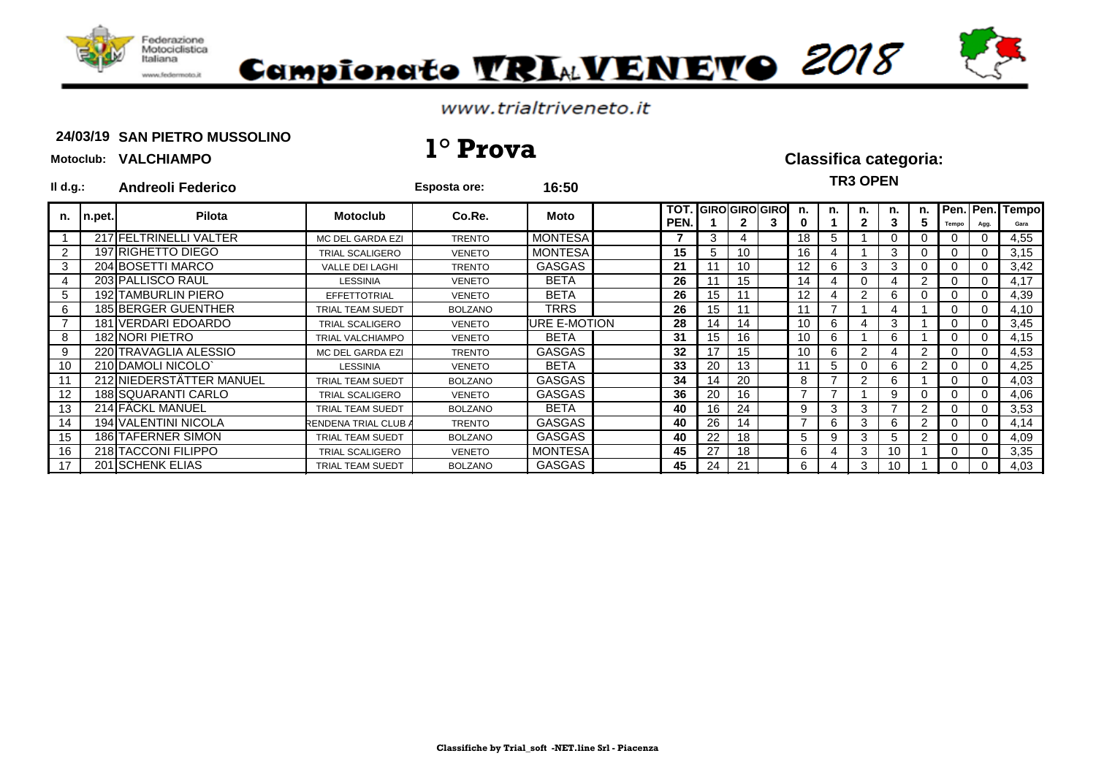

# Campionato VRIAVENEVO 2018

### www.trialtriveneto.it

### 24/03/19 SAN PIETRO MUSSOLINO **24/03/19 1° Prova Classifica categoria:**

| $II$ d.g.: |                  | <b>Andreoli Federico</b> |                             | <b>Esposta ore:</b> | 16:50                |                    |                  |                                    |   |         |    | <b>TR3 OPEN</b>    |          |         |       |      |                         |
|------------|------------------|--------------------------|-----------------------------|---------------------|----------------------|--------------------|------------------|------------------------------------|---|---------|----|--------------------|----------|---------|-------|------|-------------------------|
| n.         | $\lfloor$ n.pet. | Pilota                   | <b>Motoclub</b>             | Co.Re.              | Moto                 | TOT.<br><b>PEN</b> |                  | . IGIROIGIROIGIROI<br>$\mathbf{2}$ | 3 | n.<br>0 | n. | n.<br>$\mathbf{2}$ | n.       | n.<br>5 | Tempo | Agg. | Pen. Pen. Tempo<br>Gara |
|            |                  | 217 FELTRINELLI VALTER   | MC DEL GARDA EZI            | <b>TRENTO</b>       | <b>MONTESA</b>       | 7                  | 3                |                                    |   | 18      | 5. |                    | $\Omega$ |         |       |      | 4,55                    |
|            |                  | 197 RIGHETTO DIEGO       | <b>TRIAL SCALIGERO</b>      | <b>VENETO</b>       | <b>MONTESA</b>       | 15                 | 5                | 10                                 |   | 16      |    |                    | 3        |         |       |      | 3,15                    |
|            |                  | 204 BOSETTI MARCO        | <b>VALLE DEI LAGHI</b>      | <b>TRENTO</b>       | <b>GASGAS</b>        | 21                 |                  | 10                                 |   | 12      |    | 3                  | 3        |         |       |      | 3,42                    |
|            |                  | 203 PALLISCO RAUL        | <b>LESSINIA</b>             | <b>VENETO</b>       | <b>BETA</b>          | 26                 |                  | 15                                 |   | 14      |    | $\Omega$           |          | 2       |       |      | 4,17                    |
|            |                  | 192 TAMBURLIN PIERO      | <b>EFFETTOTRIAL</b>         | <b>VENETO</b>       | <b>BETA</b>          | 26                 | 15               |                                    |   | 12      |    | 2                  | 6        |         |       |      | 4,39                    |
| 6          |                  | 185 BERGER GUENTHER      | <b>TRIAL TEAM SUEDT</b>     | <b>BOLZANO</b>      | <b>TRRS</b>          | 26                 | 15 <sub>15</sub> |                                    |   | 11      |    |                    | 4        |         |       |      | 4,10                    |
|            |                  | 181 VERDARI EDOARDO      | <b>TRIAL SCALIGERO</b>      | <b>VENETO</b>       | <b>IURE E-MOTION</b> | 28                 | 14               | 14                                 |   | 10      | 6  |                    | 3        |         |       |      | 3,45                    |
|            |                  | 182 NORI PIETRO          | <b>TRIAL VALCHIAMPO</b>     | <b>VENETO</b>       | <b>BETA</b>          | 31                 | 15 <sub>1</sub>  | 16                                 |   | 10      | 6  |                    | 6        |         |       |      | 4,15                    |
| 9          |                  | 220 TRAVAGLIA ALESSIO    | MC DEL GARDA EZI            | <b>TRENTO</b>       | <b>GASGAS</b>        | 32                 | $\overline{7}$   | 15                                 |   | 10      |    | 2                  |          |         |       |      | 4,53                    |
| 10         |                  | 210 DAMOLI NICOLO        | LESSINIA                    | <b>VENETO</b>       | <b>BETA</b>          | 33                 | 20               | 13                                 |   | 11      | 5. |                    | 6        |         |       |      | 4,25                    |
| 11         |                  | 212 NIEDERSTÄTTER MANUEL | <b>TRIAL TEAM SUEDT</b>     | <b>BOLZANO</b>      | <b>GASGAS</b>        | 34                 | l 4              | 20                                 |   | 8       |    | 2                  | 6        |         |       |      | 4,03                    |
| 12         |                  | 188 SQUARANTI CARLO      | <b>TRIAL SCALIGERO</b>      | <b>VENETO</b>       | <b>GASGAS</b>        | 36                 | 20               | 16                                 |   |         |    |                    | 9        |         |       |      | 4,06                    |
| 13         |                  | 214 FÄCKL MANUEL         | <b>TRIAL TEAM SUEDT</b>     | <b>BOLZANO</b>      | <b>BETA</b>          | 40                 | 16               | 24                                 |   | 9       | 3  | 3                  |          | 2       |       |      | 3,53                    |
| 14         |                  | 194 VALENTINI NICOLA     | <b>RENDENA TRIAL CLUB A</b> | <b>TRENTO</b>       | <b>GASGAS</b>        | 40                 | 26               | 14                                 |   |         | 6  | 3                  | 6        | 2       |       |      | 4,14                    |
| 15         |                  | 186 TAFERNER SIMON       | <b>TRIAL TEAM SUEDT</b>     | <b>BOLZANO</b>      | <b>GASGAS</b>        | 40                 | 22               | 18                                 |   | 5       | 9  | 3                  | 5        |         |       |      | 4,09                    |
| 16         |                  | 218 TACCONI FILIPPO      | <b>TRIAL SCALIGERO</b>      | <b>VENETO</b>       | <b>MONTESA</b>       | 45                 | 27               | 18                                 |   | 6       |    | 3                  | 10       |         |       |      | 3,35                    |
| 17         |                  | 201 SCHENK ELIAS         | <b>TRIAL TEAM SUEDT</b>     | <b>BOLZANO</b>      | <b>GASGAS</b>        | 45                 | 24               | 21                                 |   | 6       |    | 3                  | 10       |         |       |      | 4,03                    |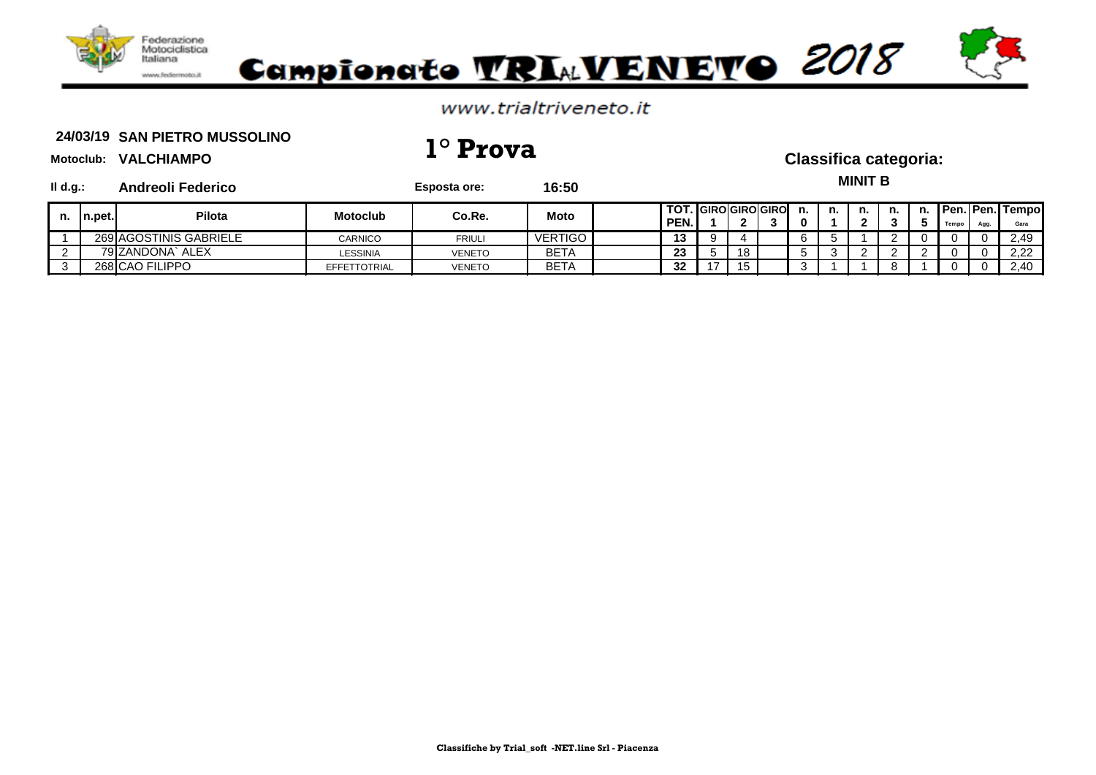

### www.trialtriveneto.it

### 24/03/19 SAN PIETRO MUSSOLINO **24/03/19 1° Prova Classifica categoria:**

**Il Esposta ore: 16:50** 

**MINIT B**

| ll d.g.: | <b>Andreoli Federico</b> |
|----------|--------------------------|
|          |                          |

| $In.$ pet. | Pilota                 | Motoclub            | Co.Re.        | <b>Moto</b> | TOT.<br>PEN. | ◠  | <b>. I</b> GIROIGIROIGIRO | n. | n. | n. | n.       | n.<br>w | Tempo | Agg. | <b>Pen. Pen. Tempo</b><br>Gara |
|------------|------------------------|---------------------|---------------|-------------|--------------|----|---------------------------|----|----|----|----------|---------|-------|------|--------------------------------|
|            | 269 AGOSTINIS GABRIELE | <b>CARNICO</b>      | <b>FRIULI</b> | VERTIGO     | 13           |    |                           |    |    |    | <u>_</u> | . .     |       |      | 2,49                           |
|            | 79 ZANDONA`.<br>ALEX   | <b>LESSINIA</b>     | VENETO        | <b>BETA</b> | 23           | 18 |                           |    |    |    |          |         |       |      | 2,22                           |
|            | 268 CAO FILIPPO        | <b>EFFETTOTRIAL</b> | <b>VENETO</b> | <b>BETA</b> | 32           | 15 |                           |    |    |    |          |         |       |      | 2,40                           |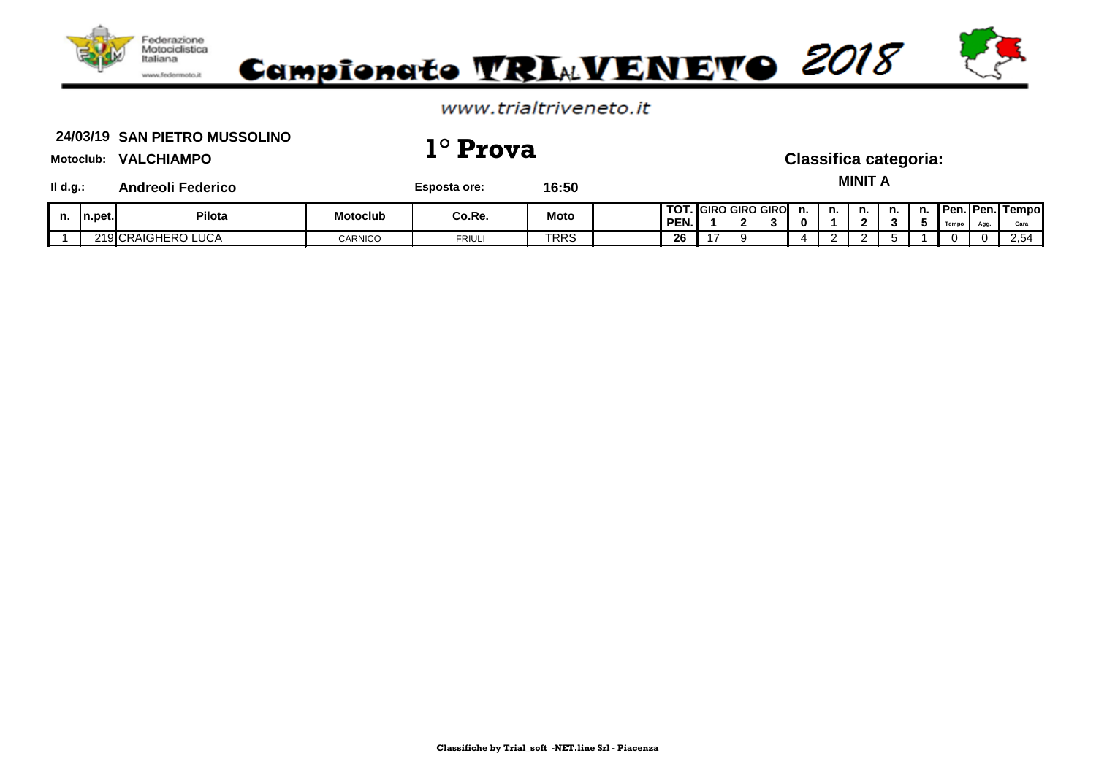

### www.trialtriveneto.it

### 24/03/19 SAN PIETRO MUSSOLINO **24/03/19 1° Prova Classifica categoria:**

**MINIT A**

**Il d.g.: Andreoli Federico Esposta ore: 16:50**

| n. | n.pet. | Pilota                          | Motoclub | Co.Re.              | <b>Moto</b> | $\mathbf{r}$<br><b>PEN.</b> | יטאו          | <b>ICIDOLODOLODO</b><br><b>GIRUIGIRU</b> | п. | n. | n. | n. | n. | UPen.⊾<br>----- | <b>⊡Pen.</b> ⊾<br>$\mathbf{A}$ | I Tempo<br>Gara                              |
|----|--------|---------------------------------|----------|---------------------|-------------|-----------------------------|---------------|------------------------------------------|----|----|----|----|----|-----------------|--------------------------------|----------------------------------------------|
|    |        | $\sim$<br>219 CRAIGHERO<br>∟UCA | CARNICO  | <b>CDU</b><br>ושטח־ | <b>TRRS</b> | ne.<br>ZD.                  | $\rightarrow$ |                                          |    |    |    |    |    |                 | 0                              | $\overline{\phantom{0}}$<br>2.5 <sup>2</sup> |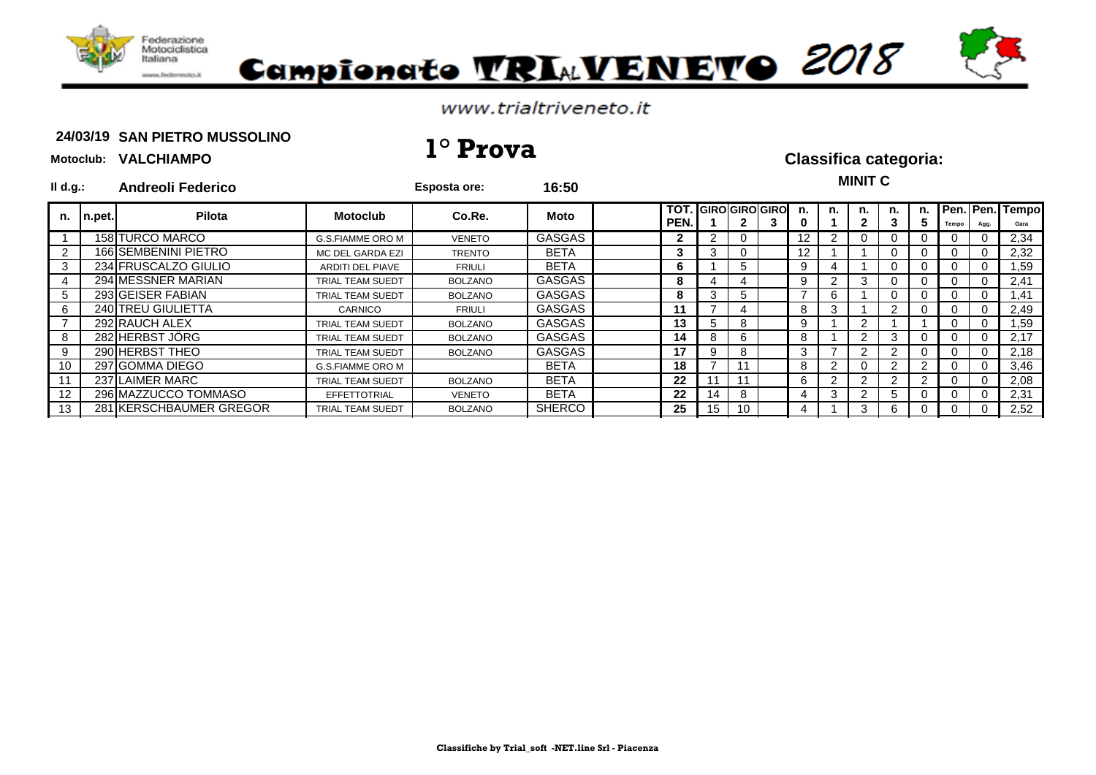

# Campionato TRIAVENETO 2018

### www.trialtriveneto.it

### 24/03/19 SAN PIETRO MUSSOLINO **24/03/19 1° Prova Classifica categoria:**

### **Motoclub: VALCHIAMPO**

### **Il d.g.: Andreoli Federico Esposta ore: 16:50 TOT. GIRO GIRO GIRO n. n. n. n. n. Pen. Pen. Tempo PEN. 1 2 3 0 1 2 3 5 Tempo Agg. Gara** 1 158 TURCO MARCO G.S.FIAMME ORO M VENETO GASGAS **2** 2 0 12 2 0 0 0 0 0 2,34 2 | 166 SEMBENINI PIETRO | MC DEL GARDA EZI | TRENTO | BETA | | 3 | 3 | 0 | | 1 | 1 | 1 | 0 | 0 | 0 | 0 | 2,32 3 234 FRUSCALZO GIULIO **ARDITI DEL PIAVE RETA IN BETA IN SETA IN SETA I** 6 1 1 5 1 9 4 1 1 0 0 0 0 0 1,59 4 294 MESSNER MARIAN TRIAL TEAM SUEDT BOLZANO GASGAS **8** 4 4 9 2 3 0 0 0 0 2,41 5 293 GEISER FABIAN TRIAL TEAM SUEDT BOLZANO GASGAS **8** 3 5 7 6 1 0 0 0 0 1,41 6 240 TREU GIULIETTA CARNICO FRIULI GASGAS **11** 7 4 8 3 1 2 0 0 0 2,49 7 292 RAUCH ALEX TRIAL TEAM SUEDT BOLZANO GASGAS **13** 5 8 9 1 2 1 1 0 0 1,59 8 282 HERBST JÖRG TRIAL TEAM SUEDT BOLZANO GASGAS **14** 8 6 8 1 2 3 0 0 0 2,17 9 290 HERBST THEO TRIAL TEAM SUEDT BOLZANO GASGAS **17** 9 8 3 7 2 2 0 0 0 2,18 10 297 GOMMA DIEGO G.S.FIAMME ORO M BETA **18** 7 11 8 2 0 2 2 0 0 3,46 11 237 LAIMER MARC TRIAL TEAM SUEDT BOLZANO BETA **22** 11 11 6 2 2 2 2 0 0 2,08 12 296 MAZZUCCO TOMMASO EFFETTOTRIAL VENETO BETA **22** 14 8 4 3 2 5 0 0 0 2,31 281 KERSCHBAUMER GREGOR TRIAL TEAM SUEDT BOLZANO SHERCO **25 15 15 10 4 1 3 6 0 0 0 2**,52 **MINIT C n. n.pet. Pilota Motoclub Co.Re. Moto**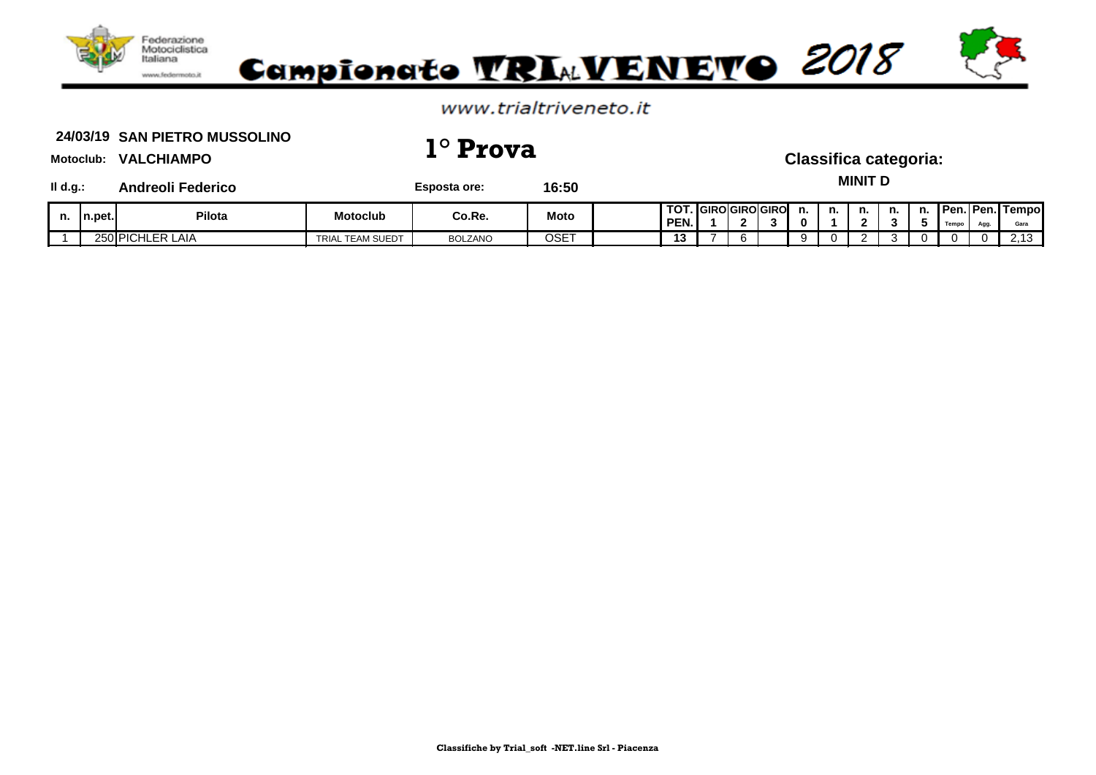

### www.trialtriveneto.it

### 24/03/19 SAN PIETRO MUSSOLINO **24/03/19 1° Prova Classifica categoria:**

**MINIT D**

**Il d.g.: Andreoli Federico Esposta ore: 16:50**

| n. | In.pet. | Pilota                       | Motoclub            | Co.Re.         | <b>Moto</b> | 1.70<br>ו טווטוויטו<br>PEN. |     | <b>I</b> GIROIGIROIGIRO | n.      | n. | n. | n. | n.<br>. . | <b>IPen.</b><br>Temp | <b>⊥Pen.I</b><br>$\Delta$ caca | l Tempo<br>Gara          |
|----|---------|------------------------------|---------------------|----------------|-------------|-----------------------------|-----|-------------------------|---------|----|----|----|-----------|----------------------|--------------------------------|--------------------------|
|    | 250 PIC | ⊥ER ⊺<br>╮.<br>: LAIA<br>ושו | TEAM SUEDT<br>TRIAL | <b>BOLZANO</b> | OSET        | . .                         | . . |                         | $\cdot$ |    |    |    |           |                      | 0                              | $\overline{\phantom{a}}$ |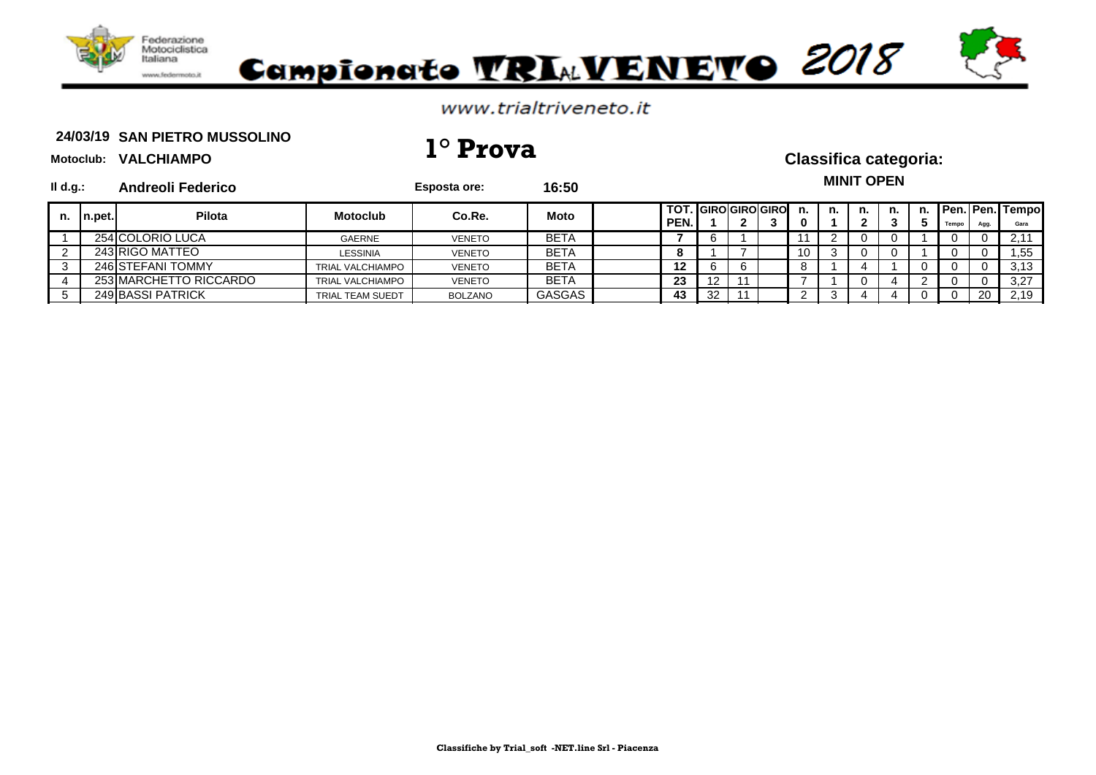

### www.trialtriveneto.it

### 24/03/19 SAN PIETRO MUSSOLINO **24/03/19 1° Prova Classifica categoria:**

| $II$ d.g.: |         | <b>Andreoli Federico</b> |                         | Esposta ore:   | 16:50         |                                    |    |  |         |    | <b>MINIT OPEN</b> |  |       |      |                            |
|------------|---------|--------------------------|-------------------------|----------------|---------------|------------------------------------|----|--|---------|----|-------------------|--|-------|------|----------------------------|
| n.         | ∪n.pet. | <b>Pilota</b>            | <b>Motoclub</b>         | Co.Re.         | <b>Moto</b>   | <b>TOT. GIRO GIRO GIRO</b><br>PEN. |    |  | n.<br>0 | n. | n.                |  | Tempo | Agg. | n. Pen. Pen. Tempo<br>Gara |
|            |         | 254 COLORIO LUCA         | <b>GAERNE</b>           | <b>VENETO</b>  | <b>BETA</b>   |                                    |    |  |         |    |                   |  |       |      | 2.11                       |
|            |         | 243 RIGO MATTEO          | <b>LESSINIA</b>         | <b>VENETO</b>  | <b>BETA</b>   |                                    |    |  | 10      | 3  |                   |  |       |      | 1,55                       |
|            |         | 246 STEFANI TOMMY        | <b>TRIAL VALCHIAMPO</b> | <b>VENETO</b>  | <b>BETA</b>   | 12                                 | 6  |  |         |    |                   |  |       |      | 3.13                       |
|            |         | 253 MARCHETTO RICCARDO   | <b>TRIAL VALCHIAMPO</b> | <b>VENETO</b>  | <b>BETA</b>   | 23                                 | 12 |  |         |    |                   |  |       |      | 3,27                       |
|            |         | 249 BASSI PATRICK        | TRIAL TEAM SUEDT        | <b>BOLZANO</b> | <b>GASGAS</b> | 43                                 | 32 |  |         |    |                   |  |       | 20   | 2,19                       |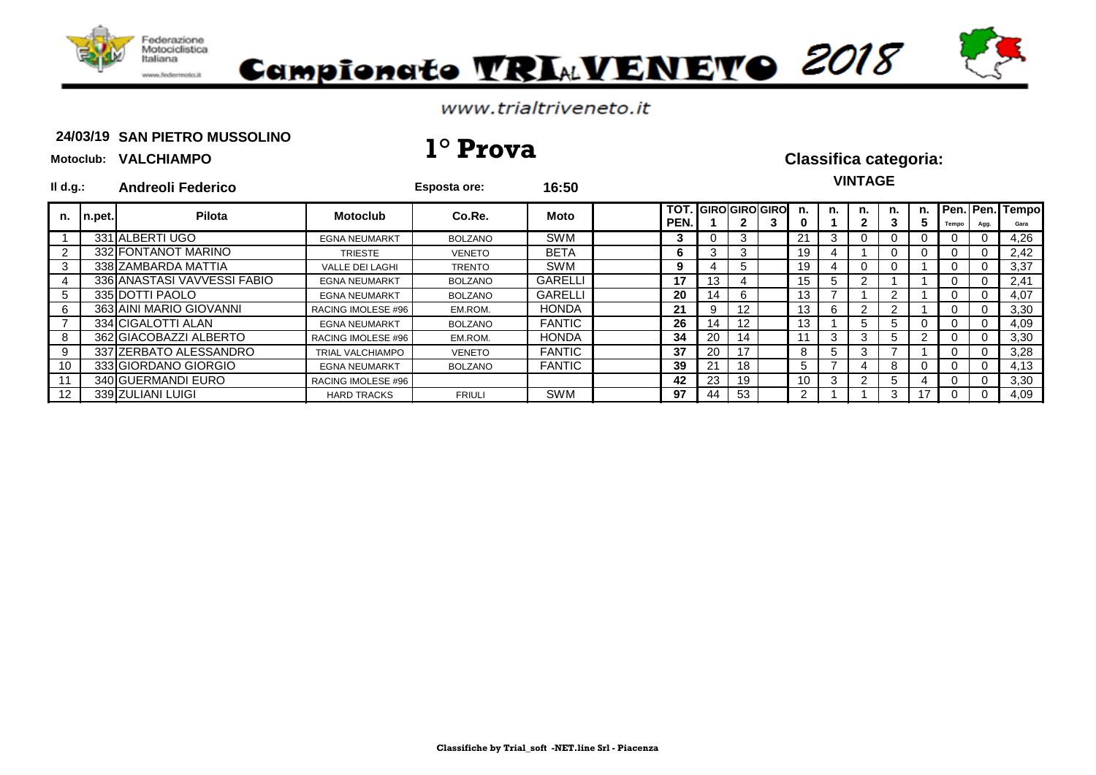

**Motoclub: VALCHIAMPO**

# Campionato VRIAVENEVO 2018

### www.trialtriveneto.it

### 24/03/19 SAN PIETRO MUSSOLINO **24/03/19 1° Prova Classifica categoria:**

| $II$ d.g.:     |        | <b>Andreoli Federico</b>    |                         | <b>Esposta ore:</b> | 16:50          |                    |     |             |                       |         |    | <b>VINTAGE</b> |                |         |       |                   |                      |
|----------------|--------|-----------------------------|-------------------------|---------------------|----------------|--------------------|-----|-------------|-----------------------|---------|----|----------------|----------------|---------|-------|-------------------|----------------------|
| n.             | n.pet. | Pilota                      | <b>Motoclub</b>         | Co.Re.              | Moto           | <b>TOT</b><br>PEN. |     |             | <b>GIRO GIRO GIRO</b> | n.<br>0 | n. | n.             | n.<br>3        | n.<br>G | Tempo | Pen. Pen.<br>Agg. | <b>Tempo</b><br>Gara |
|                |        | 331 ALBERTI UGO             | <b>EGNA NEUMARKT</b>    | <b>BOLZANO</b>      | <b>SWM</b>     | 3                  |     | 3           |                       | 21      | 3  | 0              | 0              | U       |       |                   | 4,26                 |
| $\overline{2}$ |        | 332 FONTANOT MARINO         | <b>TRIESTE</b>          | <b>VENETO</b>       | <b>BETA</b>    | 6                  |     | 3           |                       | 19      |    |                | $\Omega$       | 0       |       |                   | 2,42                 |
| 3              |        | 338 ZAMBARDA MATTIA         | <b>VALLE DEI LAGHI</b>  | <b>TRENTO</b>       | <b>SWM</b>     | 9                  |     | $5^{\circ}$ |                       | 19      | 4  | 0              | $\Omega$       |         |       |                   | 3,37                 |
|                |        | 336 ANASTASI VAVVESSI FABIO | <b>EGNA NEUMARKT</b>    | <b>BOLZANO</b>      | <b>GARELLI</b> | 17                 | 13. |             |                       | 15      | 5  | 2              |                |         |       |                   | 2,41                 |
| 5              |        | 335 DOTTI PAOLO             | <b>EGNA NEUMARKT</b>    | <b>BOLZANO</b>      | <b>GARELLI</b> | 20                 | 14  | 6           |                       | 13      |    |                | $\overline{2}$ |         | U     |                   | 4,07                 |
| 6              |        | 363 AINI MARIO GIOVANNI     | RACING IMOLESE #96      | EM.ROM.             | <b>HONDA</b>   | 21                 | 9   | 12          |                       | 13      | 6. | 2              | 2              |         |       |                   | 3,30                 |
|                |        | 334 CIGALOTTI ALAN          | <b>EGNA NEUMARKT</b>    | <b>BOLZANO</b>      | <b>FANTIC</b>  | 26                 | 14  | 12          |                       | 13      |    | 5.             | 5              |         |       |                   | 4,09                 |
| 8              |        | 362 GIACOBAZZI ALBERTO      | RACING IMOLESE #96      | EM.ROM.             | <b>HONDA</b>   | 34                 | 20  | 14          |                       | 11      | 3  | 3              | 5              |         | U     |                   | 3,30                 |
| 9              |        | 337 ZERBATO ALESSANDRO      | <b>TRIAL VALCHIAMPO</b> | <b>VENETO</b>       | <b>FANTIC</b>  | 37                 | 20  | 17          |                       | 8       | b. | 3              |                |         |       |                   | 3,28                 |
| 10             |        | 333 GIORDANO GIORGIO        | <b>EGNA NEUMARKT</b>    | <b>BOLZANO</b>      | <b>FANTIC</b>  | 39                 |     | 18          |                       | 5       |    | 4              | 8              |         |       |                   | 4,13                 |
|                |        | 340 GUERMANDI EURO          | RACING IMOLESE #96      |                     |                | 42                 | 23  | 19          |                       | 10      |    | 2              | 5              |         |       |                   | 3,30                 |
| 12             |        | 339 ZULIANI LUIGI           | <b>HARD TRACKS</b>      | <b>FRIULI</b>       | <b>SWM</b>     | 97                 | 44  | 53          |                       | 2       |    |                | 3              | 17      |       |                   | 4,09                 |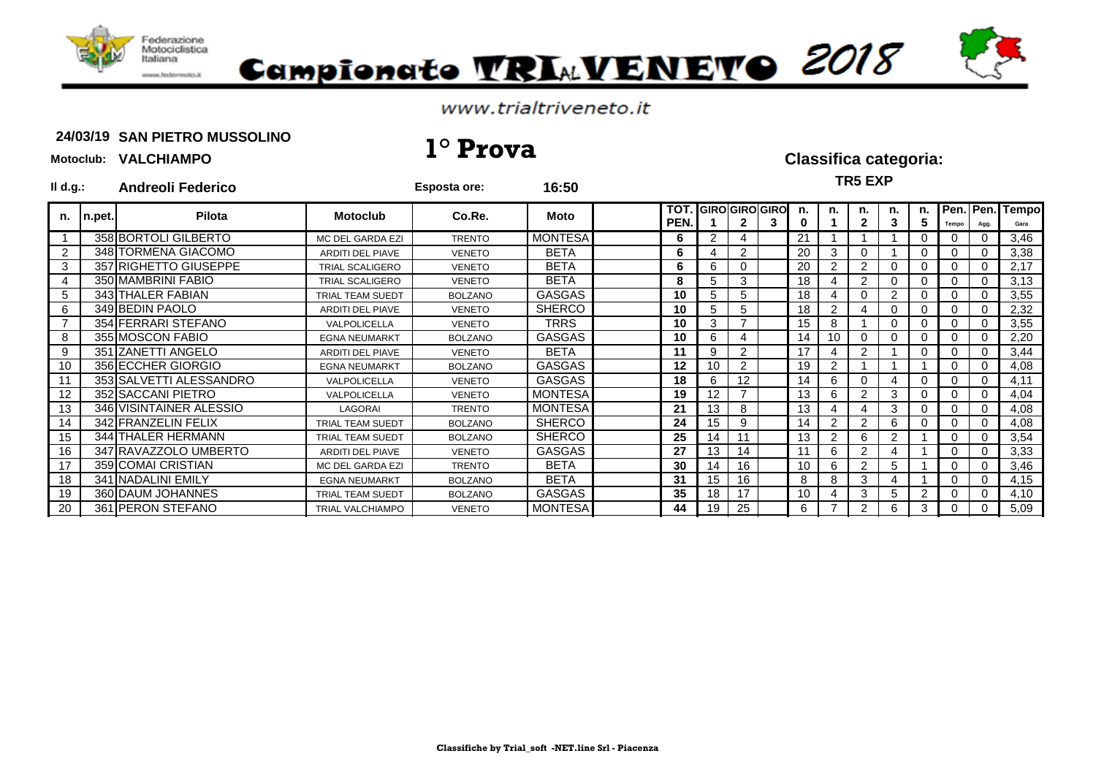

# Campionato VRIAVENEVO 2018

### www.trialtriveneto.it

### 24/03/19 SAN PIETRO MUSSOLINO **24/03/19 1° Prova Classifica categoria:**

| $II$ d.g.: |        | <b>Andreoli Federico</b> |                         | <b>Esposta ore:</b> | 16:50          |                    |                       |                 |   |         |                | <b>TR5 EXP</b>     |                |          |       |          |                         |
|------------|--------|--------------------------|-------------------------|---------------------|----------------|--------------------|-----------------------|-----------------|---|---------|----------------|--------------------|----------------|----------|-------|----------|-------------------------|
| n.         | n.pet. | Pilota                   | <b>Motoclub</b>         | Co.Re.              | Moto           | <b>TOT</b><br>PEN. | <b>GIRO</b> GIRO GIRO |                 | 3 | n.<br>0 | n.             | n.<br>$\mathbf{2}$ | n.<br>3        | n.<br>5  | Tempo | Agg.     | Pen. Pen. Tempo<br>Gara |
|            |        | 358 BORTOLI GILBERTO     | MC DEL GARDA EZI        | <b>TRENTO</b>       | <b>MONTESA</b> | 6                  | 2                     |                 |   | 21      |                |                    |                |          |       |          | 3,46                    |
| 2          |        | 348 TORMENA GIACOMO      | <b>ARDITI DEL PIAVE</b> | <b>VENETO</b>       | <b>BETA</b>    | 6                  |                       | $\overline{2}$  |   | 20      | 3              |                    |                | 0        |       |          | 3,38                    |
| 3          |        | 357 RIGHETTO GIUSEPPE    | <b>TRIAL SCALIGERO</b>  | <b>VENETO</b>       | <b>BETA</b>    | 6                  | 6                     | 0               |   | 20      | $\overline{2}$ | 2                  | 0              | 0        |       |          | 2,17                    |
|            |        | 350 MAMBRINI FABIO       | TRIAL SCALIGERO         | <b>VENETO</b>       | <b>BETA</b>    | 8                  | 5                     | 3               |   | 18      |                | 2                  | 0              | 0        |       |          | 3,13                    |
| 5          |        | 343 THALER FABIAN        | <b>TRIAL TEAM SUEDT</b> | <b>BOLZANO</b>      | <b>GASGAS</b>  | 10                 | 5                     | 5               |   | 18      |                |                    | $\overline{2}$ | 0        |       |          | 3,55                    |
| 6          |        | 349 BEDIN PAOLO          | ARDITI DEL PIAVE        | <b>VENETO</b>       | <b>SHERCO</b>  | 10                 | 5                     | 5.              |   | 18      | $\overline{2}$ |                    | $\Omega$       | 0        |       |          | 2,32                    |
|            |        | 354 FERRARI STEFANO      | VALPOLICELLA            | <b>VENETO</b>       | <b>TRRS</b>    | 10                 | 3                     |                 |   | 15      | 8              |                    | $\Omega$       | 0        |       |          | 3,55                    |
| 8          |        | 355 MOSCON FABIO         | <b>EGNA NEUMARKT</b>    | <b>BOLZANO</b>      | <b>GASGAS</b>  | 10                 | 6                     |                 |   | 14      | 10             |                    | 0              | 0        |       |          | 2,20                    |
| 9          |        | 351 ZANETTI ANGELO       | <b>ARDITI DEL PIAVE</b> | <b>VENETO</b>       | <b>BETA</b>    | 11                 | 9                     | $\overline{2}$  |   | 17      |                | $\overline{2}$     |                | 0        |       |          | 3,44                    |
| 10         |        | 356 ECCHER GIORGIO       | <b>EGNA NEUMARKT</b>    | <b>BOLZANO</b>      | <b>GASGAS</b>  | 12                 | 10                    | $\overline{2}$  |   | 19      | $\overline{2}$ |                    |                |          |       | $\Omega$ | 4,08                    |
| 11         |        | 353 SALVETTI ALESSANDRO  | VALPOLICELLA            | <b>VENETO</b>       | <b>GASGAS</b>  | 18                 | 6                     | 12 <sub>2</sub> |   | 14      | 6              |                    | $\overline{4}$ | 0        |       |          | 4,11                    |
| 12         |        | 352 SACCANI PIETRO       | VALPOLICELLA            | <b>VENETO</b>       | <b>MONTESA</b> | 19                 | 12                    |                 |   | 13      | 6              | 2                  | 3              | 0        |       |          | 4,04                    |
| 13         |        | 346 VISINTAINER ALESSIO  | LAGORAI                 | <b>TRENTO</b>       | <b>MONTESA</b> | 21                 | 13                    | 8               |   | 13      |                |                    | 3              | 0        |       |          | 4,08                    |
| 14         |        | 342 FRANZELIN FELIX      | <b>TRIAL TEAM SUEDT</b> | <b>BOLZANO</b>      | <b>SHERCO</b>  | 24                 | 15                    | 9               |   | 14      | $\overline{2}$ | 2                  | 6              | $\Omega$ |       |          | 4,08                    |
| 15         |        | 344 THALER HERMANN       | TRIAL TEAM SUEDT        | <b>BOLZANO</b>      | <b>SHERCO</b>  | 25                 | 14                    | 11              |   | 13      | $\overline{2}$ | 6                  | 2              |          |       |          | 3,54                    |
| 16         |        | 347 RAVAZZOLO UMBERTO    | <b>ARDITI DEL PIAVE</b> | <b>VENETO</b>       | <b>GASGAS</b>  | 27                 | 13                    | 14              |   | 11      | 6              | $\overline{2}$     | 4              |          |       |          | 3,33                    |
| 17         |        | 359 COMAI CRISTIAN       | MC DEL GARDA EZI        | <b>TRENTO</b>       | <b>BETA</b>    | 30                 | 14                    | 16              |   | 10      | 6              | 2                  | 5              |          |       |          | 3,46                    |
| 18         |        | 341 NADALINI EMILY       | <b>EGNA NEUMARKT</b>    | <b>BOLZANO</b>      | <b>BETA</b>    | 31                 | 15                    | 16              |   | 8       | 8              | 3                  | 4              |          |       |          | 4,15                    |
| 19         |        | 360 DAUM JOHANNES        | <b>TRIAL TEAM SUEDT</b> | <b>BOLZANO</b>      | <b>GASGAS</b>  | 35                 | 18                    | 17              |   | 10      |                | 3                  | 5              | 2        |       |          | 4,10                    |
| 20         |        | 361 PERON STEFANO        | <b>TRIAL VALCHIAMPO</b> | <b>VENETO</b>       | <b>MONTESA</b> | 44                 | 19                    | 25              |   | 6       |                | $\overline{2}$     | 6              | 3        |       |          | 5,09                    |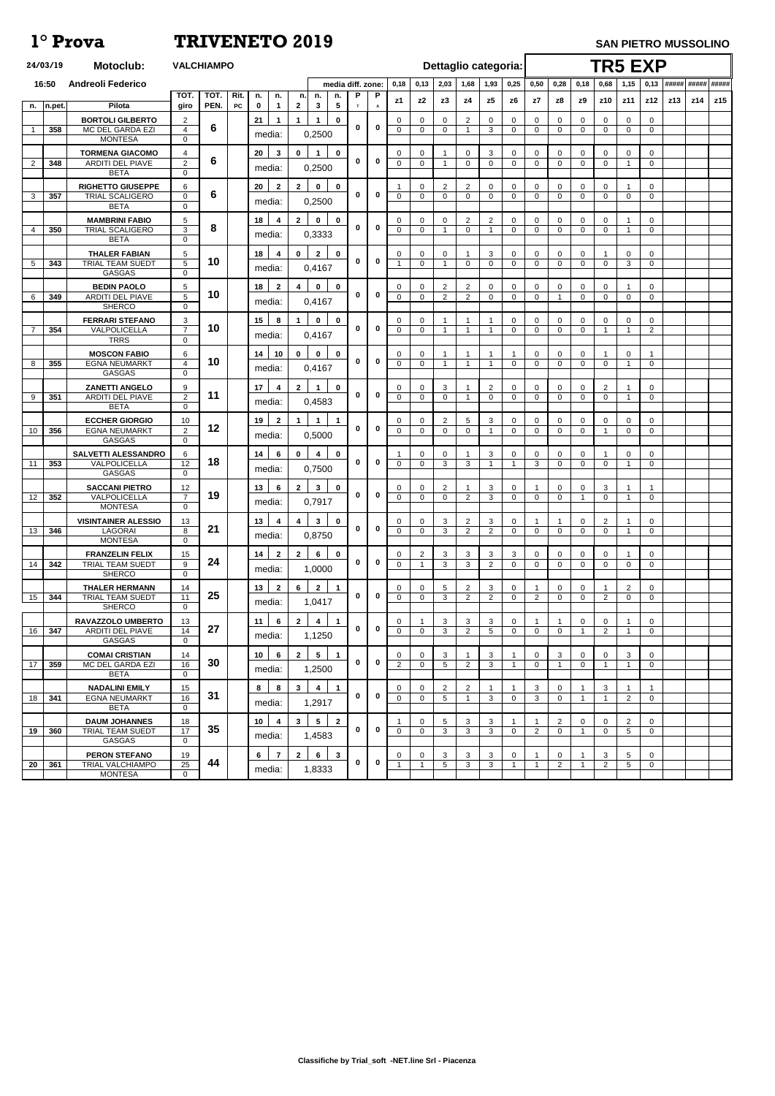| 16:50<br><b>Andreoli Federico</b><br>media diff. zone:<br>2,03<br>1,68<br>0,25<br>0,50<br>0,18<br>1,93<br>0,28<br>0,18<br>0,68<br>1,15<br>0,13<br><b>TOT</b><br><b>TOT</b><br>Rit.<br>P<br>P<br>n.<br>n.<br>n.<br>n.<br>n.<br>z <sub>2</sub><br>z4<br>z5<br>z9<br>z10<br>z12<br>z3<br>z6<br>z7<br>z8<br>z11<br><b>z1</b><br>Pilota<br>PEN.<br>$\overline{\mathbf{5}}$<br>${\sf PC}$<br>$\mathbf 0$<br>$\mathbf{2}$<br>$\mathbf{3}$<br>giro<br>$\mathbf 1$<br>n.pet.<br>$\mathbf{T}$<br>A<br>n.<br><b>BORTOLI GILBERTO</b><br>$\mathbf 0$<br>$2^{\circ}$<br>$\mathbf 0$<br>2<br>21<br>0<br>0<br>$\mathbf 0$<br>$\mathbf{0}$<br>$\Omega$<br>0<br>$\mathbf 0$<br>$\overline{0}$<br>1<br>0<br>$\Omega$ | $0,13$ ##### #####<br>##### |
|----------------------------------------------------------------------------------------------------------------------------------------------------------------------------------------------------------------------------------------------------------------------------------------------------------------------------------------------------------------------------------------------------------------------------------------------------------------------------------------------------------------------------------------------------------------------------------------------------------------------------------------------------------------------------------------------------|-----------------------------|
|                                                                                                                                                                                                                                                                                                                                                                                                                                                                                                                                                                                                                                                                                                    |                             |
|                                                                                                                                                                                                                                                                                                                                                                                                                                                                                                                                                                                                                                                                                                    | z15<br>z13<br>z14           |
|                                                                                                                                                                                                                                                                                                                                                                                                                                                                                                                                                                                                                                                                                                    |                             |
| 6<br>$\mathbf 0$<br>0<br>MC DEL GARDA EZI<br>$\overline{4}$<br>$\Omega$<br>$\mathbf 0$<br>3<br>$\mathbf 0$<br>$\overline{0}$<br>$\mathbf 0$<br>358<br>$\mathbf 0$<br>$\Omega$<br>$\mathbf{0}$<br>$\overline{1}$<br>$\Omega$<br>$\mathbf 0$<br>0,2500<br>media:<br><b>MONTESA</b><br>$\mathbf 0$                                                                                                                                                                                                                                                                                                                                                                                                    |                             |
| $\mathbf 0$<br><b>TORMENA GIACOMO</b><br>3<br>$\mathbf{0}$<br>3<br>0<br>0<br>0<br>20<br>$\Omega$<br>0<br>$\mathbf 0$<br>0<br>0<br>4<br>0<br>0                                                                                                                                                                                                                                                                                                                                                                                                                                                                                                                                                      |                             |
| 6<br>$\mathbf 0$<br>0<br>$\sqrt{2}$<br>348<br><b>ARDITI DEL PIAVE</b><br>$\overline{0}$<br>$\mathbf 0$<br>$\mathbf 0$<br>2<br>$\Omega$<br>$\Omega$<br>$\mathbf 0$<br>$\mathbf 0$<br>0<br>- 1<br>$\Omega$<br>$\Omega$<br>0,2500<br>media:                                                                                                                                                                                                                                                                                                                                                                                                                                                           |                             |
| <b>BETA</b><br>$\Omega$<br><b>RIGHETTO GIUSEPPE</b><br>$\overline{2}$<br>6<br>20<br>$\overline{2}$<br>$\mathbf{2}$<br>$\mathbf 0$<br>$\mathbf 0$<br>2<br>$\Omega$<br>0<br>$\mathbf{0}$<br>0<br>0<br>$\Omega$<br>0<br>0                                                                                                                                                                                                                                                                                                                                                                                                                                                                             |                             |
| 6<br>$\bf{0}$<br>$\mathbf 0$<br>357<br><b>TRIAL SCALIGERO</b><br>$\mathbf 0$<br>$\Omega$<br>$\mathbf 0$<br>3<br>$\mathbf{0}$<br>$\Omega$<br>$\Omega$<br>$\mathbf 0$<br>$\Omega$<br>$\mathbf 0$<br>$\mathbf{0}$<br>$\Omega$<br>$\Omega$<br>$\Omega$<br>0,2500<br>media:                                                                                                                                                                                                                                                                                                                                                                                                                             |                             |
| <b>BETA</b><br>$\mathbf 0$                                                                                                                                                                                                                                                                                                                                                                                                                                                                                                                                                                                                                                                                         |                             |
| <b>MAMBRINI FABIO</b><br>$\mathbf{2}$<br>$\mathbf 0$<br>$\mathbf 0$<br>$\overline{2}$<br>5<br>18<br>2<br>$\mathbf 0$<br>0<br>$\mathbf 0$<br>4<br>$\Omega$<br>0<br>0<br>0<br>0<br>0<br>8<br>$\mathbf 0$<br>$\bf{0}$<br>3<br><b>TRIAL SCALIGERO</b><br>350<br>$\Omega$<br>$\mathbf 0$<br>$\mathbf 0$<br>$\mathbf 0$<br>$\mathbf{0}$<br>$\mathbf 0$<br>$\Omega$<br>4<br>- 1<br>$\overline{\mathbf{1}}$<br>$\Omega$<br>$\Omega$<br>0,3333<br>media:                                                                                                                                                                                                                                                    |                             |
| <b>BETA</b><br>$\Omega$                                                                                                                                                                                                                                                                                                                                                                                                                                                                                                                                                                                                                                                                            |                             |
| $\mathbf{2}$<br>$\mathbf 0$<br><b>THALER FABIAN</b><br>$\mathbf 0$<br>3<br>$5\phantom{.0}$<br>18<br>$\mathbf 0$<br>$\mathbf 0$<br>$\Omega$<br>$\mathbf 0$<br>$\mathbf{0}$<br>$\mathbf{0}$<br>$\mathbf 0$<br>-1<br>0<br>4<br>0<br>10<br>$\mathbf 0$<br>0<br>$5\phantom{.0}$<br>5<br><b>TRIAL TEAM SUEDT</b><br>$\mathbf{0}$<br>343<br>$\Omega$<br>$\mathbf 0$<br>$\overline{0}$<br>$\mathbf 0$<br>3<br>$\Omega$<br>$\mathbf{0}$<br>$\Omega$<br>$\mathbf{0}$<br>- 1                                                                                                                                                                                                                                  |                             |
| 0,4167<br>media:<br><b>GASGAS</b><br>$\Omega$                                                                                                                                                                                                                                                                                                                                                                                                                                                                                                                                                                                                                                                      |                             |
| <b>BEDIN PAOLO</b><br>$\mathbf 0$<br>$\overline{2}$<br>$\overline{2}$<br>$5\phantom{.0}$<br>18<br>$\mathbf{2}$<br>$\overline{\mathbf{4}}$<br>$\mathbf 0$<br>0<br>$\mathbf 0$<br>$\mathbf 0$<br>$\mathbf 0$<br>0<br>0<br>0<br>0<br>0<br>10<br>$\mathbf 0$<br>$\bf{0}$<br>$5\phantom{.0}$<br><b>ARDITI DEL PIAVE</b><br>$\overline{2}$<br>349<br>$\overline{0}$<br>$\mathbf 0$<br>2<br>6<br>$\Omega$<br>$\mathbf 0$<br>$\mathbf 0$<br>0<br>$\mathbf 0$<br>0<br>$\Omega$                                                                                                                                                                                                                              |                             |
| 0,4167<br>media:<br><b>SHERCO</b><br>$\Omega$                                                                                                                                                                                                                                                                                                                                                                                                                                                                                                                                                                                                                                                      |                             |
| 3<br><b>FERRARI STEFANO</b><br>15 <sub>15</sub><br>$\mathbf 0$<br>$\mathbf 0$<br>8<br>$\mathbf{0}$<br>0<br>0<br>0<br>0<br>$\Omega$<br>0<br>0<br>0<br>10<br>$\mathbf 0$<br>$\bf{0}$<br>$\overline{7}$<br>$\overline{7}$<br>-1                                                                                                                                                                                                                                                                                                                                                                                                                                                                       |                             |
| $\overline{2}$<br>354<br>VALPOLICELLA<br>$\Omega$<br>$\mathbf 0$<br>$\mathbf 0$<br>$\Omega$<br>$\mathbf 0$<br>-1<br>$\Omega$<br>-1<br>0,4167<br>media:<br><b>TRRS</b><br>$\mathbf 0$                                                                                                                                                                                                                                                                                                                                                                                                                                                                                                               |                             |
| $\mathbf 0$<br><b>MOSCON FABIO</b><br>6<br>14<br>10<br>$\mathbf 0$<br>$\mathbf 0$<br>$\mathbf 0$<br>$\mathbf 0$<br>0<br>$\Omega$<br>0<br>-1<br>-1<br>0<br>-1                                                                                                                                                                                                                                                                                                                                                                                                                                                                                                                                       |                             |
| 10<br>$\mathbf 0$<br>$\bf{0}$<br>$\overline{4}$<br>355<br><b>EGNA NEUMARKT</b><br>$\mathbf 0$<br>$\mathbf 0$<br>8<br>$\mathbf{0}$<br>$\mathbf{0}$<br>$\Omega$<br>$\Omega$<br>$\Omega$<br>- 1<br>-1<br>$\Omega$<br>-1<br>0,4167<br>media:<br><b>GASGAS</b><br>$\mathbf{0}$                                                                                                                                                                                                                                                                                                                                                                                                                          |                             |
| <b>ZANETTI ANGELO</b><br>$\overline{2}$<br>9<br>17 <sub>2</sub><br>$\mathbf{0}$<br>3<br>$\overline{2}$<br>$\mathbf 0$<br>$\mathbf{2}$<br>$\mathbf 0$<br>0<br>0<br>0<br>4<br>0<br>0                                                                                                                                                                                                                                                                                                                                                                                                                                                                                                                 |                             |
| 11<br>$\mathbf 0$<br>$\boldsymbol{0}$<br>2<br>351<br>$\overline{0}$<br>9<br><b>ARDITI DEL PIAVE</b><br>$\Omega$<br>$\Omega$<br>$\Omega$<br>$\mathbf{0}$<br>$\Omega$<br>$\Omega$<br>$\Omega$<br>$\Omega$<br>$\Omega$<br>-1<br>-1<br>media:<br>0,4583<br><b>BETA</b><br>$\Omega$                                                                                                                                                                                                                                                                                                                                                                                                                     |                             |
| 2<br><b>ECCHER GIORGIO</b><br>19<br>3<br>10<br>$\mathbf{2}$<br>$\overline{1}$<br>5<br>$\mathbf{0}$<br>$\Omega$<br>0<br>$\mathbf 0$<br>$\mathbf{0}$<br>$\Omega$<br>$\Omega$<br>$\Omega$<br>0                                                                                                                                                                                                                                                                                                                                                                                                                                                                                                        |                             |
| 12<br>$\mathbf 0$<br>0<br>2<br><b>EGNA NEUMARKT</b><br>$\Omega$<br>356<br>$\Omega$<br>$\Omega$<br>$\Omega$<br>$\mathbf 0$<br>0<br>10<br>$\Omega$<br>$\Omega$<br>$\Omega$<br>$\Omega$<br>-1<br>0,5000<br>media:<br><b>GASGAS</b><br>$\mathbf{0}$                                                                                                                                                                                                                                                                                                                                                                                                                                                    |                             |
| <b>SALVETTI ALESSANDRO</b><br>6<br>$\mathbf 0$<br>3<br>14<br>6<br>$\mathbf 0$<br>$\Omega$<br>$\Omega$<br>$\mathbf 0$<br>0<br>0<br>$\mathbf{0}$<br>4<br>∩<br>0                                                                                                                                                                                                                                                                                                                                                                                                                                                                                                                                      |                             |
| 18<br>$\mathbf 0$<br>$\bf{0}$<br>12<br>VALPOLICELLA<br>3<br>11<br>353<br>$\Omega$<br>$\Omega$<br>3<br>3<br>$\Omega$<br>$\Omega$<br>$\Omega$<br>$\Omega$<br>-1<br>0,7500<br>media:                                                                                                                                                                                                                                                                                                                                                                                                                                                                                                                  |                             |
| <b>GASGAS</b><br>$\Omega$<br>$\mathbf{3}$<br><b>SACCANI PIETRO</b><br>$\Omega$<br>$\Omega$<br>-1<br>-1                                                                                                                                                                                                                                                                                                                                                                                                                                                                                                                                                                                             |                             |
| 13<br>$\mathbf{2}$<br>$\mathbf 0$<br>$\overline{2}$<br>3<br>3<br>12<br>6<br>$\mathbf 0$<br>$\overline{0}$<br>0<br>19<br>$\mathbf 0$<br>$\bf{0}$<br>$\overline{7}$<br>352<br>VALPOLICELLA<br>$\overline{2}$<br>3<br>12<br>$\Omega$<br>$\Omega$<br>$\mathbf{0}$<br>$\mathbf{0}$<br>$\Omega$<br>$\Omega$<br>$\Omega$<br>$\mathbf{0}$<br>0,7917<br>media:                                                                                                                                                                                                                                                                                                                                              |                             |
| <b>MONTESA</b><br>$\Omega$                                                                                                                                                                                                                                                                                                                                                                                                                                                                                                                                                                                                                                                                         |                             |
| <b>VISINTAINER ALESSIO</b><br>$\mathbf{3}$<br>$\mathbf 0$<br>$\overline{2}$<br>3<br>2<br>13<br>3<br>$\mathbf 0$<br>13<br>4<br>$\Omega$<br>$\Omega$<br>4<br>$\Omega$<br>$\Omega$<br>21<br>$\bf{0}$<br>0<br><b>LAGORAI</b><br>8<br>$\Omega$<br>$\Omega$<br>$\overline{2}$<br>2<br>$\mathbf 0$<br>13<br>346<br>3<br>$\Omega$<br>$\Omega$<br>$\Omega$<br>$\Omega$<br>$\Omega$<br>0,8750<br>media:                                                                                                                                                                                                                                                                                                      |                             |
| <b>MONTESA</b><br>$\overline{0}$                                                                                                                                                                                                                                                                                                                                                                                                                                                                                                                                                                                                                                                                   |                             |
| 6<br>$\mathbf 0$<br><b>FRANZELIN FELIX</b><br>3<br>3<br>15<br>14<br>$\mathbf{2}$<br>$\mathbf{2}$<br>2<br>3<br>3<br>0<br>$\mathbf 0$<br>$\mathbf{0}$<br>0<br>$\mathbf{0}$<br>0<br>24<br>$\bf{0}$<br>0<br><b>TRIAL TEAM SUEDT</b><br>9<br>$\Omega$<br>3<br>3<br>$\overline{2}$<br>342<br>$\Omega$<br>$\Omega$<br>$\mathbf 0$<br>14<br>$\Omega$<br>$\Omega$<br>$\Omega$<br>$\Omega$                                                                                                                                                                                                                                                                                                                   |                             |
| 1,0000<br>media:<br><b>SHERCO</b><br>$\mathbf 0$                                                                                                                                                                                                                                                                                                                                                                                                                                                                                                                                                                                                                                                   |                             |
| $\mathbf{2}$<br><b>THALER HERMANN</b><br>13<br>$\mathbf{2}$<br>6<br>2<br>3<br>$\mathbf 1$<br>5<br>$\Omega$<br>$\mathbf{0}$<br>2<br>$\mathbf{0}$<br>14<br>$\Omega$<br>$\Omega$<br>0<br>25<br>$\mathbf 0$<br>$\bf{0}$<br>344<br>11<br>$\Omega$<br>$\Omega$<br>3<br>$\overline{2}$<br>2<br>2<br>15<br>TRIAL TEAM SUEDT<br>$\Omega$<br>$\Omega$<br>2<br>$\Omega$<br>$\Omega$<br>$\Omega$                                                                                                                                                                                                                                                                                                               |                             |
| 1,0417<br>media:<br><b>SHERCO</b><br>$\mathbf 0$                                                                                                                                                                                                                                                                                                                                                                                                                                                                                                                                                                                                                                                   |                             |
| RAVAZZOLO UMBERTO<br>3<br>3<br>11<br>6<br>$\mathbf{2}$<br>4<br>$\mathbf{1}$<br>3<br>$\overline{0}$<br>$\mathbf 0$<br>$\mathbf{0}$<br>13<br>$\Omega$<br>0<br>-1<br>27<br>$\bf{0}$<br>0<br><b>ARDITI DEL PIAVE</b><br>14<br>$\overline{2}$<br>347<br>$\Omega$<br>$\Omega$<br>3<br>5<br>$\mathbf{0}$<br>2<br>$\Omega$<br>16<br>$\Omega$                                                                                                                                                                                                                                                                                                                                                               |                             |
| 0<br>1,1250<br>media:<br><b>GASGAS</b><br>$\mathbf{0}$                                                                                                                                                                                                                                                                                                                                                                                                                                                                                                                                                                                                                                             |                             |
| $5\phantom{.0}$<br>$\mathbf{2}$<br>$\blacktriangleleft$<br>3<br><b>COMAI CRISTIAN</b><br>10 <sub>1</sub><br>3<br>0<br>14<br>6<br>$\Omega$<br>3<br>$\mathbf{0}$<br>$\Omega$<br>3<br>$\mathbf{0}$<br>0<br>30<br>$\mathbf 0$<br>0                                                                                                                                                                                                                                                                                                                                                                                                                                                                     |                             |
| MC DEL GARDA EZI<br>16<br>2<br>17<br>359<br>$\Omega$<br>5<br>$\overline{2}$<br>3<br>$\Omega$<br>$\Omega$<br>$\Omega$<br>-1<br>-1<br>1,2500<br>media:<br><b>BETA</b><br>$\overline{0}$                                                                                                                                                                                                                                                                                                                                                                                                                                                                                                              |                             |
| <b>NADALINI EMILY</b><br>$\overline{2}$<br>$\overline{2}$<br>3<br>15<br>8<br>8<br>3<br>4<br>3<br>$\mathbf 1$<br>0<br>0<br>0<br>-1                                                                                                                                                                                                                                                                                                                                                                                                                                                                                                                                                                  |                             |
| 31<br>$\mathbf 0$<br>0<br>341<br>16<br>$5\phantom{.0}$<br><b>EGNA NEUMARKT</b><br>$\Omega$<br>$\mathbf 0$<br>3<br>3<br>2<br>$\mathbf 0$<br>18<br>$\Omega$<br>$\Omega$<br>1,2917<br>media:<br><b>BETA</b><br>$\Omega$                                                                                                                                                                                                                                                                                                                                                                                                                                                                               |                             |
| <b>DAUM JOHANNES</b><br>$5\phantom{.0}$<br>$\overline{2}$<br>18<br>10 <sup>1</sup><br>3<br>5<br>3<br>3<br>2<br>2<br>$\mathbf{0}$<br>0<br>0<br>$\Omega$<br>4                                                                                                                                                                                                                                                                                                                                                                                                                                                                                                                                        |                             |
| 35<br>$\mathbf 0$<br>0<br><b>TRIAL TEAM SUEDT</b><br>17<br>360<br>$\Omega$<br>$\Omega$<br>3<br>3<br>3<br>2<br>5<br>$\Omega$<br>19<br>$\Omega$<br>$\Omega$<br>$\Omega$<br>1,4583<br>media:<br><b>GASGAS</b><br>$\mathbf{0}$                                                                                                                                                                                                                                                                                                                                                                                                                                                                         |                             |
| <b>PERON STEFANO</b><br>$6\overline{6}$<br>$\mathbf{3}$<br>3<br>3<br>3<br>5<br>19<br>$6 -$<br>$\overline{7}$<br>$\mathbf{2}$<br>3<br>0<br>0<br>0<br>0<br>0<br>-1                                                                                                                                                                                                                                                                                                                                                                                                                                                                                                                                   |                             |
| 44<br>$\mathbf 0$<br>$\bf{0}$<br>25<br>361<br>TRIAL VALCHIAMPO<br>$5\phantom{.0}$<br>3<br>3<br>2<br>5<br>$\overline{0}$<br>20<br>2<br>-1<br>1,8333<br>media:<br><b>MONTESA</b><br>$\mathbf 0$                                                                                                                                                                                                                                                                                                                                                                                                                                                                                                      |                             |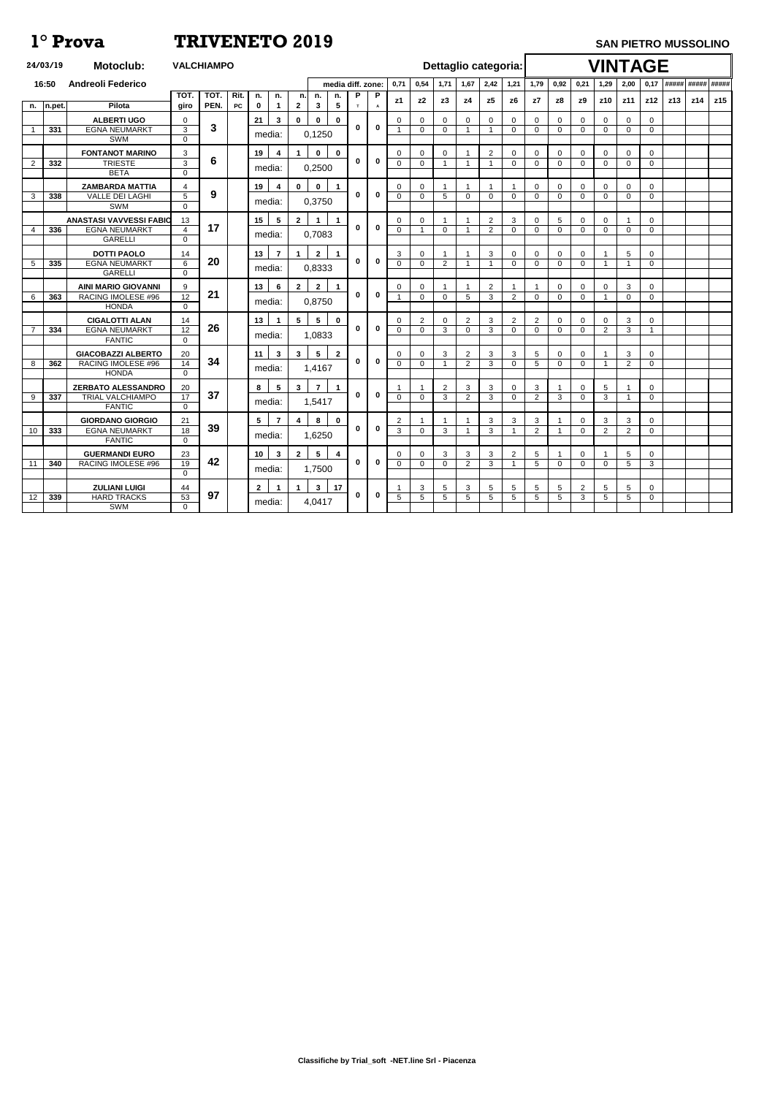|                | 24/03/19 | <b>Motoclub:</b>                                       | <b>VALCHIAMPO</b>                 |              |             |                 |                |                      |                      |                         |      |             |                |                               |                     |                     |                     | Dettaglio categoria:       |                            |                            |                            | <b>VINTAGE</b>                |                      |                              |     |     |     |
|----------------|----------|--------------------------------------------------------|-----------------------------------|--------------|-------------|-----------------|----------------|----------------------|----------------------|-------------------------|------|-------------|----------------|-------------------------------|---------------------|---------------------|---------------------|----------------------------|----------------------------|----------------------------|----------------------------|-------------------------------|----------------------|------------------------------|-----|-----|-----|
|                | 16:50    | <b>Andreoli Federico</b>                               |                                   |              |             |                 |                | media diff. zone:    |                      | 0,71                    | 0,54 | 1,71        | 1,67           | 2,42                          | 1,21                | 1,79                | 0,92                | 0,21                       | 1,29                       | 2,00                       | 0,17                       | ##### ##### #####             |                      |                              |     |     |     |
|                |          |                                                        | TOT.                              | TOT.         | Rit.<br>PC  | n.              | n.             | n.                   | n.                   | n.                      | P    | P           | z1             | z <sub>2</sub>                | z3                  | z4                  | z5                  | z <sub>6</sub>             | z7                         | z8                         | z9                         | z10                           | z11                  | z12                          | z13 | z14 | z15 |
| n.             | n.pet.   | Pilota                                                 | giro                              | PEN.         | $\mathbf 0$ | $\mathbf 1$     | $\mathbf{2}$   | $\mathbf{3}$         | $5\phantom{1}$       | T                       | A    |             |                |                               |                     |                     |                     |                            |                            |                            |                            |                               |                      |                              |     |     |     |
|                | 331      | <b>ALBERTI UGO</b><br><b>EGNA NEUMARKT</b>             | 0<br>3                            | $\mathbf{3}$ |             | 21              | 3              | $\mathbf 0$          | $\bf{0}$             | $\mathbf 0$             | 0    | $\mathbf 0$ | 0              | $\mathbf{0}$<br>$\mathbf 0$   | 0<br>$\mathbf{0}$   | $\mathbf 0$<br>-1   | 0<br>-1             | $\Omega$<br>$\overline{0}$ | $\mathbf 0$<br>$\Omega$    | $\overline{0}$<br>$\Omega$ | $\Omega$<br>$\overline{0}$ | $\overline{0}$<br>$\mathbf 0$ | $\Omega$<br>$\Omega$ | $\mathbf 0$<br>$\Omega$      |     |     |     |
|                |          | SWM                                                    | $\overline{0}$                    |              |             | media:          |                |                      | 0,1250               |                         |      |             |                |                               |                     |                     |                     |                            |                            |                            |                            |                               |                      |                              |     |     |     |
|                |          | <b>FONTANOT MARINO</b>                                 | 3                                 | 6            |             | 19              | 4              |                      | $\mathbf 0$          | $\mathbf 0$             |      |             | 0              | $\mathbf 0$                   | 0                   |                     | $\overline{2}$      | 0                          | 0                          | $\mathbf 0$                | $\Omega$                   | $\mathbf 0$                   | $\Omega$             | 0                            |     |     |     |
| 2              | 332      | <b>TRIESTE</b><br><b>BETA</b>                          | 3<br>$\Omega$                     |              |             | media:          |                |                      | 0,2500               |                         | 0    | $\mathbf 0$ | $\Omega$       | $\mathbf 0$                   | -1                  | -1                  | -1                  | $\overline{0}$             | $\Omega$                   | 0                          | $\Omega$                   | $\mathbf 0$                   | $\Omega$             | $\Omega$                     |     |     |     |
|                |          | <b>ZAMBARDA MATTIA</b>                                 | 4                                 |              |             | 19              | 4              | $\mathbf 0$          | $\mathbf 0$          | $\blacktriangleleft$    |      |             | 0              | 0                             |                     |                     |                     |                            | 0                          | 0                          | 0                          | $\overline{0}$                | 0                    | $\mathbf 0$                  |     |     |     |
| 3              | 338      | <b>VALLE DEI LAGHI</b>                                 | $5\phantom{.0}$                   | 9            |             | media:          |                |                      | 0,3750               |                         | 0    | $\mathbf 0$ | $\Omega$       | $\mathbf 0$                   | 5                   | $\mathbf 0$         | $\mathbf 0$         | $\Omega$                   | $\overline{0}$             | $\overline{0}$             | $\mathbf 0$                | $\overline{0}$                | $\Omega$             | $\mathbf 0$                  |     |     |     |
|                |          | <b>SWM</b>                                             | $\Omega$                          |              |             |                 |                |                      |                      |                         |      |             |                |                               |                     |                     |                     |                            |                            |                            |                            |                               |                      |                              |     |     |     |
| $\overline{4}$ | 336      | <b>ANASTASI VAVVESSI FABIO</b><br><b>EGNA NEUMARKT</b> | 13<br>$\overline{4}$              | 17           |             | 15 <sub>1</sub> | 5              | $\mathbf{2}$         | $\blacktriangleleft$ | $\mathbf 1$             | 0    | $\mathbf 0$ | 0<br>0         | $\mathbf 0$<br>$\overline{1}$ | $\mathbf 0$         | -1                  | 2<br>$\overline{2}$ | 3<br>$\overline{0}$        | $\mathbf 0$<br>$\mathbf 0$ | 5<br>$\mathbf 0$           | $\Omega$<br>$\overline{0}$ | $\Omega$<br>$\mathbf 0$       | $\Omega$             | $\mathbf{0}$<br>$\mathbf{0}$ |     |     |     |
|                |          | <b>GARELLI</b>                                         | $\Omega$                          |              |             | media:          |                |                      | 0,7083               |                         |      |             |                |                               |                     |                     |                     |                            |                            |                            |                            |                               |                      |                              |     |     |     |
|                |          | <b>DOTTI PAOLO</b>                                     | 14                                |              |             | 13              | $\overline{7}$ | $\blacktriangleleft$ | $\mathbf{2}$         | $\mathbf 1$             |      |             | 3              | $\mathbf{0}$                  |                     |                     | 3                   | 0                          | $\overline{0}$             | $\mathbf 0$                | $\mathbf{0}$               |                               | 5                    | $\overline{0}$               |     |     |     |
| 5              | 335      | <b>EGNA NEUMARKT</b><br><b>GARELLI</b>                 | $6\phantom{1}$<br>$\Omega$        | 20           |             | media:          |                |                      | 0,8333               |                         | 0    | $\mathbf 0$ | $\Omega$       | $\mathbf 0$                   | $\overline{2}$      | -1                  | -1                  | $\Omega$                   | $\Omega$                   | $\overline{0}$             | $\overline{0}$             |                               |                      | $\mathbf 0$                  |     |     |     |
|                |          | <b>AINI MARIO GIOVANNI</b>                             | 9                                 |              |             | 13              | 6              | $\overline{2}$       | $\mathbf{2}$         | $\blacktriangleleft$    |      |             | 0              | 0                             |                     |                     | $\overline{2}$      |                            |                            | $\Omega$                   | 0                          | 0                             | 3                    | 0                            |     |     |     |
| 6              | 363      | RACING IMOLESE #96                                     | 12                                | 21           |             |                 |                |                      |                      |                         | 0    | $\bf{0}$    |                | $\overline{0}$                | $\mathbf{0}$        | 5                   | 3                   | $\overline{c}$             | $\mathbf 0$                | 0                          | $\mathbf 0$                |                               | $\Omega$             | 0                            |     |     |     |
|                |          | <b>HONDA</b>                                           | 0                                 |              |             | media:          |                |                      | 0,8750               |                         |      |             |                |                               |                     |                     |                     |                            |                            |                            |                            |                               |                      |                              |     |     |     |
|                |          | <b>CIGALOTTI ALAN</b>                                  | 14                                | 26           |             | 13              | -1             | 5                    | $5\phantom{.0}$      | $\mathbf 0$             | 0    | $\bf{0}$    | 0              | 2                             | 0                   | 2                   | 3                   | 2                          | $\overline{2}$             | 0                          | 0                          | 0                             | 3                    | $\mathbf 0$                  |     |     |     |
| $\overline{7}$ | 334      | <b>EGNA NEUMARKT</b><br><b>FANTIC</b>                  | $\overline{12}$<br>$\Omega$       |              |             | media:          |                |                      | 1,0833               |                         |      |             | $\Omega$       | $\mathbf 0$                   | 3                   | $\overline{0}$      | 3                   | $\Omega$                   | $\mathbf 0$                | $\Omega$                   | $\mathbf{0}$               | 2                             | 3                    | $\mathbf 1$                  |     |     |     |
|                |          | <b>GIACOBAZZI ALBERTO</b>                              | 20                                |              |             | 11              | $\mathbf{3}$   | 3                    | $5\phantom{.0}$      | $\mathbf{2}$            |      |             | 0              | $\mathbf 0$                   | 3                   | 2                   | 3                   | 3                          | 5                          | $\Omega$                   | 0                          |                               | 3                    | 0                            |     |     |     |
| 8              | 362      | <b>RACING IMOLESE #96</b>                              | 14                                | 34           |             | media:          |                |                      | 1,4167               |                         | 0    | $\mathbf 0$ | 0              | $\overline{0}$                | -1                  | $\overline{2}$      | 3                   | $\overline{0}$             | 5                          | 0                          | $\Omega$                   |                               | 2                    | $\mathbf{0}$                 |     |     |     |
|                |          | <b>HONDA</b>                                           | $\Omega$                          |              |             |                 |                |                      |                      |                         |      |             |                |                               |                     |                     |                     |                            |                            |                            |                            |                               |                      |                              |     |     |     |
| 9              | 337      | <b>ZERBATO ALESSANDRO</b><br><b>TRIAL VALCHIAMPO</b>   | 20<br>$\overline{17}$             | 37           |             | 8               | 5              | 3                    | $\overline{7}$       | $\mathbf 1$             | 0    | $\bf{0}$    | 0              | -1<br>0                       | $\overline{2}$<br>3 | 3<br>$\overline{2}$ | 3<br>3              | 0<br>$\overline{0}$        | 3<br>$\overline{2}$        | 3                          | 0<br>$\overline{0}$        | 5<br>3                        |                      | $\mathbf 0$<br>$\mathbf 0$   |     |     |     |
|                |          | <b>FANTIC</b>                                          | $\Omega$                          |              |             | media:          |                |                      | 1,5417               |                         |      |             |                |                               |                     |                     |                     |                            |                            |                            |                            |                               |                      |                              |     |     |     |
|                |          | <b>GIORDANO GIORGIO</b>                                | 21                                |              |             | 5 <sub>5</sub>  | $\overline{7}$ | 4                    | 8                    | $\mathbf 0$             |      |             | 2              | $\mathbf 1$                   |                     |                     | 3                   | 3                          | $\mathbf{3}$               |                            | $\mathbf 0$                | 3                             | 3                    | $\overline{0}$               |     |     |     |
| 10             | 333      | <b>EGNA NEUMARKT</b><br><b>FANTIC</b>                  | $\overline{18}$<br>$\overline{0}$ | 39           |             | media:          |                |                      | 1,6250               |                         | 0    | $\mathbf 0$ | $\overline{3}$ | $\mathbf 0$                   | 3                   |                     | $\mathbf{3}$        |                            | $\overline{2}$             |                            | $\mathbf 0$                | 2                             | $\overline{2}$       | $\overline{0}$               |     |     |     |
|                |          | <b>GUERMANDI EURO</b>                                  | 23                                |              |             | 10              | $\mathbf{3}$   | $\mathbf{2}$         | $5\overline{)}$      | $\overline{\mathbf{4}}$ |      |             | 0              | $\mathbf{0}$                  | 3                   | 3                   | 3                   | $\mathbf{2}$               | $5\phantom{.0}$            |                            | 0                          |                               | 5                    | $\mathbf 0$                  |     |     |     |
| 11             | 340      | RACING IMOLESE #96                                     | 19                                | 42           |             |                 |                |                      | 1,7500               |                         | 0    | $\mathbf 0$ | $\Omega$       | $\mathbf 0$                   | $\mathbf 0$         | $\overline{2}$      | 3                   | 1                          | $5\phantom{.0}$            | $\mathbf{0}$               | $\mathbf 0$                | $\mathbf 0$                   | 5                    | 3                            |     |     |     |
|                |          |                                                        | $\Omega$                          |              |             | media:          |                |                      |                      |                         |      |             |                |                               |                     |                     |                     |                            |                            |                            |                            |                               |                      |                              |     |     |     |
|                |          | <b>ZULIANI LUIGI</b>                                   | 44                                | 97           |             | $2^{\circ}$     | $\mathbf 1$    | $\mathbf 1$          | $3\overline{3}$      | 17                      | 0    | $\mathbf 0$ |                | 3                             | 5                   | 3                   | 5                   | 5                          | 5 <sup>5</sup>             | 5                          | $\overline{2}$             | $5\phantom{.0}$               | 5                    | $\overline{0}$               |     |     |     |
| 12             | 339      | <b>HARD TRACKS</b><br>SWM                              | 53<br>$\mathbf 0$                 |              |             | media:          |                |                      | 4,0417               |                         |      |             | 5              | $5\phantom{.0}$               | 5                   | 5                   | 5                   | 5                          | 5                          | 5                          | 3                          | $5\phantom{.0}$               | $5\overline{)}$      | $\overline{0}$               |     |     |     |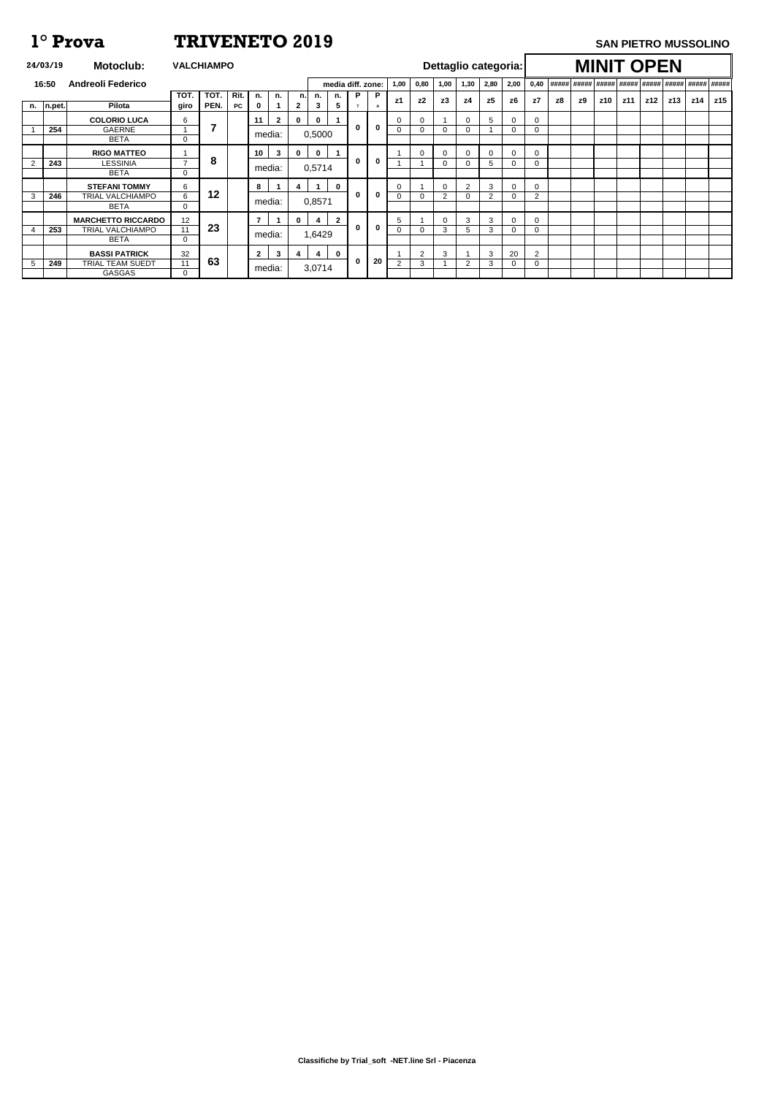**Classifiche by Trial\_soft -NET.line Srl - Piacenza**

|   | 24/03/19      | <b>Motoclub:</b>          |                | <b>VALCHIAMPO</b> |      |                |              |              |                         |                   |   |                |      |                |                |      |          | Dettaglio categoria: |                |    |             |            | <b>MINIT OPEN</b> |     |                                          |     |     |
|---|---------------|---------------------------|----------------|-------------------|------|----------------|--------------|--------------|-------------------------|-------------------|---|----------------|------|----------------|----------------|------|----------|----------------------|----------------|----|-------------|------------|-------------------|-----|------------------------------------------|-----|-----|
|   | 16:50         | <b>Andreoli Federico</b>  |                |                   |      |                |              |              |                         | media diff. zone: |   |                | 1,00 | 0,80           | 1,00           | 1,30 | 2,80     | 2,00                 | 0,40           |    | ##### ##### |            |                   |     | #####  #####  #####  #####  #####  ##### |     |     |
|   |               |                           | тот            | TOT.              | Rit. | n.             | n.           | n.           | n.                      | n.                | P | P              |      | z2             | z3             |      | z5       |                      | z7             |    |             |            |                   |     |                                          | z14 | z15 |
|   | $n.$   n.pet. | Pilota                    | giro           | PEN.              | PC   | 0              |              | $\mathbf{2}$ | 3                       | 5                 | T | $\overline{A}$ | z1   |                |                | z4   |          | z6                   |                | z8 | z9          | <b>z10</b> | z11               | z12 | z13                                      |     |     |
|   |               | <b>COLORIO LUCA</b>       | 6              |                   |      | 11             | $\mathbf{2}$ | $\mathbf 0$  | $\bf{0}$                |                   |   |                |      | $\Omega$       |                |      | 5        | $\Omega$             | $\Omega$       |    |             |            |                   |     |                                          |     |     |
|   | 254           | <b>GAERNE</b>             |                | 7                 |      |                |              |              | 0,5000                  |                   | 0 | $\bf{0}$       |      | 0              | -0             |      |          | 0                    | 0              |    |             |            |                   |     |                                          |     |     |
|   |               | <b>BETA</b>               | $\mathbf 0$    |                   |      |                | media:       |              |                         |                   |   |                |      |                |                |      |          |                      |                |    |             |            |                   |     |                                          |     |     |
|   |               | <b>RIGO MATTEO</b>        |                |                   |      | 10             | $\mathbf{3}$ | $\mathbf 0$  | $\bf{0}$                |                   |   |                |      | $\Omega$       | 0              |      | $\Omega$ | 0                    | $\Omega$       |    |             |            |                   |     |                                          |     |     |
|   | 243           | LESSINIA                  | $\overline{z}$ | 8                 |      |                |              |              |                         |                   | 0 | $\bf{0}$       |      |                | $\Omega$       |      | 5        | $\Omega$             | $\Omega$       |    |             |            |                   |     |                                          |     |     |
|   |               | <b>BETA</b>               | $\Omega$       |                   |      |                | media:       |              | 0,5714                  |                   |   |                |      |                |                |      |          |                      |                |    |             |            |                   |     |                                          |     |     |
|   |               | <b>STEFANI TOMMY</b>      | 6              |                   |      | 8              |              | 4            | $\mathbf 1$             | $\mathbf 0$       |   |                |      |                | $\mathbf 0$    | 2    | 3        | $\Omega$             | $\Omega$       |    |             |            |                   |     |                                          |     |     |
| 3 | 246           | TRIAL VALCHIAMPO          | 6              | $12 \,$           |      |                | media:       |              | 0,8571                  |                   | 0 | $\mathbf 0$    | 0    | 0              | $\overline{2}$ |      | 2        | 0                    | 2              |    |             |            |                   |     |                                          |     |     |
|   |               | <b>BETA</b>               | 0              |                   |      |                |              |              |                         |                   |   |                |      |                |                |      |          |                      |                |    |             |            |                   |     |                                          |     |     |
|   |               | <b>MARCHETTO RICCARDO</b> | 12             |                   |      | $\overline{7}$ |              | $\mathbf{0}$ | 4                       | $\overline{2}$    |   |                | 5    |                | $\Omega$       | 3    | 3        | 0                    | $\Omega$       |    |             |            |                   |     |                                          |     |     |
|   | 253           | TRIAL VALCHIAMPO          | 11             | 23                |      |                |              |              | 1,6429                  |                   | 0 | $\mathbf 0$    |      | 0              | 3              |      | 3        |                      | $\Omega$       |    |             |            |                   |     |                                          |     |     |
|   |               | <b>BETA</b>               | $\mathbf 0$    |                   |      |                | media:       |              |                         |                   |   |                |      |                |                |      |          |                      |                |    |             |            |                   |     |                                          |     |     |
|   |               | <b>BASSI PATRICK</b>      | 32             |                   |      | $\mathbf{2}$   | 3            | 4            | $\overline{\mathbf{4}}$ | $\mathbf{0}$      |   |                |      | $\overline{2}$ | 3              |      | 3        | 20                   | $\overline{2}$ |    |             |            |                   |     |                                          |     |     |
| 5 | 249           | <b>TRIAL TEAM SUEDT</b>   | 11             | 63                |      |                |              |              |                         |                   | 0 | 20             | 2    | 3              |                | 2    | 3        | 0                    | 0              |    |             |            |                   |     |                                          |     |     |
|   |               | <b>GASGAS</b>             | 0              |                   |      |                | media:       |              | 3,0714                  |                   |   |                |      |                |                |      |          |                      |                |    |             |            |                   |     |                                          |     |     |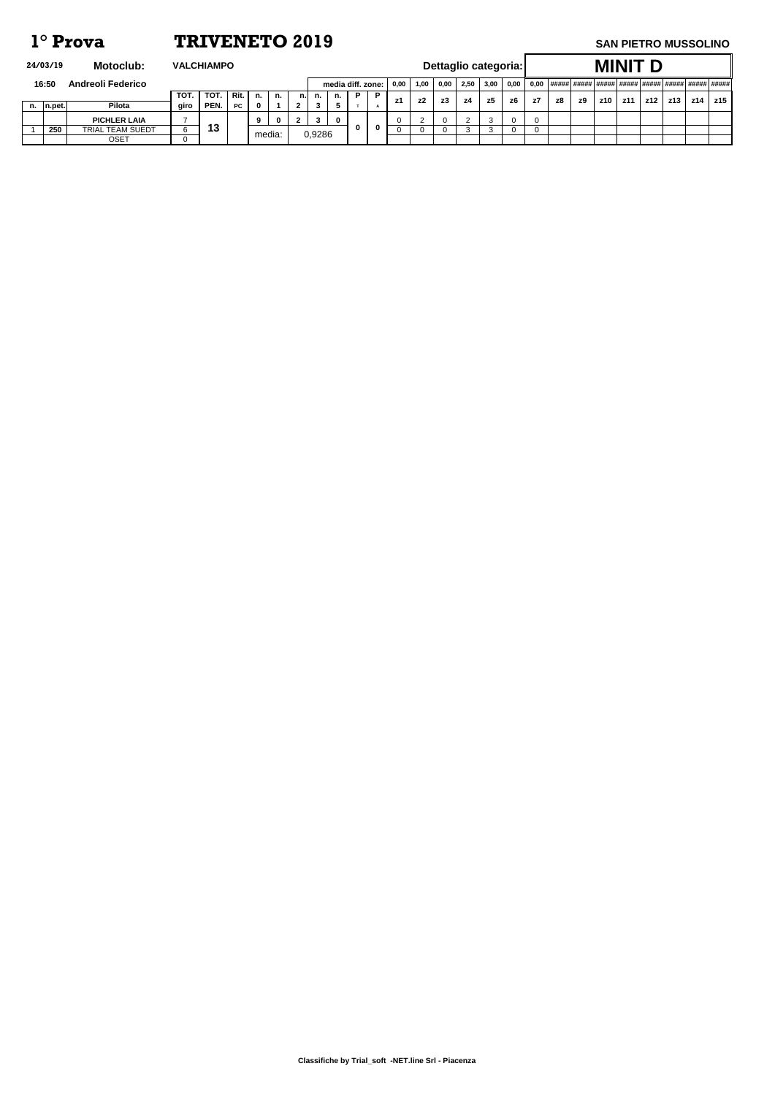**Classifiche by Trial\_soft -NET.line Srl - Piacenza**

| Motoclub:<br>24/03/19<br><b>VALCHIAMPO</b> |                         |      |      |           |        |             |     |        |             |                   |          |           |      |      |      |      | Dettaglio categoria: |    |    |    |     | <b>MINIT</b> |     |     |     |     |
|--------------------------------------------|-------------------------|------|------|-----------|--------|-------------|-----|--------|-------------|-------------------|----------|-----------|------|------|------|------|----------------------|----|----|----|-----|--------------|-----|-----|-----|-----|
| <b>Andreoli Federico</b><br>16:50          |                         |      |      |           |        |             |     |        |             | media diff. zone: |          | 0,00      | 1,00 | 0,00 | 2,50 | 3.00 | 0.00                 |    |    |    |     |              |     |     |     |     |
|                                            |                         | TOT. | TOT. | Rit.      | n.     | n.          | n.l | n.     | n.          | P.                | <b>P</b> | <b>z1</b> | z2   | z3   | - z4 | z5   | z6                   | z7 | z8 | z9 | z10 | z11          | z12 | z13 | z14 | z15 |
| n.  n.pet.                                 | Pilota                  | giro | PEN. | <b>PC</b> | 0      |             |     | 3      |             |                   |          |           |      |      |      |      |                      |    |    |    |     |              |     |     |     |     |
|                                            | <b>PICHLER LAIA</b>     |      |      |           | 9      | $\mathbf 0$ |     |        | $\mathbf 0$ |                   |          |           |      |      |      |      |                      |    |    |    |     |              |     |     |     |     |
| 250                                        | <b>TRIAL TEAM SUEDT</b> |      | 13   |           | media: |             |     | 0,9286 |             |                   |          |           |      |      |      |      |                      |    |    |    |     |              |     |     |     |     |
|                                            | <b>OSET</b>             |      |      |           |        |             |     |        |             |                   |          |           |      |      |      |      |                      |    |    |    |     |              |     |     |     |     |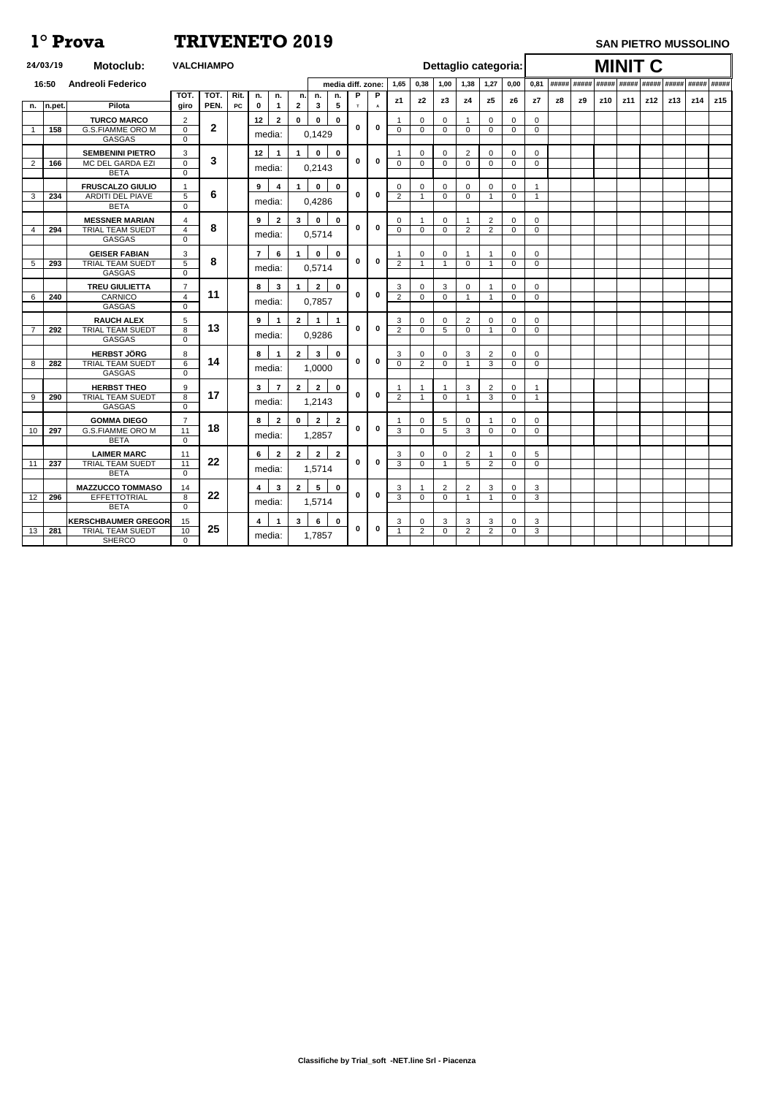|                 | 24/03/19    | <b>Motoclub:</b>                               | <b>VALCHIAMPO</b>             |                  |            |                 |                |                |                 |                              |                |              |                              |                             |                               |                            | Dettaglio categoria: |                               |    |           | <b>MINIT C</b> |     |     |     |     |     |
|-----------------|-------------|------------------------------------------------|-------------------------------|------------------|------------|-----------------|----------------|----------------|-----------------|------------------------------|----------------|--------------|------------------------------|-----------------------------|-------------------------------|----------------------------|----------------------|-------------------------------|----|-----------|----------------|-----|-----|-----|-----|-----|
|                 | 16:50       | <b>Andreoli Federico</b>                       |                               |                  |            |                 |                |                |                 | media diff. zone:            |                | 1,65         | 0,38                         | 1,00                        | 1,38                          | 1,27                       | 0,00                 | 0,81                          |    |           |                |     |     |     |     |     |
|                 |             |                                                | <b>TOT</b>                    | TOT.             | Rit.       | n.              | n.             | n.             | n.              | P<br>n.                      | P              | z1           | z2                           | z3                          | z4                            | z5                         | z6                   | z7                            | z8 | <b>z9</b> | z10            | z11 | z12 | z13 | z14 | z15 |
| n.              | $\ln$ .pet. | Pilota                                         | giro                          | PEN.             | ${\sf PC}$ | $\mathbf 0$     | $\mathbf 1$    | $\mathbf{2}$   | $\mathbf{3}$    | $\overline{\mathbf{5}}$<br>T | $\overline{A}$ |              |                              |                             |                               |                            |                      |                               |    |           |                |     |     |     |     |     |
|                 |             | <b>TURCO MARCO</b><br><b>G.S.FIAMME ORO M</b>  | $\overline{2}$<br>$\mathbf 0$ | $\boldsymbol{2}$ |            | 12              | $\overline{2}$ | $\mathbf 0$    | $\mathbf 0$     | $\mathbf 0$<br>$\bf{0}$      | $\mathbf 0$    | $\Omega$     | $\mathbf{0}$<br>$\mathbf{0}$ | $\mathbf 0$<br>$\mathbf 0$  | $\overline{0}$                | $\mathbf 0$<br>$\mathbf 0$ | $\Omega$<br>$\Omega$ | $\overline{0}$<br>$\mathbf 0$ |    |           |                |     |     |     |     |     |
|                 | 158         | GASGAS                                         | $\mathbf 0$                   |                  |            | media:          |                |                | 0,1429          |                              |                |              |                              |                             |                               |                            |                      |                               |    |           |                |     |     |     |     |     |
|                 |             | <b>SEMBENINI PIETRO</b>                        |                               |                  |            | 12              | -1             |                | $\mathbf 0$     | $\mathbf 0$                  |                |              |                              |                             |                               |                            |                      |                               |    |           |                |     |     |     |     |     |
| 2               | 166         | MC DEL GARDA EZI                               | 3<br>$\mathbf 0$              | 3                |            |                 |                |                |                 | 0                            | $\bf{0}$       | $\Omega$     | 0<br>0                       | $\mathbf 0$<br>$\mathbf{0}$ | $\overline{2}$<br>$\mathbf 0$ | 0<br>$\Omega$              | 0<br>$\Omega$        | $\mathbf 0$<br>0              |    |           |                |     |     |     |     |     |
|                 |             | <b>BETA</b>                                    | $\mathbf 0$                   |                  |            | media:          |                |                | 0,2143          |                              |                |              |                              |                             |                               |                            |                      |                               |    |           |                |     |     |     |     |     |
|                 |             | <b>FRUSCALZO GIULIO</b>                        |                               |                  |            | $9^{\circ}$     | 4              |                | $\mathbf 0$     | $\mathbf 0$                  |                | 0            | 0                            | 0                           | $\mathbf{0}$                  | $\Omega$                   | 0                    |                               |    |           |                |     |     |     |     |     |
| $\mathbf{3}$    | 234         | <b>ARDITI DEL PIAVE</b>                        | $5\phantom{.0}$               | 6                |            |                 |                |                |                 | $\bf{0}$                     | $\bf{0}$       | 2            | $\overline{\mathbf{1}}$      | $\Omega$                    | $\mathbf 0$                   | -1                         | $\Omega$             | 1                             |    |           |                |     |     |     |     |     |
|                 |             | <b>BETA</b>                                    | $\mathbf 0$                   |                  |            | media:          |                |                | 0,4286          |                              |                |              |                              |                             |                               |                            |                      |                               |    |           |                |     |     |     |     |     |
|                 |             | <b>MESSNER MARIAN</b>                          | 4                             |                  |            | $9^{\circ}$     | $\mathbf{2}$   | $3\phantom{a}$ | $\mathbf 0$     | $\mathbf 0$                  |                | 0            |                              | $\mathbf 0$                 |                               | 2                          | 0                    | $\mathbf 0$                   |    |           |                |     |     |     |     |     |
| 4               | 294         | <b>TRIAL TEAM SUEDT</b>                        | $\overline{4}$                | 8                |            |                 |                |                |                 | 0                            | $\mathbf 0$    | $\mathbf 0$  | $\mathbf 0$                  | $\mathbf{0}$                | 2                             | 2                          | $\Omega$             | 0                             |    |           |                |     |     |     |     |     |
|                 |             | GASGAS                                         | $\mathbf 0$                   |                  |            | media:          |                |                | 0,5714          |                              |                |              |                              |                             |                               |                            |                      |                               |    |           |                |     |     |     |     |     |
|                 |             | <b>GEISER FABIAN</b>                           | 3                             |                  |            | $\overline{7}$  | 6              |                | $\mathbf 0$     | $\mathbf 0$                  |                |              | $\mathbf 0$                  | $\mathbf 0$                 |                               | -1                         | 0                    | $\mathbf 0$                   |    |           |                |     |     |     |     |     |
| $5\phantom{.0}$ | 293         | <b>TRIAL TEAM SUEDT</b>                        | 5                             | 8                |            |                 |                |                |                 | $\bf{0}$                     | $\mathbf 0$    | 2            | 1                            | $\mathbf 1$                 | $\overline{0}$                | -1                         | $\Omega$             | $\mathbf 0$                   |    |           |                |     |     |     |     |     |
|                 |             | <b>GASGAS</b>                                  | $\mathbf 0$                   |                  |            | media:          |                |                | 0,5714          |                              |                |              |                              |                             |                               |                            |                      |                               |    |           |                |     |     |     |     |     |
|                 |             | <b>TREU GIULIETTA</b>                          | $\overline{7}$                |                  |            | 8               | $\mathbf{3}$   |                | $\overline{2}$  | $\mathbf 0$                  |                | 3            | 0                            | 3                           | 0                             |                            | 0                    | $\overline{0}$                |    |           |                |     |     |     |     |     |
| 6               | 240         | <b>CARNICO</b>                                 | $\overline{4}$                | 11               |            |                 |                |                | 0,7857          | 0                            | $\mathbf 0$    | 2            | 0                            | $\mathbf 0$                 |                               |                            | $\Omega$             | $\mathbf 0$                   |    |           |                |     |     |     |     |     |
|                 |             | <b>GASGAS</b>                                  | $\mathbf 0$                   |                  |            | media:          |                |                |                 |                              |                |              |                              |                             |                               |                            |                      |                               |    |           |                |     |     |     |     |     |
|                 |             | <b>RAUCH ALEX</b>                              | 5                             |                  |            | 9               | -1             | $\mathbf{2}$   |                 | $\overline{1}$               |                | 3            | 0                            | 0                           | $\overline{2}$                | $\Omega$                   | 0                    | 0                             |    |           |                |     |     |     |     |     |
|                 | 292         | <b>TRIAL TEAM SUEDT</b>                        | 8                             | 13               |            | media:          |                |                | 0,9286          | $\bf{0}$                     | $\mathbf 0$    | 2            | $\mathbf 0$                  | 5                           | $\mathbf 0$                   |                            | $\Omega$             | 0                             |    |           |                |     |     |     |     |     |
|                 |             | <b>GASGAS</b>                                  | $\mathbf 0$                   |                  |            |                 |                |                |                 |                              |                |              |                              |                             |                               |                            |                      |                               |    |           |                |     |     |     |     |     |
|                 |             | <b>HERBST JÖRG</b>                             | 8                             |                  |            | 8               | $\mathbf{1}$   | 2 <sup>1</sup> | $\mathbf{3}$    | $\mathbf 0$                  |                | 3            | 0                            | 0                           | 3                             | $\overline{2}$             | 0                    | $\overline{0}$                |    |           |                |     |     |     |     |     |
| 8               | 282         | <b>TRIAL TEAM SUEDT</b>                        | 6                             | 14               |            | media:          |                |                | 1,0000          | $\bf{0}$                     | $\mathbf 0$    | $\mathbf{0}$ | $\overline{2}$               | $\mathbf{0}$                | -1                            | 3                          | $\Omega$             | 0                             |    |           |                |     |     |     |     |     |
|                 |             | <b>GASGAS</b>                                  | $\Omega$                      |                  |            |                 |                |                |                 |                              |                |              |                              |                             |                               |                            |                      |                               |    |           |                |     |     |     |     |     |
|                 |             | <b>HERBST THEO</b>                             | 9                             |                  |            | 3 <sup>1</sup>  | $\overline{7}$ | $\mathbf{2}$   | $\mathbf{2}$    | $\mathbf 0$                  |                |              |                              |                             | 3                             | 2                          | 0                    |                               |    |           |                |     |     |     |     |     |
| 9               | 290         | <b>TRIAL TEAM SUEDT</b>                        | 8                             | 17               |            |                 | media:         |                | 1,2143          | $\mathbf 0$                  | $\mathbf 0$    | 2            |                              | $\mathbf 0$                 |                               | 3                          | $\Omega$             | $\mathbf{1}$                  |    |           |                |     |     |     |     |     |
|                 |             | GASGAS                                         | $\mathbf 0$                   |                  |            |                 |                |                |                 |                              |                |              |                              |                             |                               |                            |                      |                               |    |           |                |     |     |     |     |     |
|                 |             | <b>GOMMA DIEGO</b>                             | $\overline{7}$                |                  |            | 8               | $\overline{2}$ | $\mathbf 0$    | $\overline{2}$  | $\overline{2}$               |                |              | 0                            | 5                           | $\mathbf{0}$                  |                            | 0                    | $\overline{0}$                |    |           |                |     |     |     |     |     |
| 10              | 297         | <b>G.S.FIAMME ORO M</b>                        | $\overline{11}$               | 18               |            | media:          |                |                | 1,2857          | 0                            | $\mathbf 0$    | 3            | $\Omega$                     | 5                           | 3                             | $\Omega$                   | 0                    | $\overline{0}$                |    |           |                |     |     |     |     |     |
|                 |             | <b>BETA</b>                                    | $\overline{0}$                |                  |            |                 |                |                |                 |                              |                |              |                              |                             |                               |                            |                      |                               |    |           |                |     |     |     |     |     |
|                 |             | <b>LAIMER MARC</b>                             | 11                            |                  |            | $6\overline{6}$ | $\mathbf{2}$   | $\mathbf{2}$   | $\overline{2}$  | $\overline{2}$               |                | 3            | $\mathbf{0}$                 | 0                           | $\overline{2}$                |                            | 0                    | 5                             |    |           |                |     |     |     |     |     |
| 11              | 237         | <b>TRIAL TEAM SUEDT</b>                        | 11                            | 22               |            | media:          |                |                | 1,5714          | $\mathbf 0$                  | $\mathbf 0$    | 3            | $\overline{0}$               | -1                          | $5\phantom{.0}$               | 2                          | 0                    | $\overline{0}$                |    |           |                |     |     |     |     |     |
|                 |             | <b>BETA</b>                                    | $\Omega$                      |                  |            |                 |                |                |                 |                              |                |              |                              |                             |                               |                            |                      |                               |    |           |                |     |     |     |     |     |
|                 |             | <b>MAZZUCCO TOMMASO</b>                        | 14                            | 22               |            | $\overline{4}$  | $\mathbf{3}$   | $\overline{2}$ | $5\overline{)}$ | $\mathbf 0$<br>$\bf{0}$      | $\mathbf 0$    | 3            |                              | 2                           | $\overline{2}$                | 3                          | 0                    | $\mathbf{3}$                  |    |           |                |     |     |     |     |     |
| 12              | 296         | <b>EFFETTOTRIAL</b><br><b>BETA</b>             | 8<br>$\Omega$                 |                  |            | media:          |                |                | 1,5714          |                              |                | 3            | $\Omega$                     | $\mathbf 0$                 | -1                            |                            | $\Omega$             | 3                             |    |           |                |     |     |     |     |     |
|                 |             |                                                |                               |                  |            |                 |                |                |                 |                              |                |              |                              |                             |                               |                            |                      |                               |    |           |                |     |     |     |     |     |
| 13              | 281         | <b>KERSCHBAUMER GREGOR</b><br>TRIAL TEAM SUEDT | 15<br>10                      | 25               |            | 4               | $\mathbf 1$    | $\mathbf{3}$   | $6\phantom{a}$  | $\mathbf 0$<br>$\mathbf 0$   | $\mathbf 0$    | 3<br>-1      | 0<br>$\overline{2}$          | 3<br>$\overline{0}$         | 3<br>$\overline{2}$           | 3<br>$\overline{2}$        | $\Omega$<br>0        | $\mathbf{3}$<br>3             |    |           |                |     |     |     |     |     |
|                 |             | <b>SHERCO</b>                                  | $\mathbf 0$                   |                  |            | media:          |                |                | 1,7857          |                              |                |              |                              |                             |                               |                            |                      |                               |    |           |                |     |     |     |     |     |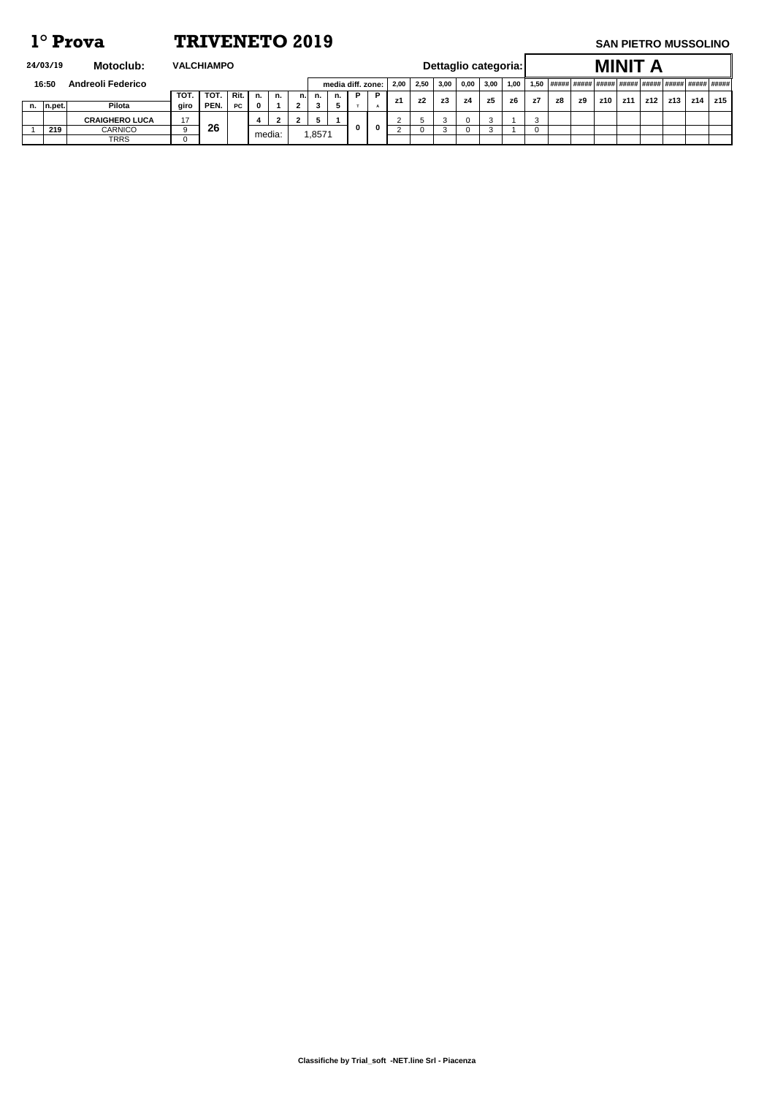**Classifiche by Trial\_soft -NET.line Srl - Piacenza**

| Motoclub:<br>24/03/19<br><b>VALCHIAMPO</b> |            |                          |      |      |           |        |    |     |       |    |                   |          |           |      |      |      | Dettaglio categoria: |      |    |    |    | <b>MINIT</b> |     |     |     |     |     |
|--------------------------------------------|------------|--------------------------|------|------|-----------|--------|----|-----|-------|----|-------------------|----------|-----------|------|------|------|----------------------|------|----|----|----|--------------|-----|-----|-----|-----|-----|
|                                            | 16:50      | <b>Andreoli Federico</b> |      |      |           |        |    |     |       |    | media diff. zone: |          | 2,00      | 2,50 | 3,00 | 0,00 | 3,00                 | 1,00 |    |    |    |              |     |     |     |     |     |
|                                            |            |                          | TOT. | TOT. | Rit.      | ` n.   | n. | n.l | n.    | n. | P.                | <b>P</b> | <b>z1</b> | z2   | z3   | - z4 | z5                   | z6   | z7 | z8 | z9 | z10          | z11 | z12 | z13 | z14 | z15 |
|                                            | n.  n.pet. | Pilota                   | giro | PEN. | <b>PC</b> | 0      |    |     | 3     | Ð. |                   |          |           |      |      |      |                      |      |    |    |    |              |     |     |     |     |     |
|                                            |            | <b>CRAIGHERO LUCA</b>    | 17   |      |           |        |    |     |       |    |                   |          |           |      |      |      |                      |      |    |    |    |              |     |     |     |     |     |
|                                            | 219        | <b>CARNICO</b>           |      | 26   |           | media: |    |     | ,8571 |    |                   |          |           |      |      |      |                      |      |    |    |    |              |     |     |     |     |     |
|                                            |            | <b>TRRS</b>              |      |      |           |        |    |     |       |    |                   |          |           |      |      |      |                      |      |    |    |    |              |     |     |     |     |     |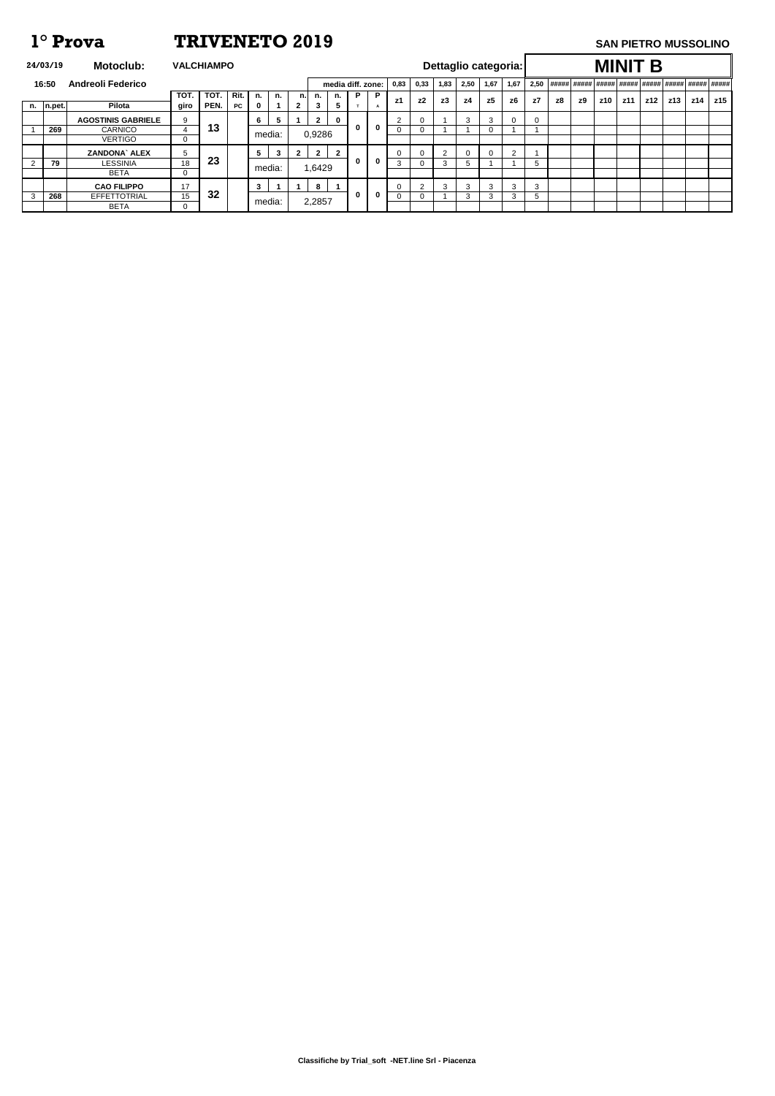**Classifiche by Trial\_soft -NET.line Srl - Piacenza**

| 24/03/19  | <b>Motoclub:</b>          | <b>VALCHIAMPO</b> |      |           |                |   |              |              |                |                   |          |        |                |      |      |                | Dettaglio categoria: |          |    |    |     | <b>MINIT B</b> |     |     |     |     |
|-----------|---------------------------|-------------------|------|-----------|----------------|---|--------------|--------------|----------------|-------------------|----------|--------|----------------|------|------|----------------|----------------------|----------|----|----|-----|----------------|-----|-----|-----|-----|
| 16:50     | <b>Andreoli Federico</b>  |                   |      |           |                |   |              |              |                | media diff. zone: |          | 0,83   | 0,33           | 1,83 | 2,50 | 1,67           | 1,67                 | 2.50     |    |    |     |                |     |     |     |     |
|           |                           | TOT.              | TOT. | Rit.      | n.             |   | n.           | n.           | n.             | P                 | <b>P</b> | z1     | z <sub>2</sub> | z3   | z4   | z <sub>5</sub> | z6                   | z7       | z8 | z9 | z10 | z11            | z12 | z13 | z14 | z15 |
| n. n.pet. | Pilota                    | giro              | PEN. | <b>PC</b> | $\mathbf{0}$   |   | $2^{\circ}$  | 3            | 5              |                   |          |        |                |      |      |                |                      |          |    |    |     |                |     |     |     |     |
|           | <b>AGOSTINIS GABRIELE</b> | 9                 |      |           | 6 <sup>1</sup> | 5 |              | $\mathbf{2}$ | $\bf{0}$       |                   |          | $\sim$ |                |      | 3    | 3              | $\Omega$             | $\Omega$ |    |    |     |                |     |     |     |     |
| 269       | <b>CARNICO</b>            | 4                 | 13   |           | media:         |   |              | 0,9286       |                | $\mathbf 0$       | $\bf{0}$ | 0      |                |      |      | $\Omega$       |                      |          |    |    |     |                |     |     |     |     |
|           | <b>VERTIGO</b>            | $\mathbf 0$       |      |           |                |   |              |              |                |                   |          |        |                |      |      |                |                      |          |    |    |     |                |     |     |     |     |
|           | <b>ZANDONA</b> ALEX       | 5                 |      |           | 5              | 3 | $\mathbf{2}$ | $\mathbf{2}$ | $\overline{2}$ |                   |          | 0      |                | 2    |      | 0              | $\mathcal{P}$        |          |    |    |     |                |     |     |     |     |
| 79        | <b>LESSINIA</b>           | 18                | 23   |           | media:         |   |              | 1,6429       |                | $\bf{0}$          | 0        | 3      |                | 3    | 5    |                |                      | 5.       |    |    |     |                |     |     |     |     |
|           | <b>BETA</b>               | $\mathbf 0$       |      |           |                |   |              |              |                |                   |          |        |                |      |      |                |                      |          |    |    |     |                |     |     |     |     |
|           | <b>CAO FILIPPO</b>        | 17                |      |           | 3              |   |              | 8            |                |                   |          | 0      | $\sim$         | 3    | 3    | 3              | 3                    | 3        |    |    |     |                |     |     |     |     |
| 268       | <b>EFFETTOTRIAL</b>       | 15                | 32   |           | media:         |   |              |              |                | $\mathbf 0$       | 0        | 0      |                |      | 3    | 3              | 3                    | 5.       |    |    |     |                |     |     |     |     |
|           | <b>BETA</b>               | $\Omega$          |      |           |                |   |              | 2,2857       |                |                   |          |        |                |      |      |                |                      |          |    |    |     |                |     |     |     |     |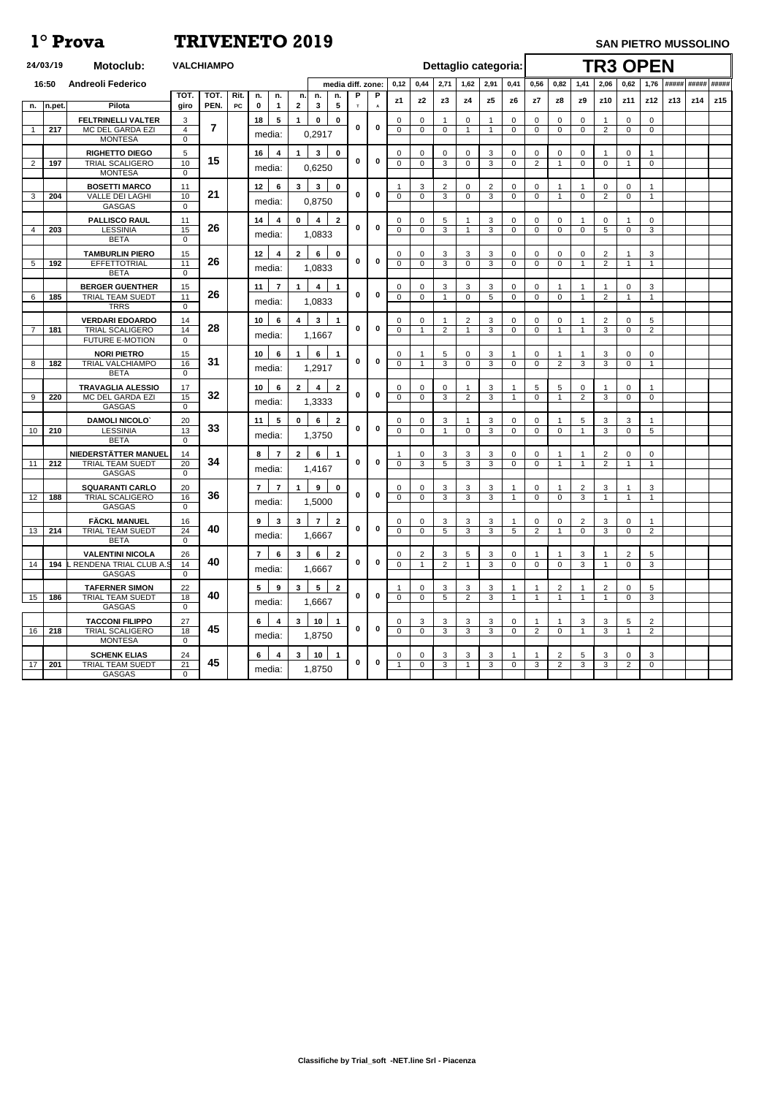|                | 24/03/19 | <b>Motoclub:</b>                                                           |                                 | <b>VALCHIAMPO</b> |            |                                            |                    |                                             |   |              |                            |                                |                     |                            |                     | Dettaglio categoria:        |                                |                      |                            | <b>TR3 OPEN</b>                  |                               |                                  |            |             |     |
|----------------|----------|----------------------------------------------------------------------------|---------------------------------|-------------------|------------|--------------------------------------------|--------------------|---------------------------------------------|---|--------------|----------------------------|--------------------------------|---------------------|----------------------------|---------------------|-----------------------------|--------------------------------|----------------------|----------------------------|----------------------------------|-------------------------------|----------------------------------|------------|-------------|-----|
|                | 16:50    | <b>Andreoli Federico</b>                                                   |                                 |                   |            |                                            |                    | media diff. zone:                           |   |              | 0,12                       | 0,44                           | 2,71                | 1,62                       | 2,91                | 0,41                        | 0,56                           | 0,82                 | 1,41                       | 2,06                             | 0,62                          |                                  | 1,76 ##### | ##### ##### |     |
| n.             | In.pet.  | Pilota                                                                     | <b>TOT</b><br>giro              | TOT.<br>PEN.      | Rit.<br>PC | n.<br>n.<br>$\mathbf 0$<br>$\mathbf 1$     | n.<br>$\mathbf{2}$ | n.<br>n.<br>3<br>5                          | Р | P<br>A       | z1                         | z2                             | z3                  | z4                         | z5                  | z6                          | z7                             | z8                   | z9                         | <b>z10</b>                       | z11                           | z12                              | z13        | z14         | z15 |
| $\overline{1}$ | 217      | <b>FELTRINELLI VALTER</b><br>MC DEL GARDA EZI<br><b>MONTESA</b>            | 3<br>$\overline{4}$<br>$\Omega$ | 7                 |            | $5\phantom{.0}$<br>18<br>media:            | 1                  | $\mathbf{0}$<br>$\mathbf 0$<br>0,2917       | 0 | $\bf{0}$     | 0<br>$\overline{0}$        | $\mathbf{0}$<br>$\mathbf 0$    | 0                   | $\overline{0}$             | $\mathbf 1$         | $\Omega$<br>$\Omega$        | $\overline{0}$<br>$\mathbf 0$  | $\Omega$<br>$\Omega$ | $\Omega$<br>$\Omega$       | $\overline{2}$                   | $\mathbf 0$<br>0              | $\mathbf 0$<br>$\mathbf 0$       |            |             |     |
| 2              | 197      | <b>RIGHETTO DIEGO</b><br><b>TRIAL SCALIGERO</b><br><b>MONTESA</b>          | 5<br>10<br>$\Omega$             | 15                |            | 16<br>4<br>media:                          | $\mathbf 1$        | $\mathbf{3}$<br>$\mathbf 0$<br>0,6250       | 0 | $\mathbf 0$  | 0<br>$\overline{0}$        | $\mathbf 0$<br>$\mathbf 0$     | 0<br>3              | $\mathbf 0$<br>$\mathbf 0$ | 3<br>3              | 0<br>$\Omega$               | $\mathbf 0$<br>2               | $\mathbf{0}$         | 0<br>$\Omega$              | $\Omega$                         | 0                             | $\mathbf{0}$                     |            |             |     |
| 3              | 204      | <b>BOSETTI MARCO</b><br><b>VALLE DEI LAGHI</b><br><b>GASGAS</b>            | 11<br>10<br>$\Omega$            | 21                |            | 12<br>6<br>media:                          | $\mathbf{3}$       | $\mathbf{3}$<br>$\mathbf 0$<br>0,8750       | 0 | $\bf{0}$     | $\overline{0}$             | 3<br>$\mathbf 0$               | $\overline{2}$<br>3 | $\mathbf 0$<br>$\mathbf 0$ | $\overline{2}$<br>3 | 0<br>$\Omega$               | $\overline{0}$<br>$\mathbf 0$  |                      | $\Omega$                   | 0<br>$\overline{2}$              | 0<br>0                        | -1                               |            |             |     |
|                | 203      | <b>PALLISCO RAUL</b><br><b>LESSINIA</b><br><b>BETA</b>                     | 11<br>15<br>$\Omega$            | 26                |            | 14<br>4<br>media:                          | $\mathbf 0$        | $\overline{2}$<br>4<br>1,0833               | 0 | $\bf{0}$     | 0<br>$\overline{0}$        | 0<br>$\mathbf 0$               | 5<br>3              |                            | 3<br>3              | $\mathbf{0}$<br>$\Omega$    | $\mathbf 0$<br>$\mathbf 0$     | 0<br>$\Omega$        | -1<br>$\Omega$             | 0<br>5                           | -1<br>$\Omega$                | $\mathbf 0$<br>3                 |            |             |     |
| 5              | 192      | <b>TAMBURLIN PIERO</b><br>EFFETTOTRIAL<br><b>BETA</b>                      | 15<br>11<br>$\Omega$            | 26                |            | 12<br>$\overline{\mathbf{4}}$<br>media:    | $\overline{2}$     | 6<br>$\mathbf 0$<br>1,0833                  | 0 | $\bf{0}$     | $\Omega$<br>$\overline{0}$ | $\mathbf{0}$<br>$\overline{0}$ | 3<br>3              | 3<br>$\Omega$              | 3<br>3              | 0<br>$\mathbf 0$            | $\mathbf 0$<br>$\Omega$        | $\Omega$<br>$\Omega$ | 0<br>-1                    | $\overline{2}$<br>$\overline{2}$ | $\overline{1}$                | 3                                |            |             |     |
| 6              | 185      | <b>BERGER GUENTHER</b><br><b>TRIAL TEAM SUEDT</b><br><b>TRRS</b>           | 15<br>11<br>$\Omega$            | 26                |            | 11<br>$\overline{7}$<br>media:             | $\mathbf 1$        | 4<br>-1<br>1,0833                           | 0 | $\bf{0}$     | 0<br>$\mathbf 0$           | 0<br>$\mathbf 0$               | 3                   | 3<br>$\Omega$              | 3<br>5              | 0<br>$\Omega$               | $\mathbf 0$<br>$\mathbf 0$     | $\Omega$             | -1                         | $\overline{2}$                   | $\mathbf 0$                   | 3                                |            |             |     |
| $\overline{7}$ | 181      | <b>VERDARI EDOARDO</b><br><b>TRIAL SCALIGERO</b><br><b>FUTURE E-MOTION</b> | 14<br>14<br>0                   | 28                |            | 10<br>6<br>media:                          | 4                  | $\mathbf{3}$<br>1,1667                      | 0 | $\bf{0}$     | 0<br>$\overline{0}$        | 0<br>-1                        | $\overline{2}$      | $\overline{2}$             | 3<br>3              | 0<br>$\Omega$               | $\overline{0}$<br>$\Omega$     | 0                    | -1                         | 2<br>3                           | 0<br>$\Omega$                 | 5<br>2                           |            |             |     |
| 8              | 182      | <b>NORI PIETRO</b><br>TRIAL VALCHIAMPO<br><b>BETA</b>                      | 15<br>16<br>$\Omega$            | 31                |            | 10<br>6<br>media:                          | $\mathbf 1$        | 6<br>$\mathbf 1$<br>1,2917                  | 0 | $\mathbf 0$  | 0<br>$\Omega$              | -1                             | 5<br>3              | $\mathbf 0$<br>$\Omega$    | 3<br>3              | 1<br>$\Omega$               | $\mathbf 0$<br>$\mathbf 0$     | $\overline{2}$       | -1<br>3                    | 3<br>3                           | $\mathbf 0$<br>$\Omega$       | $\mathbf 0$<br>-1                |            |             |     |
| 9              | 220      | <b>TRAVAGLIA ALESSIO</b><br>MC DEL GARDA EZI<br><b>GASGAS</b>              | 17<br>15<br>$\mathbf 0$         | 32                |            | 10<br>$6\phantom{1}$<br>media:             | $\mathbf{2}$       | $\mathbf{2}$<br>4<br>1,3333                 | 0 | 0            | 0<br>$\overline{0}$        | 0<br>$\mathbf 0$               | 0<br>3              | 2                          | 3<br>3              | $\mathbf 1$                 | 5<br>$\Omega$                  | 5                    | 0<br>$\overline{2}$        | 3                                | $\mathbf 0$<br>$\Omega$       | 0                                |            |             |     |
| 10             | 210      | <b>DAMOLI NICOLO'</b><br><b>LESSINIA</b><br><b>BETA</b>                    | 20<br>13<br>$\Omega$            | 33                |            | 11<br>$5\phantom{.0}$<br>media:            | $\mathbf 0$        | $6\phantom{1}$<br>$\mathbf{2}$<br>1,3750    | 0 | $\mathbf 0$  | 0<br>$\mathbf 0$           | $\mathbf 0$<br>$\Omega$        | 3<br>1              | $\mathbf 0$                | 3<br>3              | $\mathbf{0}$<br>0           | $\mathbf{0}$<br>$\overline{0}$ | $\Omega$             | 5<br>-1                    | 3<br>3                           | 3<br>$\mathbf{0}$             | $\sqrt{5}$                       |            |             |     |
| 11             | 212      | NIEDERSTÄTTER MANUEL<br><b>TRIAL TEAM SUEDT</b><br><b>GASGAS</b>           | 14<br>20<br>$\mathbf 0$         | 34                |            | 8<br>$\overline{7}$<br>media:              | $\mathbf{2}$       | 6<br>1,4167                                 | 0 | $\bf{0}$     | $\Omega$                   | $\mathbf{0}$<br>3              | 3<br>5              | 3<br>3                     | 3<br>3              | 0<br>$\mathbf 0$            | $\overline{0}$<br>$\mathbf 0$  |                      | -1                         | 2<br>$\overline{2}$              | $\mathbf 0$<br>$\overline{1}$ | $\mathbf 0$                      |            |             |     |
| 12             | 188      | <b>SQUARANTI CARLO</b><br><b>TRIAL SCALIGERO</b><br><b>GASGAS</b>          | 20<br>16<br>$\Omega$            | 36                |            | $\overline{7}$<br>$\mathbf{7}$<br>media:   | $\mathbf{1}$       | 9<br>$\mathbf 0$<br>1,5000                  | 0 | $\mathbf 0$  | 0<br>$\mathbf 0$           | $\mathbf{0}$<br>$\mathbf 0$    | 3<br>3              | $\mathbf{3}$<br>3          | 3<br>3              | 1<br>$\mathbf 1$            | $\overline{0}$<br>$\Omega$     | $\Omega$             | $\overline{2}$<br>3        | 3                                | -1<br>$\overline{1}$          | 3<br>-1                          |            |             |     |
| 13             | 214      | <b>FÄCKL MANUEL</b><br><b>TRIAL TEAM SUEDT</b><br><b>BETA</b>              | 16<br>24<br>$\mathbf 0$         | 40                |            | 9<br>$\mathbf{3}$<br>media:                | $\mathbf{3}$       | $\overline{7}$<br>$\overline{2}$<br>1,6667  | 0 | $\mathbf 0$  | 0<br>$\mathbf 0$           | 0<br>$\mathbf 0$               | 3<br>5              | $\mathbf{3}$<br>3          | 3<br>3              | 5                           | $\mathbf 0$<br>2               | $\mathbf 0$          | $\overline{2}$<br>$\Omega$ | 3<br>3                           | $\mathbf 0$<br>$\mathbf 0$    | $\overline{2}$                   |            |             |     |
| 14             | 194      | <b>VALENTINI NICOLA</b><br>RENDENA TRIAL CLUB A.S<br>GASGAS                | 26<br>14<br>$\mathbf{0}$        | 40                |            | $\overline{7}$<br>$6\phantom{1}$<br>media: | 3 <sup>1</sup>     | $6\phantom{.}6$<br>$\mathbf{2}$<br>1,6667   | 0 | $\mathbf 0$  | 0<br>$\mathbf 0$           | $\overline{2}$<br>-1           | 3<br>$\overline{2}$ | $5\phantom{.0}$            | 3<br>3              | $\mathbf{0}$<br>$\mathbf 0$ | $\overline{0}$                 | $\Omega$             | 3<br>3                     |                                  | 2<br>$\mathbf 0$              | 5<br>3                           |            |             |     |
| 15             | 186      | <b>TAFERNER SIMON</b><br>TRIAL TEAM SUEDT<br><b>GASGAS</b>                 | 22<br>18<br>0                   | 40                |            | 5 <sup>5</sup><br>9<br>media:              | 3 <sup>1</sup>     | $5\phantom{.0}$<br>$\overline{2}$<br>1,6667 | 0 | $\mathbf 0$  | $\mathbf 0$                | $\mathbf{0}$<br>$\mathbf{0}$   | 3<br>5              | 3<br>2                     | 3<br>3              | 1<br>$\mathbf 1$            |                                | $\overline{2}$       | -1                         | 2                                | $\mathbf 0$<br>0              | 5<br>3                           |            |             |     |
| 16             | 218      | <b>TACCONI FILIPPO</b><br><b>TRIAL SCALIGERO</b><br><b>MONTESA</b>         | 27<br>18<br>$\mathbf 0$         | 45                |            | 6<br>4<br>media:                           | $\mathbf{3}$       | 10<br>$\mathbf 1$<br>1,8750                 | 0 | $\mathbf{0}$ | 0<br>$\Omega$              | 3<br>$\Omega$                  | 3<br>3              | 3<br>3                     | 3<br>3              | $\mathbf{0}$<br>0           | 2                              | $\Omega$             | 3<br>-1                    | 3<br>3                           | $5\overline{)}$<br>-1         | $\overline{2}$<br>$\overline{2}$ |            |             |     |
| 17             | 201      | <b>SCHENK ELIAS</b><br><b>TRIAL TEAM SUEDT</b><br>GASGAS                   | 24<br>21<br>$\mathbf 0$         | 45                |            | 6<br>$\overline{\mathbf{4}}$<br>media:     | $\mathbf{3}$       | 10<br>$\mathbf 1$<br>1,8750                 | 0 | $\mathbf 0$  | 0                          | $\mathbf{0}$<br>$\Omega$       | 3<br>3              | 3<br>$\overline{1}$        | 3<br>3              | 1<br>0                      | 3                              | $\overline{2}$<br>2  | 5<br>3                     | 3<br>3                           | $\mathbf{0}$<br>2             | 3<br>$\mathbf 0$                 |            |             |     |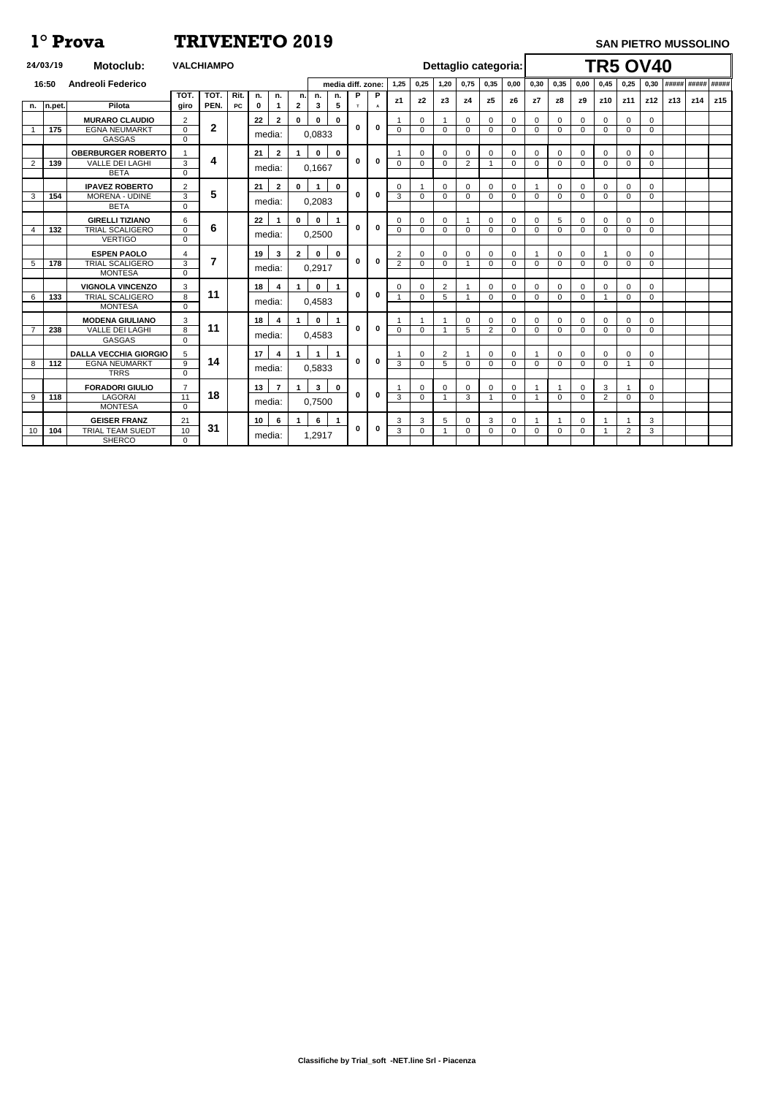|                | 24/03/19   | <b>Motoclub:</b>             |                 | <b>VALCHIAMPO</b> |           |                  |                         |                      |              |                         |                   |                |                         |                | Dettaglio categoria: |                |                |             |                         |                |                | <b>TR5 OV40</b> |              |                |     |     |                   |
|----------------|------------|------------------------------|-----------------|-------------------|-----------|------------------|-------------------------|----------------------|--------------|-------------------------|-------------------|----------------|-------------------------|----------------|----------------------|----------------|----------------|-------------|-------------------------|----------------|----------------|-----------------|--------------|----------------|-----|-----|-------------------|
|                | 16:50      | <b>Andreoli Federico</b>     |                 |                   |           |                  |                         |                      |              |                         | media diff. zone: |                | 1,25                    | 0,25           | 1,20                 | 0,75           | 0,35           | 0.00        | 0,30                    | 0,35           | 0,00           | 0,45            | 0,25         | 0,30           |     |     | ##### ##### ##### |
|                |            |                              | <b>TOT</b>      | TOT.              | Rit.      | n.               | n.                      | n.                   | n.           | n.                      | P                 | P              |                         | z2             | z3                   | z <sub>4</sub> | z5             | z6          | z7                      | z8             | z <sub>9</sub> | z10             | z11          | z12            | z13 | z14 | z15               |
| n.             | $ n$ .pet. | Pilota                       | qiro            | PEN.              | <b>PC</b> | $\mathbf 0$      | $\mathbf 1$             | $\mathbf{2}$         | $\mathbf{3}$ | $\overline{\mathbf{5}}$ | $\mathbf{r}$      | $\overline{A}$ | z1                      |                |                      |                |                |             |                         |                |                |                 |              |                |     |     |                   |
|                |            | <b>MURARO CLAUDIO</b>        | $\overline{2}$  |                   |           | 22               | $\overline{2}$          | $\mathbf 0$          | $\bf{0}$     | $\mathbf 0$             |                   |                |                         | 0              |                      | $\mathbf 0$    | $\mathbf 0$    | $\Omega$    | $\mathbf 0$             | $\Omega$       | $\Omega$       | $\Omega$        | $\Omega$     | 0              |     |     |                   |
|                | 175        | <b>EGNA NEUMARKT</b>         | $\mathbf 0$     | $\boldsymbol{2}$  |           |                  |                         |                      |              |                         | 0                 | $\mathbf 0$    | $\Omega$                | $\Omega$       | 0                    | $\overline{0}$ | $\mathbf 0$    | $\Omega$    | $\Omega$                | $\mathbf 0$    | $\Omega$       | $\mathbf 0$     | $\mathbf 0$  | $\mathbf 0$    |     |     |                   |
|                |            | <b>GASGAS</b>                | $\mathbf{0}$    |                   |           | media:           |                         |                      | 0,0833       |                         |                   |                |                         |                |                      |                |                |             |                         |                |                |                 |              |                |     |     |                   |
|                |            | <b>OBERBURGER ROBERTO</b>    | $\mathbf 1$     |                   |           | 21               | $\mathbf{2}$            | $\blacktriangleleft$ | $\mathbf 0$  | $\mathbf 0$             |                   |                |                         | $\mathbf 0$    | $\Omega$             | $\Omega$       | $\mathbf 0$    | 0           | $\mathbf 0$             | $\Omega$       | $\Omega$       | $\Omega$        | $\Omega$     | $\mathbf 0$    |     |     |                   |
| $\overline{2}$ | 139        | <b>VALLE DEI LAGHI</b>       | 3               | 4                 |           |                  |                         |                      |              |                         | $\mathbf 0$       | $\mathbf 0$    | $\Omega$                | $\mathbf 0$    | $\Omega$             | $\overline{2}$ | $\overline{1}$ | $\Omega$    | $\mathbf{0}$            | $\mathbf 0$    | $\Omega$       | $\mathbf{0}$    | $\Omega$     | $\overline{0}$ |     |     |                   |
|                |            | <b>BETA</b>                  | $\mathbf 0$     |                   |           | media:           |                         |                      | 0.1667       |                         |                   |                |                         |                |                      |                |                |             |                         |                |                |                 |              |                |     |     |                   |
|                |            | <b>IPAVEZ ROBERTO</b>        | $\overline{2}$  |                   |           | 21               | $\overline{2}$          | $\mathbf{0}$         |              | $\mathbf 0$             |                   |                | $\Omega$                |                | $\Omega$             | 0              | $\mathbf 0$    | $\Omega$    |                         | $\Omega$       | $\Omega$       | 0               | ∩            | 0              |     |     |                   |
| 3              | 154        | <b>MORENA - UDINE</b>        | $\overline{3}$  | 5                 |           |                  |                         |                      |              |                         | $\Omega$          | $\mathbf 0$    | 3                       | $\Omega$       | $\Omega$             | $\Omega$       | $\mathbf 0$    | $\Omega$    | $\mathbf{0}$            | $\mathbf 0$    | $\Omega$       | $\mathbf 0$     | $\Omega$     | $\Omega$       |     |     |                   |
|                |            | <b>BETA</b>                  | $\mathbf{0}$    |                   |           |                  | media:                  |                      | 0,2083       |                         |                   |                |                         |                |                      |                |                |             |                         |                |                |                 |              |                |     |     |                   |
|                |            | <b>GIRELLI TIZIANO</b>       | 6               |                   |           | 22               | $\blacktriangleleft$    | $\mathbf 0$          | $\mathbf 0$  | $\blacktriangleleft$    |                   |                | $\Omega$                | $\Omega$       | $\Omega$             |                | $\mathbf 0$    | $\Omega$    | $\mathbf 0$             | 5              | $\overline{0}$ | $\Omega$        | $\Omega$     | $\mathbf 0$    |     |     |                   |
| 4              | 132        | <b>TRIAL SCALIGERO</b>       | $\mathbf 0$     | 6                 |           |                  |                         |                      |              |                         | 0                 | $\mathbf 0$    | $\mathbf 0$             | $\mathbf 0$    | $\mathbf 0$          | $\overline{0}$ | $\mathbf 0$    | $\Omega$    | $\mathbf{0}$            | $\mathbf 0$    | $\overline{0}$ | $\overline{0}$  | $\Omega$     | $\mathbf{0}$   |     |     |                   |
|                |            | <b>VERTIGO</b>               | $\mathbf{0}$    |                   |           | media:           |                         |                      | 0,2500       |                         |                   |                |                         |                |                      |                |                |             |                         |                |                |                 |              |                |     |     |                   |
|                |            | <b>ESPEN PAOLO</b>           | $\overline{4}$  |                   |           | 19               | $\mathbf{3}$            | $\mathbf{2}$         | $\mathbf 0$  | $\mathbf 0$             |                   |                | $\overline{2}$          | $\mathbf 0$    | $\mathbf 0$          | $\overline{0}$ | $\mathbf 0$    | $\mathbf 0$ |                         | $\mathbf 0$    | $\overline{0}$ |                 | $\Omega$     | $\mathbf 0$    |     |     |                   |
| 5              | 178        | <b>TRIAL SCALIGERO</b>       | $\overline{3}$  | $\overline{7}$    |           |                  | media:                  |                      | 0,2917       |                         | 0                 | $\mathbf 0$    | 2                       | $\mathbf 0$    | $\Omega$             |                | $\mathbf 0$    | $\Omega$    | $\Omega$                | $\mathbf{0}$   | $\overline{0}$ | $\Omega$        | $\Omega$     | $\Omega$       |     |     |                   |
|                |            | <b>MONTESA</b>               | $\mathbf{0}$    |                   |           |                  |                         |                      |              |                         |                   |                |                         |                |                      |                |                |             |                         |                |                |                 |              |                |     |     |                   |
|                |            | <b>VIGNOLA VINCENZO</b>      | 3               |                   |           | 18               | $\overline{\mathbf{4}}$ | $\mathbf 1$          | $\mathbf 0$  | $\mathbf{1}$            |                   |                | $\Omega$                | 0              | $\overline{2}$       |                | $\mathbf 0$    | $\Omega$    | $\mathbf 0$             | $\Omega$       | $\mathbf 0$    | $\Omega$        | $\Omega$     | $\mathbf 0$    |     |     |                   |
| 6              | 133        | <b>TRIAL SCALIGERO</b>       | 8               | 11                |           |                  | media:                  |                      | 0,4583       |                         | 0                 | $\mathbf 0$    | $\overline{\mathbf{A}}$ | $\mathbf 0$    | 5                    |                | $\mathbf{0}$   | $\Omega$    | $\mathbf{0}$            | $\mathbf{0}$   | $\overline{0}$ |                 | $\mathbf{0}$ | $\mathbf{0}$   |     |     |                   |
|                |            | <b>MONTESA</b>               | $\overline{0}$  |                   |           |                  |                         |                      |              |                         |                   |                |                         |                |                      |                |                |             |                         |                |                |                 |              |                |     |     |                   |
|                |            | <b>MODENA GIULIANO</b>       | 3               |                   |           | 18               | 4                       |                      | $\mathbf{0}$ | $\mathbf{1}$            |                   |                |                         |                |                      | $\mathbf 0$    | $\mathbf 0$    | $\Omega$    | $\mathbf 0$             | 0              | $\overline{0}$ | 0               | $\Omega$     | 0              |     |     |                   |
| $\overline{7}$ | 238        | <b>VALLE DEI LAGHI</b>       | 8               | 11                |           | media:           |                         |                      | 0,4583       |                         | O                 | $\bf{0}$       | $\Omega$                | $\Omega$       | $\overline{1}$       | 5              | 2              | $\Omega$    | $\mathbf{0}$            | $\Omega$       | $\Omega$       | $\Omega$        | $\Omega$     | $\Omega$       |     |     |                   |
|                |            | <b>GASGAS</b>                | $\overline{0}$  |                   |           |                  |                         |                      |              |                         |                   |                |                         |                |                      |                |                |             |                         |                |                |                 |              |                |     |     |                   |
|                |            | <b>DALLA VECCHIA GIORGIO</b> | 5               |                   |           | 17 <sup>17</sup> | 4                       | $\mathbf 1$          | $\mathbf 1$  | $\mathbf 1$             |                   |                |                         | $\mathbf 0$    | $\overline{c}$       |                | 0              | 0           |                         | $\mathbf 0$    | 0              | $\mathbf 0$     | 0            | $\mathbf 0$    |     |     |                   |
| 8              | 112        | <b>EGNA NEUMARKT</b>         | 9               | 14                |           | media:           |                         |                      | 0,5833       |                         | 0                 | $\mathbf 0$    | 3                       | $\overline{0}$ | 5                    | $\overline{0}$ | $\mathbf 0$    | $\Omega$    | $\mathbf{0}$            | $\mathbf 0$    | $\overline{0}$ | $\overline{0}$  |              | $\mathbf{0}$   |     |     |                   |
|                |            | <b>TRRS</b>                  | $\Omega$        |                   |           |                  |                         |                      |              |                         |                   |                |                         |                |                      |                |                |             |                         |                |                |                 |              |                |     |     |                   |
|                |            | <b>FORADORI GIULIO</b>       | $\overline{7}$  |                   |           | 13               | $\overline{7}$          | $\mathbf 1$          | $\mathbf{3}$ | $\mathbf 0$             |                   |                |                         | $\Omega$       | $\Omega$             | $\mathbf 0$    | $\mathbf 0$    | $\Omega$    |                         | -1             | $\Omega$       | 3               |              | $\mathbf 0$    |     |     |                   |
| 9              | 118        | <b>LAGORAI</b>               | $\overline{11}$ | 18                |           | media:           |                         |                      | 0,7500       |                         | 0                 | $\mathbf 0$    | 3                       | $\mathbf 0$    | $\overline{1}$       | 3              | $\mathbf{1}$   | $\Omega$    | $\overline{\mathbf{1}}$ | $\overline{0}$ | $\overline{0}$ | 2               | $\mathbf{0}$ | $\mathbf{0}$   |     |     |                   |
|                |            | <b>MONTESA</b>               | $\mathbf{0}$    |                   |           |                  |                         |                      |              |                         |                   |                |                         |                |                      |                |                |             |                         |                |                |                 |              |                |     |     |                   |
|                |            | <b>GEISER FRANZ</b>          | 21              |                   |           | 10 <sup>1</sup>  | $6\phantom{1}$          | $\blacktriangleleft$ | 6            | $\mathbf{1}$            |                   |                | 3                       | 3              | 5                    | $\mathbf{0}$   | 3              | $\Omega$    |                         |                | $\Omega$       |                 |              | 3              |     |     |                   |
| 10             | 104        | <b>TRIAL TEAM SUEDT</b>      | 10              | 31                |           |                  | media:                  |                      | 1,2917       |                         | 0                 | $\mathbf 0$    | 3                       | $\mathbf 0$    | -1                   | $\mathbf 0$    | $\mathbf 0$    | $\Omega$    | $\Omega$                | $\mathbf 0$    | $\overline{0}$ |                 | 2            | 3              |     |     |                   |
|                |            | <b>SHERCO</b>                | $\overline{0}$  |                   |           |                  |                         |                      |              |                         |                   |                |                         |                |                      |                |                |             |                         |                |                |                 |              |                |     |     |                   |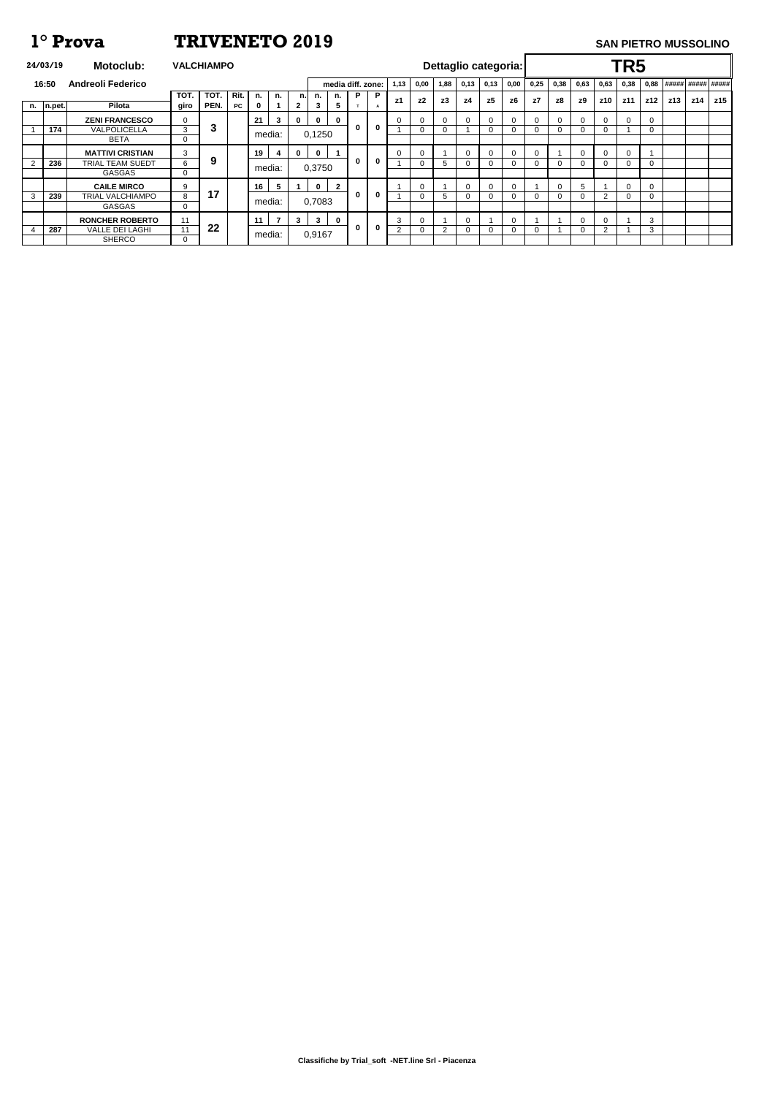**Classifiche by Trial\_soft -NET.line Srl - Piacenza**

| 24/03/19   | <b>Motoclub:</b>         | <b>VALCHIAMPO</b> |      |      |                 |                 |              |              |                         |                   |              |          |                |             | Dettaglio categoria: |          |      |             |          |          |                | TR5      |             |       |     |             |
|------------|--------------------------|-------------------|------|------|-----------------|-----------------|--------------|--------------|-------------------------|-------------------|--------------|----------|----------------|-------------|----------------------|----------|------|-------------|----------|----------|----------------|----------|-------------|-------|-----|-------------|
| 16:50      | <b>Andreoli Federico</b> |                   |      |      |                 |                 |              |              |                         | media diff. zone: |              | 1,13     | 0,00           | 1,88        | 0,13                 | 0,13     | 0,00 | 0,25        | 0,38     | 0,63     | 0,63           | 0,38     | 0,88        | ##### |     | ##### ##### |
|            |                          | TOT.              | TOT. | Rit. | n.              | n.              | n.           | n.           | n.                      | P                 | $\mathsf{P}$ |          | z <sub>2</sub> | z3          | z4                   | z5       |      | z7          |          |          |                |          |             |       |     | z15         |
| n.  n.pet. | Pilota                   | giro              | PEN. | PC   |                 |                 | $\mathbf{2}$ | 3            | $\overline{\mathbf{5}}$ | $\mathbf{r}$      | A            | z1       |                |             |                      |          | z6   |             | z8       | z9       | z10            | z11      | z12         | z13   | z14 |             |
|            | <b>ZENI FRANCESCO</b>    | $\Omega$          |      |      | 21              | $\mathbf{3}$    | $\mathbf 0$  | $\mathbf{0}$ | $\mathbf 0$             |                   |              | 0        | 0              | $\mathbf 0$ | $\Omega$             | 0        |      | $\mathbf 0$ | 0        | 0        | $\mathbf 0$    |          | 0           |       |     |             |
| 174        | VALPOLICELLA             | 3                 | 3    |      |                 |                 |              |              |                         | $\bf{0}$          | $\mathbf 0$  |          | $\Omega$       | 0           |                      | $\Omega$ |      | 0           | 0        | 0        |                |          | 0           |       |     |             |
|            | <b>BETA</b>              | $\Omega$          |      |      | media:          |                 |              | 0,1250       |                         |                   |              |          |                |             |                      |          |      |             |          |          |                |          |             |       |     |             |
|            | <b>MATTIVI CRISTIAN</b>  | 3                 |      |      | 19 <sup>1</sup> | 4               | $\mathbf 0$  | $\bf{0}$     |                         |                   |              | $\Omega$ | 0              |             | $\Omega$             | $\Omega$ |      | $\mathbf 0$ |          | 0        | $\mathbf 0$    | $\Omega$ |             |       |     |             |
| 236        | TRIAL TEAM SUEDT         | 6                 | 9    |      |                 |                 |              |              |                         | $\bf{0}$          | $\mathbf 0$  |          | $\Omega$       | 5           | $\Omega$             | 0        |      | $\mathbf 0$ | $\Omega$ | $\Omega$ | $\mathbf 0$    | $\Omega$ | $\mathbf 0$ |       |     |             |
|            | <b>GASGAS</b>            | $\overline{0}$    |      |      |                 | media:          |              | 0,3750       |                         |                   |              |          |                |             |                      |          |      |             |          |          |                |          |             |       |     |             |
|            | <b>CAILE MIRCO</b>       | 9                 |      |      | 16              | $5\overline{)}$ |              | $\mathbf{0}$ | $\overline{2}$          |                   |              |          | $\Omega$       |             | $\Omega$             | $\Omega$ |      |             | $\Omega$ | 5        |                |          | $\Omega$    |       |     |             |
| 239        | TRIAL VALCHIAMPO         | 8                 | 17   |      |                 |                 |              |              |                         | $\bf{0}$          | $\bf{0}$     |          | $\Omega$       | 5           | 0                    | $\Omega$ |      | $\mathbf 0$ | 0        |          | $\overline{2}$ |          | 0           |       |     |             |
|            | <b>GASGAS</b>            | $\Omega$          |      |      |                 | media:          |              | 0,7083       |                         |                   |              |          |                |             |                      |          |      |             |          |          |                |          |             |       |     |             |
|            | <b>RONCHER ROBERTO</b>   | 11                |      |      | 11              | $\overline{7}$  | $3^{\circ}$  | $\mathbf{3}$ | $\mathbf{0}$            |                   |              | 3        | $\Omega$       |             | $\Omega$             |          |      |             |          | 0        | 0              |          | 3           |       |     |             |
| 287        | <b>VALLE DEI LAGHI</b>   | 11                | 22   |      |                 |                 |              |              |                         | $\bf{0}$          | $\bf{0}$     | റ        | $\Omega$       | 2           |                      | $\Omega$ |      | 0           |          | 0        | 2              |          | 3           |       |     |             |
|            | <b>SHERCO</b>            | $\Omega$          |      |      |                 | media:          |              | 0,9167       |                         |                   |              |          |                |             |                      |          |      |             |          |          |                |          |             |       |     |             |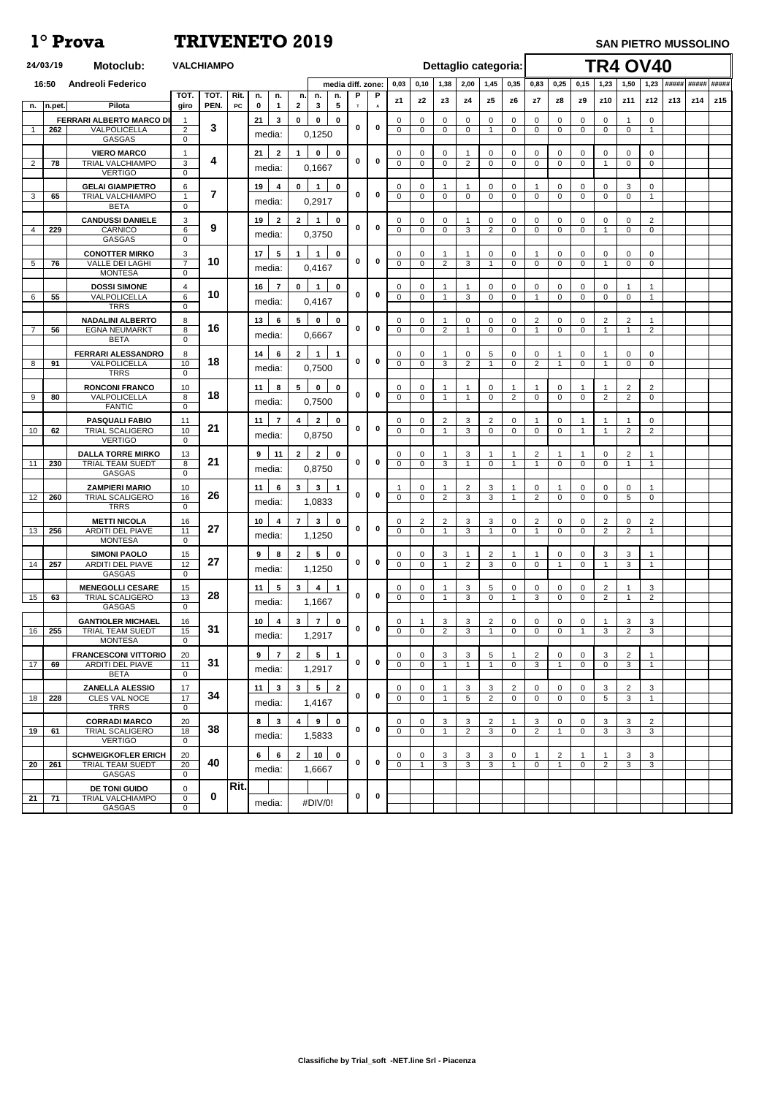|             | 24/03/19 | <b>Motoclub:</b>                                |                          | <b>VALCHIAMPO</b>  |            |                   |                         |                                              |                               |             |              |                            |                         |                             |                |                                | Dettaglio categoria: |                          |                               |                            | <b>TR4 OV40</b>               |                      |                                |     |                   |     |
|-------------|----------|-------------------------------------------------|--------------------------|--------------------|------------|-------------------|-------------------------|----------------------------------------------|-------------------------------|-------------|--------------|----------------------------|-------------------------|-----------------------------|----------------|--------------------------------|----------------------|--------------------------|-------------------------------|----------------------------|-------------------------------|----------------------|--------------------------------|-----|-------------------|-----|
|             | 16:50    | <b>Andreoli Federico</b>                        |                          |                    |            |                   |                         |                                              | media diff. zone:             |             |              | 0,03                       | 0,10                    | 1,38                        | 2,00           | 1,45                           | 0,35                 | 0,83                     | 0,25                          | 0,15                       | 1,23                          | 1,50                 | 1,23                           |     | ##### ##### ##### |     |
|             |          | Pilota                                          | <b>TOT</b>               | <b>TOT</b><br>PEN. | Rit.<br>PC | n.                | n.                      | n.<br>n.<br>$\mathbf{3}$                     | n.<br>$\overline{\mathbf{5}}$ | P<br>T      | $\mathsf{P}$ | z1                         | z2                      | z3                          | z4             | z5                             | z6                   | z7                       | z8                            | z9                         | z10                           | z11                  | z12                            | z13 | z14               | z15 |
| n.          | n.pet.   | <b>FERRARI ALBERTO MARCO DI</b>                 | giro                     |                    |            | $\mathbf 0$<br>21 | $\mathbf 1$<br>3        | $\mathbf{2}$<br>$\mathbf{0}$<br>$\mathbf{0}$ | $\mathbf{0}$                  |             | A            | 0                          | $\Omega$                | $\mathbf 0$                 | $\Omega$       | $\mathbf 0$                    | 0                    | $\Omega$                 | 0                             | $\Omega$                   | $\mathsf{O}$                  |                      | 0                              |     |                   |     |
| $\mathbf 1$ | 262      | VALPOLICELLA                                    | $\overline{2}$           | $\mathbf{3}$       |            |                   | media:                  | 0,1250                                       |                               | 0           | $\bf{0}$     | $\Omega$                   | $\Omega$                | $\mathbf 0$                 | $\mathbf 0$    | $\overline{1}$                 | $\mathbf 0$          | $\Omega$                 | 0                             | 0                          | $\mathbf 0$                   | $\mathbf 0$          | -1                             |     |                   |     |
|             |          | <b>GASGAS</b>                                   | $\mathbf 0$              |                    |            |                   |                         |                                              |                               |             |              |                            |                         |                             |                |                                |                      |                          |                               |                            |                               |                      |                                |     |                   |     |
| 2           | 78       | <b>VIERO MARCO</b><br>TRIAL VALCHIAMPO          | 3                        | 4                  |            | 21                | $\mathbf{2}$            | $\mathbf 0$<br>1                             | $\mathbf 0$                   | 0           | $\bf{0}$     | $\Omega$<br>$\Omega$       | 0<br>$\mathbf 0$        | $\mathbf{0}$<br>$\mathbf 0$ | $\overline{2}$ | $\mathbf 0$<br>$\mathbf 0$     | $\Omega$<br>$\Omega$ | 0<br>$\Omega$            | $\mathbf{0}$<br>$\mathbf 0$   | 0<br>$\Omega$              | 0<br>-1                       | $\Omega$<br>$\Omega$ | 0<br>$\Omega$                  |     |                   |     |
|             |          | <b>VERTIGO</b>                                  | $\Omega$                 |                    |            |                   | media:                  | 0,1667                                       |                               |             |              |                            |                         |                             |                |                                |                      |                          |                               |                            |                               |                      |                                |     |                   |     |
|             |          | <b>GELAI GIAMPIETRO</b>                         | 6                        | $\overline{7}$     |            | 19                | 4                       | $\mathbf{0}$<br>$\mathbf 1$                  | $\mathbf 0$                   | $\bf{0}$    | $\bf{0}$     | 0                          | $\Omega$                |                             |                | 0                              | $\Omega$             |                          | $\mathbf 0$                   | $\overline{0}$             | $\mathbf 0$                   | 3                    | 0                              |     |                   |     |
| 3           | 65       | TRIAL VALCHIAMPO<br><b>BETA</b>                 | $\mathbf{1}$<br>$\Omega$ |                    |            |                   | media:                  | 0,2917                                       |                               |             |              | $\Omega$                   | $\Omega$                | $\mathbf 0$                 | $\mathbf{0}$   | $\mathbf 0$                    | $\mathbf 0$          | 0                        | $\mathbf 0$                   | $\Omega$                   | $\mathbf 0$                   | $\Omega$             | -1                             |     |                   |     |
|             |          | <b>CANDUSSI DANIELE</b>                         | 3                        |                    |            | 19                | $\mathbf{2}$            | $\mathbf{2}$<br>$\blacktriangleleft$         | $\mathbf 0$                   |             |              | $\Omega$                   | 0                       | $\mathbf 0$                 |                | 0                              | 0                    | $\Omega$                 | $\mathbf{0}$                  | $\mathbf 0$                | 0                             | 0                    | $\overline{2}$                 |     |                   |     |
|             | 229      | CARNICO<br><b>GASGAS</b>                        | 6<br>$\mathbf 0$         | 9                  |            |                   | media:                  | 0,3750                                       |                               | 0           | $\bf{0}$     | $\mathbf 0$                | $\mathbf 0$             | $\mathbf 0$                 | 3              | 2                              | $\mathbf 0$          | $\Omega$                 | $\mathbf 0$                   | $\mathbf 0$                |                               | $\overline{0}$       | $\mathbf 0$                    |     |                   |     |
|             |          | <b>CONOTTER MIRKO</b>                           | 3                        |                    |            | 17                | $5\phantom{.0}$         | 1<br>1                                       | $\mathbf{0}$                  |             |              | 0                          | $\Omega$                |                             |                | 0                              | $\Omega$             |                          | 0                             | $\Omega$                   | 0                             | 0                    | 0                              |     |                   |     |
| 5           | 76       | <b>VALLE DEI LAGHI</b>                          | $\overline{7}$           | 10                 |            |                   | media:                  | 0,4167                                       |                               | 0           | $\bf{0}$     | $\overline{0}$             | $\Omega$                | 2                           | 3              |                                | $\Omega$             | $\Omega$                 | 0                             | $\Omega$                   |                               | $\mathbf 0$          | 0                              |     |                   |     |
|             |          | <b>MONTESA</b>                                  | 0                        |                    |            |                   |                         |                                              |                               |             |              |                            |                         |                             |                |                                |                      |                          |                               |                            |                               |                      |                                |     |                   |     |
| 6           | 55       | <b>DOSSI SIMONE</b><br>VALPOLICELLA             | 4<br>6                   | 10                 |            | 16                | $\overline{7}$          | $\mathbf 0$<br>$\blacktriangleleft$          | $\mathbf 0$                   | 0           | $\bf{0}$     | 0<br>$\overline{0}$        | 0<br>$\overline{0}$     | -1<br>-1                    | 3              | 0<br>$\mathbf 0$               | $\Omega$<br>$\Omega$ | 0                        | $\overline{0}$<br>$\mathbf 0$ | $\mathbf 0$<br>$\Omega$    | $\mathbf 0$<br>$\overline{0}$ | -1<br>$\mathbf 0$    | -1                             |     |                   |     |
|             |          | <b>TRRS</b>                                     | $\overline{0}$           |                    |            |                   | media:                  | 0,4167                                       |                               |             |              |                            |                         |                             |                |                                |                      |                          |                               |                            |                               |                      |                                |     |                   |     |
|             |          | <b>NADALINI ALBERTO</b>                         | 8<br>8                   | 16                 |            | 13                | 6                       | $5^{\circ}$<br>$\mathbf{0}$                  | $\mathbf 0$                   | $\bf{0}$    | $\bf{0}$     | $\Omega$<br>$\Omega$       | $\Omega$                |                             | $\Omega$       | $\mathbf 0$                    | 0                    | $\overline{2}$           | $\mathbf 0$                   | $\Omega$                   | 2<br>1                        | 2<br>-1              |                                |     |                   |     |
|             | 56       | <b>EGNA NEUMARKT</b><br><b>BETA</b>             | $\overline{0}$           |                    |            |                   | media:                  | 0,6667                                       |                               |             |              |                            | $\mathbf 0$             | 2                           |                | $\mathbf 0$                    | $\Omega$             |                          | $\mathbf 0$                   | $\overline{0}$             |                               |                      | $\overline{2}$                 |     |                   |     |
|             |          | <b>FERRARI ALESSANDRO</b>                       | 8                        |                    |            | 14                | 6                       | $\mathbf{2}$<br>$\mathbf 1$                  | $\blacktriangleleft$          |             |              | $\Omega$                   | 0                       | -1                          | $\overline{0}$ | $5\phantom{.0}$                | $\mathbf 0$          | 0                        | -1                            | $\mathbf{0}$               |                               | 0                    | 0                              |     |                   |     |
| 8           | 91       | VALPOLICELLA<br><b>TRRS</b>                     | 10<br>$\Omega$           | 18                 |            |                   | media:                  | 0,7500                                       |                               | $\bf{0}$    | $\bf{0}$     | $\mathbf 0$                | $\mathbf 0$             | 3                           | $\overline{2}$ |                                | $\mathbf 0$          | $\overline{2}$           | $\overline{1}$                | $\overline{0}$             |                               | $\mathbf 0$          | $\mathbf 0$                    |     |                   |     |
|             |          | <b>RONCONI FRANCO</b>                           | 10                       |                    |            | 11                | 8                       | $5\phantom{.0}$<br>$\mathbf 0$               | $\mathbf 0$                   |             |              | 0                          | 0                       |                             |                | $\mathbf 0$                    |                      |                          | $\mathbf 0$                   |                            |                               | 2                    | $\overline{c}$                 |     |                   |     |
| 9           | 80       | VALPOLICELLA                                    | 8                        | 18                 |            |                   | media:                  | 0,7500                                       |                               | 0           | $\mathbf 0$  | $\mathbf 0$                | $\Omega$                | $\overline{1}$              | -1             | $\Omega$                       | 2                    | $\Omega$                 | $\overline{0}$                | $\Omega$                   | $\overline{2}$                | $\overline{2}$       | $\overline{0}$                 |     |                   |     |
|             |          | <b>FANTIC</b>                                   | $\Omega$                 |                    |            |                   |                         |                                              |                               |             |              |                            |                         |                             |                |                                |                      |                          |                               |                            |                               |                      |                                |     |                   |     |
| 10          | 62       | <b>PASQUALI FABIO</b><br><b>TRIAL SCALIGERO</b> | 11<br>10                 | 21                 |            | 11                | $\overline{7}$          | $\overline{2}$<br>4                          | $\mathbf 0$                   | $\bf{0}$    | $\bf{0}$     | $\Omega$<br>$\Omega$       | 0<br>$\mathbf 0$        | $\overline{2}$              | 3<br>3         | 2<br>$\overline{0}$            | $\Omega$<br>$\Omega$ | $\Omega$                 | $\mathbf{0}$<br>$\mathbf 0$   |                            |                               | $\overline{2}$       | $\mathbf{0}$<br>$\overline{2}$ |     |                   |     |
|             |          | <b>VERTIGO</b>                                  | $\overline{0}$           |                    |            |                   | media:                  | 0,8750                                       |                               |             |              |                            |                         |                             |                |                                |                      |                          |                               |                            |                               |                      |                                |     |                   |     |
| 11          | 230      | <b>DALLA TORRE MIRKO</b><br>TRIAL TEAM SUEDT    | 13<br>8                  | 21                 |            | $9^{\circ}$       | 11                      | $\overline{2}$<br>$\mathbf{2}$               | $\mathbf 0$                   | $\bf{0}$    | $\bf{0}$     | $\Omega$<br>$\Omega$       | $\Omega$<br>$\Omega$    | 3                           | 3              | $\Omega$                       | -1                   | $\overline{2}$<br>-1     | $\Omega$                      | $\Omega$                   | $\Omega$<br>$\mathbf 0$       | 2<br>$\overline{1}$  | -1                             |     |                   |     |
|             |          | <b>GASGAS</b>                                   | $\Omega$                 |                    |            |                   | media:                  | 0,8750                                       |                               |             |              |                            |                         |                             |                |                                |                      |                          |                               |                            |                               |                      |                                |     |                   |     |
|             |          | <b>ZAMPIERI MARIO</b>                           | 10                       |                    |            | 11                | 6                       | $\mathbf{3}$<br>$\mathbf{3}$                 | $\overline{1}$                |             |              |                            | $\Omega$                | -1                          | $\overline{2}$ | $\mathbf{3}$                   |                      | $\Omega$                 |                               | $\Omega$                   | $\mathbf 0$                   | $\Omega$             |                                |     |                   |     |
| 12          | 260      | <b>TRIAL SCALIGERO</b><br><b>TRRS</b>           | 16<br>$\Omega$           | 26                 |            |                   | media:                  | 1,0833                                       |                               | $\bf{0}$    | $\bf{0}$     | $\Omega$                   | $\mathbf 0$             | 2                           | 3              | 3                              | -1                   | $\overline{2}$           | $\mathbf 0$                   | $\Omega$                   | $\mathbf 0$                   | 5                    | $\mathbf 0$                    |     |                   |     |
|             |          | <b>METTI NICOLA</b>                             | 16                       |                    |            | 10                | 4                       | $\mathbf{3}$<br>$\overline{7}$               | $\mathbf{0}$                  |             |              | $\Omega$                   | $\overline{2}$          | 2                           | 3              | 3                              | 0                    | $\overline{2}$           | $\mathbf 0$                   | $\Omega$                   | $\overline{2}$                | $\Omega$             | $\overline{2}$                 |     |                   |     |
| 13          | 256      | <b>ARDITI DEL PIAVE</b>                         | 11                       | 27                 |            |                   | media:                  | 1,1250                                       |                               | 0           | 0            | $\Omega$                   | $\mathbf 0$             |                             | 3              |                                | $\mathbf 0$          |                          | $\mathbf 0$                   | $\mathbf 0$                | 2                             | $\overline{2}$       |                                |     |                   |     |
|             |          | <b>MONTESA</b>                                  | $\mathbf 0$              |                    |            |                   |                         |                                              |                               |             |              |                            |                         |                             |                |                                |                      |                          |                               |                            |                               |                      |                                |     |                   |     |
| 14          | 257      | <b>SIMONI PAOLO</b><br><b>ARDITI DEL PIAVE</b>  | 15<br>$\overline{12}$    | 27                 |            | 9                 | 8                       | $5\phantom{.0}$<br>$\mathbf{2}$              | $\mathbf 0$                   | $\bf{0}$    | $\bf{0}$     | 0<br>$\Omega$              | 0<br>$\mathbf 0$        | 3                           | $\overline{2}$ | 2<br>3                         | $\Omega$             | $\mathbf 0$              | $\mathbf{0}$<br>-1            | 0<br>$\Omega$              | 3                             | 3<br>3               |                                |     |                   |     |
|             |          | <b>GASGAS</b>                                   | $\overline{0}$           |                    |            |                   | media:                  | 1,1250                                       |                               |             |              |                            |                         |                             |                |                                |                      |                          |                               |                            |                               |                      |                                |     |                   |     |
| 15          | 63       | <b>MENEGOLLI CESARE</b><br>TRIAL SCALIGERO      | 15<br>13                 | 28                 |            | 11                | $5\overline{)}$         | $\mathbf{3}$<br>4                            | $\mathbf 1$                   | $\bf{0}$    | $\mathbf 0$  | $\Omega$<br>$\overline{0}$ | $\Omega$<br>$\Omega$    |                             | 3<br>3         | $5\phantom{.0}$<br>$\mathbf 0$ | $\Omega$<br>-1       | $\Omega$<br>$\mathbf{3}$ | $\Omega$<br>$\mathbf 0$       | $\Omega$<br>$\overline{0}$ | $\overline{2}$<br>2           |                      | 3<br>$\overline{2}$            |     |                   |     |
|             |          | <b>GASGAS</b>                                   | $\Omega$                 |                    |            |                   | media:                  | 1,1667                                       |                               |             |              |                            |                         |                             |                |                                |                      |                          |                               |                            |                               |                      |                                |     |                   |     |
|             |          | <b>GANTIOLER MICHAEL</b>                        | 16                       |                    |            | 10                | $\overline{\mathbf{4}}$ | $\overline{7}$<br>$\mathbf{3}$               | $\mathbf 0$                   |             |              | $\Omega$                   |                         | 3                           | 3              | $\overline{2}$                 | 0                    | $\Omega$                 | $\mathbf 0$                   | $\Omega$                   |                               | 3                    | 3                              |     |                   |     |
| 16          | 255      | TRIAL TEAM SUEDT<br><b>MONTESA</b>              | 15<br>$\Omega$           | 31                 |            |                   | media:                  | 1,2917                                       |                               | 0           | 0            | $\mathbf 0$                | $\Omega$                | 2                           | 3              | -1                             | $\mathbf 0$          | $\mathbf 0$              | $\mathbf 0$                   | -1                         | 3                             | $\overline{2}$       | $\mathbf{3}$                   |     |                   |     |
|             |          | <b>FRANCESCONI VITTORIO</b>                     | 20                       |                    |            | 9                 | $\overline{7}$          | $5\phantom{.0}$<br>$\overline{2}$            | $\overline{\mathbf{1}}$       |             |              | $\Omega$                   | $\Omega$                | 3                           | 3              | 5                              |                      | $\overline{2}$           | $\mathbf 0$                   | $\Omega$                   | 3                             | $\overline{2}$       |                                |     |                   |     |
| 17          | 69       | <b>ARDITI DEL PIAVE</b>                         | 11                       | 31                 |            |                   | media:                  | 1,2917                                       |                               | $\bf{0}$    | 0            | $\Omega$                   | $\Omega$                | -1                          |                | -1                             | $\Omega$             | 3                        |                               | $\Omega$                   | $\mathbf 0$                   | 3                    |                                |     |                   |     |
|             |          | <b>BETA</b><br><b>ZANELLA ALESSIO</b>           | $\Omega$<br>17           |                    |            | 11                | $\mathbf{3}$            | $5\phantom{.0}$<br>$\mathbf{3}$              | $\overline{2}$                |             |              | 0                          | 0                       |                             | 3              | 3                              | $\overline{2}$       | 0                        | $\mathbf{0}$                  | $\Omega$                   | 3                             | $\overline{2}$       | 3                              |     |                   |     |
| 18          | 228      | <b>CLES VAL NOCE</b>                            | 17                       | 34                 |            |                   | media:                  | 1,4167                                       |                               | 0           | $\bf{0}$     | $\Omega$                   | $\overline{0}$          |                             | 5              | $\overline{2}$                 | $\Omega$             | $\Omega$                 | $\Omega$                      | $\Omega$                   | 5                             | 3                    | $\overline{1}$                 |     |                   |     |
|             |          | <b>TRRS</b>                                     | $\overline{0}$           |                    |            |                   |                         |                                              |                               |             |              |                            |                         |                             |                |                                |                      |                          |                               |                            |                               |                      |                                |     |                   |     |
| 19          | 61       | <b>CORRADI MARCO</b><br><b>TRIAL SCALIGERO</b>  | 20<br>18                 | 38                 |            | 8                 | $\mathbf{3}$            | 9<br>4                                       | $\mathbf 0$                   | $\bf{0}$    | $\bf{0}$     | $\Omega$<br>$\Omega$       | 0<br>$\Omega$           | 3                           | 3<br>2         | 2<br>3                         | $\Omega$             | 3<br>$\overline{2}$      | $\mathbf 0$<br>-1             | $\Omega$<br>$\Omega$       | 3<br>3                        | 3<br>3               | $\overline{2}$<br>3            |     |                   |     |
|             |          | <b>VERTIGO</b>                                  | $\Omega$                 |                    |            |                   | media:                  | 1,5833                                       |                               |             |              |                            |                         |                             |                |                                |                      |                          |                               |                            |                               |                      |                                |     |                   |     |
|             |          | <b>SCHWEIGKOFLER ERICH</b>                      | 20                       |                    |            | $6\overline{6}$   | 6                       | 10<br>$\overline{2}$                         | $\mathbf 0$                   |             |              | $\mathbf{0}$               | 0                       | $\mathbf{3}$                | 3              | $\mathbf{3}$                   | $\mathbf 0$          |                          | $\overline{2}$                |                            | $\overline{1}$                | 3                    | $\mathbf{3}$                   |     |                   |     |
| 20          | 261      | TRIAL TEAM SUEDT<br><b>GASGAS</b>               | 20<br>$\mathbf 0$        | 40                 |            |                   | media:                  | 1,6667                                       |                               | $\mathbf 0$ | $\mathbf 0$  | $\mathbf 0$                | $\overline{\mathbf{1}}$ | $\mathbf{3}$                | 3              | 3                              | $\overline{1}$       | $\overline{0}$           | $\overline{1}$                | $\mathbf 0$                | 2                             | $\mathbf{3}$         | $\mathbf{3}$                   |     |                   |     |
|             |          | <b>DE TONI GUIDO</b>                            | 0                        |                    | Rit.       |                   |                         |                                              |                               |             |              |                            |                         |                             |                |                                |                      |                          |                               |                            |                               |                      |                                |     |                   |     |
| 21          | 71       | TRIAL VALCHIAMPO                                | $\overline{0}$           | $\boldsymbol{0}$   |            |                   | media:                  | #DIV/0!                                      |                               | 0           | $\mathbf 0$  |                            |                         |                             |                |                                |                      |                          |                               |                            |                               |                      |                                |     |                   |     |
|             |          | GASGAS                                          | $\mathbf{0}$             |                    |            |                   |                         |                                              |                               |             |              |                            |                         |                             |                |                                |                      |                          |                               |                            |                               |                      |                                |     |                   |     |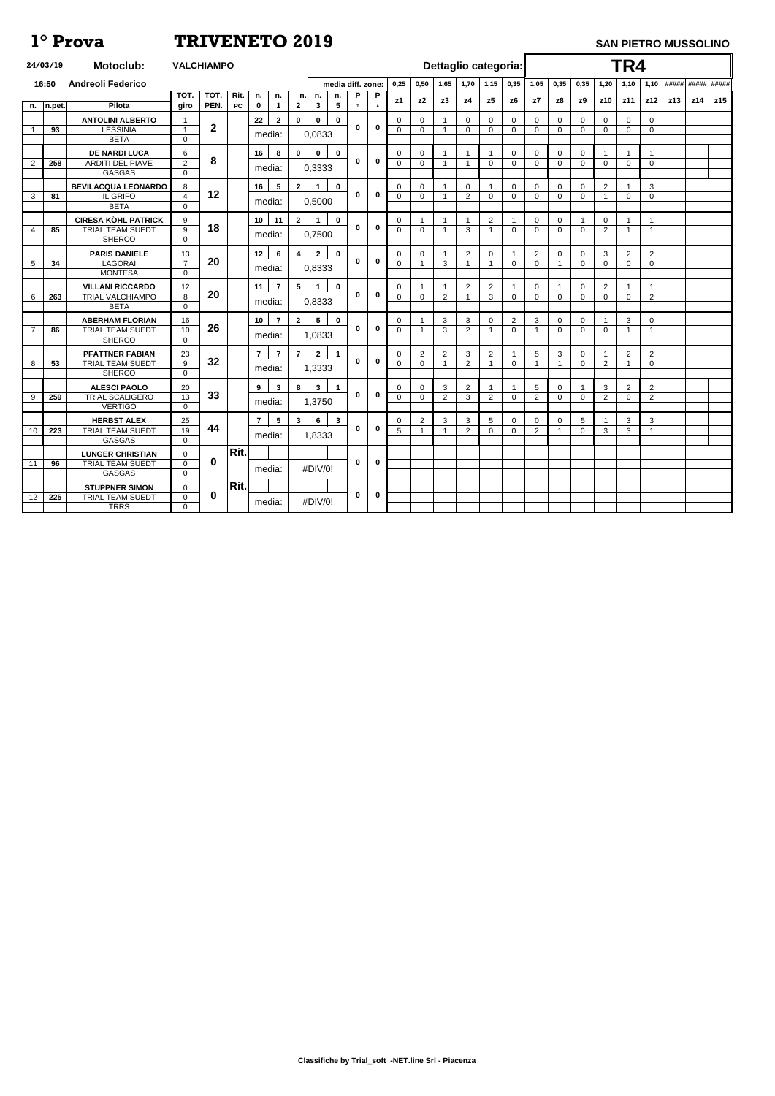|                | 24/03/19 | <b>Motoclub:</b>                                  | <b>VALCHIAMPO</b>           |                  |            |                   |                   |                    |                    |                               |             |                   |               |                                  | Dettaglio categoria: |                       |                   |                      |                                  |                            |                         |                   | TR4                           |                               |     |     |                   |
|----------------|----------|---------------------------------------------------|-----------------------------|------------------|------------|-------------------|-------------------|--------------------|--------------------|-------------------------------|-------------|-------------------|---------------|----------------------------------|----------------------|-----------------------|-------------------|----------------------|----------------------------------|----------------------------|-------------------------|-------------------|-------------------------------|-------------------------------|-----|-----|-------------------|
|                | 16:50    | <b>Andreoli Federico</b>                          |                             |                  |            |                   |                   |                    |                    | media diff. zone:             |             |                   | 0,25          | 0,50                             | 1,65                 | 1,70                  | 1,15              | 0,35                 | 1,05                             | 0,35                       | 0,35                    | 1,20              | 1,10                          | 1,10                          |     |     | ##### ##### ##### |
|                | n.pet.   | Pilota                                            | <b>TOT</b><br>giro          | TOT.<br>PEN.     | Rit.<br>PC | n.<br>$\mathbf 0$ | n.<br>$\mathbf 1$ | n.<br>$\mathbf{2}$ | n.<br>$\mathbf{3}$ | n.<br>$\overline{\mathbf{5}}$ | P<br>T      | P<br>$\mathsf{A}$ | z1            | z2                               | z3                   | z4                    | z5                | z6                   | z7                               | z8                         | z9                      | z10               | z11                           | z12                           | z13 | z14 | z15               |
| n.             |          | <b>ANTOLINI ALBERTO</b>                           |                             |                  |            | 22                | $\mathbf{2}$      | $\mathbf 0$        | $\mathbf 0$        | $\mathbf 0$                   |             |                   | 0             | $\mathbf{0}$                     |                      | $\Omega$              | $\mathbf 0$       | $\Omega$             | $\mathbf 0$                      | $\mathbf{0}$               | $\mathbf{0}$            | $\Omega$          | $\Omega$                      | $\mathbf 0$                   |     |     |                   |
|                | 93       | <b>LESSINIA</b>                                   | $\overline{1}$              | $\boldsymbol{2}$ |            | media:            |                   |                    | 0,0833             |                               | 0           | $\mathbf 0$       | $\Omega$      | $\mathbf 0$                      |                      | $\mathbf 0$           | $\overline{0}$    | $\Omega$             | $\Omega$                         | $\mathbf 0$                | $\mathbf 0$             | $\mathbf{0}$      | $\mathbf 0$                   | $\mathbf 0$                   |     |     |                   |
|                |          | <b>BETA</b>                                       | $\mathbf 0$                 |                  |            |                   |                   |                    |                    |                               |             |                   |               |                                  |                      |                       |                   |                      |                                  |                            |                         |                   |                               |                               |     |     |                   |
| 2              | 258      | <b>DE NARDI LUCA</b><br><b>ARDITI DEL PIAVE</b>   | 6<br>$\overline{2}$         | 8                |            | 16                | 8                 | $\mathbf 0$        | $\bf{0}$           | $\mathbf 0$                   | 0           | $\mathbf 0$       | 0<br>0        | $\mathbf 0$<br>$\mathbf 0$       |                      |                       | $\mathbf 0$       | $\Omega$<br>$\Omega$ | $\mathbf 0$<br>$\Omega$          | $\mathbf 0$<br>$\mathbf 0$ | $\Omega$<br>$\mathbf 0$ | $\Omega$          | $\Omega$                      | -1<br>$\mathbf 0$             |     |     |                   |
|                |          | <b>GASGAS</b>                                     | $\mathbf 0$                 |                  |            | media:            |                   |                    | 0,3333             |                               |             |                   |               |                                  |                      |                       |                   |                      |                                  |                            |                         |                   |                               |                               |     |     |                   |
|                |          | <b>BEVILACQUA LEONARDO</b>                        | 8                           |                  |            | 16                | $5\phantom{.0}$   | $\mathbf{2}$       | $\mathbf 1$        | $\mathbf 0$                   |             |                   | 0             | 0                                |                      | 0                     | -1                | 0                    | $\mathbf 0$                      | $\mathbf 0$                | $\mathbf 0$             | $\overline{2}$    |                               | 3                             |     |     |                   |
| 3              | 81       | IL GRIFO<br><b>BETA</b>                           | $\overline{4}$<br>$\Omega$  | 12               |            | media:            |                   |                    | 0,5000             |                               | 0           | $\bf{0}$          | $\Omega$      | $\mathbf 0$                      |                      | 2                     | $\mathbf 0$       | $\Omega$             | $\mathbf{0}$                     | 0                          | 0                       | - 1               | $\mathbf{0}$                  | 0                             |     |     |                   |
|                |          | <b>CIRESA KÖHL PATRICK</b>                        | 9                           |                  |            | 10 <sub>1</sub>   | 11                | $\mathbf{2}$       | $\mathbf 1$        | $\mathbf 0$                   |             |                   | 0             | -1                               |                      |                       | 2                 |                      | $\mathbf 0$                      | $\mathbf 0$                |                         | $\Omega$          |                               | -1                            |     |     |                   |
| $\overline{4}$ | 85       | <b>TRIAL TEAM SUEDT</b>                           | 9                           | 18               |            | media:            |                   |                    | 0,7500             |                               | $\mathbf 0$ | $\mathbf 0$       | 0             | $\mathbf 0$                      |                      | 3                     | -1                | $\Omega$             | $\mathbf{0}$                     | $\mathbf 0$                | $\Omega$                | 2                 |                               | $\overline{1}$                |     |     |                   |
|                |          | <b>SHERCO</b>                                     | $\mathbf 0$                 |                  |            |                   |                   |                    |                    |                               |             |                   |               |                                  |                      |                       |                   |                      |                                  |                            |                         |                   |                               |                               |     |     |                   |
| 5              | 34       | <b>PARIS DANIELE</b><br><b>LAGORAI</b>            | 13<br>$\overline{7}$        | 20               |            | 12 <sub>2</sub>   | $6\phantom{1}$    | 4                  | $\mathbf{2}$       | $\mathbf 0$                   | 0           | $\bf{0}$          | 0<br>$\Omega$ | $\mathbf 0$<br>$\overline{1}$    | 3                    | $\overline{2}$<br>- 1 | $\mathbf 0$<br>-1 | $\Omega$             | $\overline{2}$<br>$\overline{0}$ | $\mathbf{0}$<br>-1         | 0<br>$\Omega$           | 3<br>$\mathbf{0}$ | $\overline{2}$<br>$\mathbf 0$ | $\overline{2}$<br>$\mathbf 0$ |     |     |                   |
|                |          | <b>MONTESA</b>                                    | $\overline{0}$              |                  |            | media:            |                   |                    | 0,8333             |                               |             |                   |               |                                  |                      |                       |                   |                      |                                  |                            |                         |                   |                               |                               |     |     |                   |
|                |          | <b>VILLANI RICCARDO</b>                           | 12                          | 20               |            | 11                | $\overline{7}$    | $5\phantom{.0}$    |                    | $\mathbf 0$                   | $\bf{0}$    | $\bf{0}$          | 0             | -1                               |                      | $\overline{2}$        | 2                 |                      | $\mathbf 0$                      |                            | 0                       | $\overline{2}$    |                               | 1                             |     |     |                   |
| 6              | 263      | <b>TRIAL VALCHIAMPO</b><br><b>BETA</b>            | 8<br>$\mathbf 0$            |                  |            | media:            |                   |                    | 0,8333             |                               |             |                   | $\Omega$      | $\mathbf 0$                      | $\overline{2}$       |                       | 3                 | $\mathbf 0$          | 0                                | $\mathbf 0$                | $\mathbf 0$             | 0                 | $\mathbf{0}$                  | $\overline{2}$                |     |     |                   |
|                |          | <b>ABERHAM FLORIAN</b>                            | 16                          |                  |            | 10                | 7                 | $\mathbf{2}$       | $5\overline{)}$    | $\mathbf 0$                   |             |                   | 0             |                                  | 3                    | 3                     | 0                 | $\overline{2}$       | 3                                | 0                          | $\mathbf 0$             |                   | 3                             | 0                             |     |     |                   |
| $\overline{7}$ | 86       | <b>TRIAL TEAM SUEDT</b>                           | 10                          | 26               |            | media:            |                   |                    | 1,0833             |                               | 0           | $\mathbf 0$       | $\Omega$      | $\overline{1}$                   | 3                    | $\overline{2}$        | -1                | $\Omega$             | -1                               | 0                          | $\Omega$                | $\mathbf{0}$      |                               | 1                             |     |     |                   |
|                |          | <b>SHERCO</b>                                     | $\Omega$                    |                  |            |                   |                   |                    |                    |                               |             |                   |               |                                  |                      |                       |                   |                      |                                  |                            |                         |                   |                               |                               |     |     |                   |
| 8              | 53       | <b>PFATTNER FABIAN</b><br><b>TRIAL TEAM SUEDT</b> | 23<br>9                     | 32               |            | $\overline{7}$    | $\overline{7}$    | $\overline{7}$     | $\mathbf{2}$       | $\mathbf{1}$                  | $\mathbf 0$ | $\mathbf 0$       | 0<br>0        | $\overline{2}$<br>$\overline{0}$ | $\overline{2}$       | 3<br>$\overline{2}$   | 2<br>-1           | $\Omega$             | 5<br>-1                          | 3<br>-1                    | $\mathbf 0$<br>$\Omega$ | $\overline{2}$    | $\overline{2}$                | 2<br>$\Omega$                 |     |     |                   |
|                |          | <b>SHERCO</b>                                     | $\Omega$                    |                  |            | media:            |                   |                    | 1,3333             |                               |             |                   |               |                                  |                      |                       |                   |                      |                                  |                            |                         |                   |                               |                               |     |     |                   |
|                |          | <b>ALESCI PAOLO</b>                               | 20<br>$\overline{13}$       | 33               |            | $9^{\circ}$       | $\mathbf{3}$      | 8                  | $\mathbf{3}$       | $\mathbf 1$                   | $\mathbf 0$ | $\bf{0}$          | 0             | 0                                | 3                    | $\overline{c}$        |                   |                      | 5                                | 0                          |                         | 3                 | $\overline{2}$                | $\overline{2}$                |     |     |                   |
| 9              | 259      | <b>TRIAL SCALIGERO</b><br><b>VERTIGO</b>          | $\mathbf 0$                 |                  |            | media:            |                   |                    | 1,3750             |                               |             |                   | 0             | $\overline{0}$                   | 2                    | 3                     | $\overline{2}$    | $\mathbf 0$          | $\overline{2}$                   | $\mathbf 0$                | 0                       | 2                 | 0                             | $2^{\circ}$                   |     |     |                   |
|                |          | <b>HERBST ALEX</b>                                | 25                          |                  |            | $\overline{7}$    | $5\overline{)}$   | $3\phantom{a}$     | $6\phantom{a}$     | $\mathbf{3}$                  |             |                   | 0             | $\overline{2}$                   | 3                    | 3                     | $5\phantom{.0}$   | $\mathbf 0$          | $\overline{0}$                   | $\mathbf{0}$               | 5                       |                   | 3                             | 3                             |     |     |                   |
| 10             | 223      | <b>TRIAL TEAM SUEDT</b><br><b>GASGAS</b>          | 19<br>$\mathbf{0}$          | 44               |            | media:            |                   |                    | 1,8333             |                               | 0           | $\mathbf 0$       | 5             | $\mathbf 1$                      | -1                   | $\overline{2}$        | $\mathbf{0}$      | $\mathbf{0}$         | $\overline{2}$                   |                            | $\mathbf{0}$            | 3                 | 3                             | $\mathbf 1$                   |     |     |                   |
|                |          | <b>LUNGER CHRISTIAN</b>                           | $\mathbf{0}$                |                  | Rit.       |                   |                   |                    |                    |                               |             |                   |               |                                  |                      |                       |                   |                      |                                  |                            |                         |                   |                               |                               |     |     |                   |
| 11             | 96       | <b>TRIAL TEAM SUEDT</b>                           | $\mathbf 0$                 | $\boldsymbol{0}$ |            | media:            |                   |                    | #DIV/0!            |                               | $\mathbf 0$ | $\mathbf{0}$      |               |                                  |                      |                       |                   |                      |                                  |                            |                         |                   |                               |                               |     |     |                   |
|                |          | <b>GASGAS</b>                                     | $\overline{0}$              |                  |            |                   |                   |                    |                    |                               |             |                   |               |                                  |                      |                       |                   |                      |                                  |                            |                         |                   |                               |                               |     |     |                   |
| 12             | 225      | <b>STUPPNER SIMON</b><br><b>TRIAL TEAM SUEDT</b>  | $\mathbf{0}$<br>$\mathbf 0$ | $\boldsymbol{0}$ | Rit.       |                   |                   |                    |                    |                               | $\mathbf 0$ | $\mathbf 0$       |               |                                  |                      |                       |                   |                      |                                  |                            |                         |                   |                               |                               |     |     |                   |
|                |          | <b>TRRS</b>                                       | $\mathbf 0$                 |                  |            | media:            |                   |                    | #DIV/0!            |                               |             |                   |               |                                  |                      |                       |                   |                      |                                  |                            |                         |                   |                               |                               |     |     |                   |